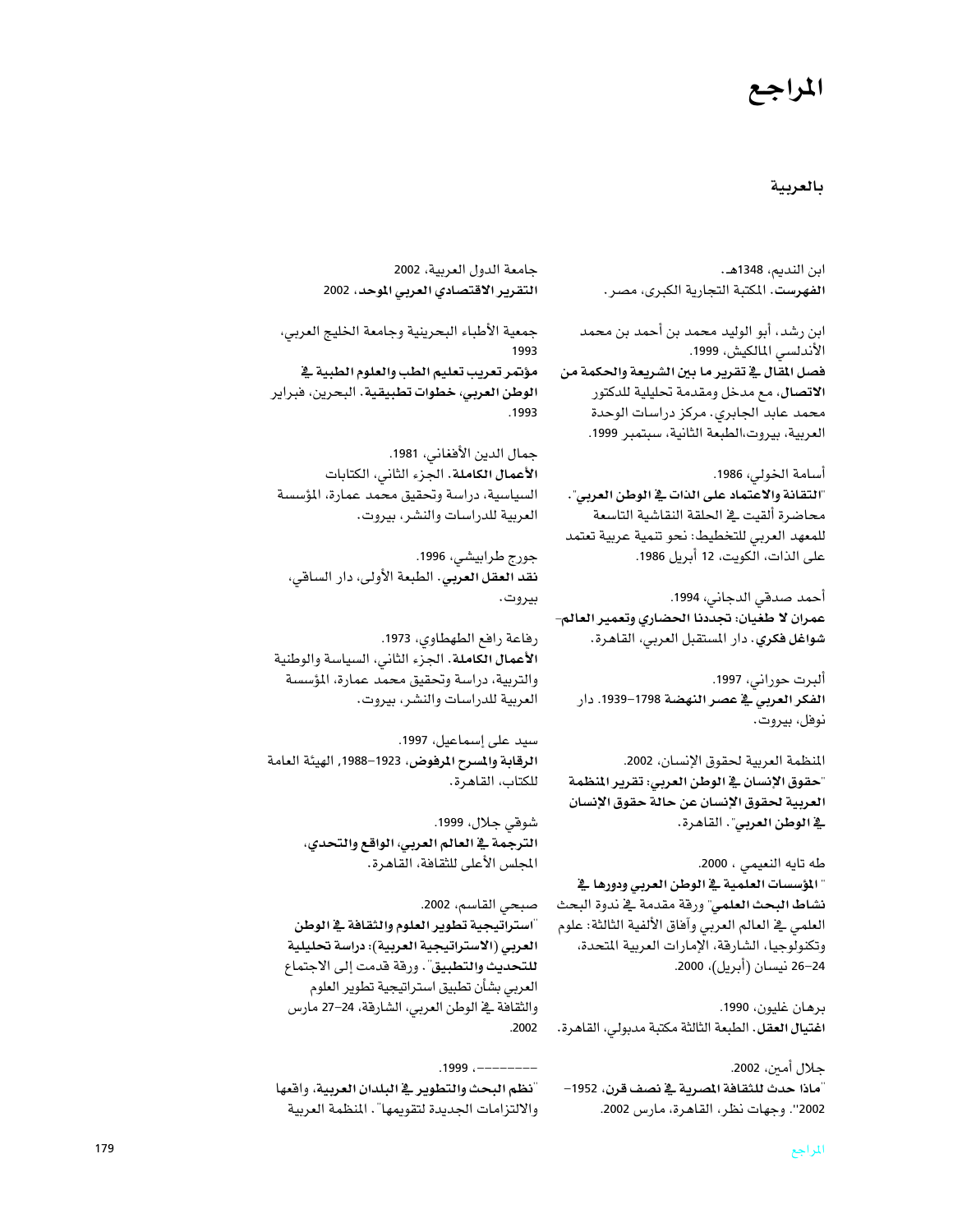## المراجع

### بالعربية

ابن النديم، 1348هـ. الفهرست. المكتبة التجارية الكبرى، مصر.

ابن رشد، أبو الوليد محمد بن أحمد بن محمد الأندلسي المالكيش، 1999. فصل المقال في تقرير ما بين الشريعة والحكمة من الاتصال، مع مدخل ومقدمة تحليلية للدكتور محمد عابد الجابري. مركز دراسات الوحدة العربية، بيروت،الطبعة الثانية، سبتمبر 1999.

أسامة الخولى، 1986. "التقانة والاعتماد على الذات في الوطن العربي". محاضرة ألقيت يخ الحلقة النقاشية التاسعة للمعهد العربي للتخطيط: نحو تنمية عربية تعتمد على الذات، الّكويت، 12 أبريل 1986.

أحمد صدقي الدجاني، 1994. عمران لا طغيان: تجددنا الحضاري وتعمير العالم– شواغل فكري. دار المستقبل العربي، القاهرة.

ألبرت حوراني، 1997. الفكر العرب*ي في عصر النهضة* 1798–1939. دار نوفل، بيروت.

المنظمة العربية لحقوق الإنسان، 2002. "حقوق الإنسان في الوطن العربي: تقرير المنظمة العربية لحقوق الإنسان عن حالة حقوق الإنسان **ية الوطن العربي**". القاهرة.

طه تايه النعيمي ، 2000. " المؤسسات العلمية في الوطن العربي ودورها في نشاط البحث العلمي" ورقة مقدمة في ندوة البحث العلمي في العالم العربي وآهاق الألفية الثالثة: علوم وتكنولوجيا، الشارقة، الإمارات العربية المتحدة، 24–26 نيسان (أبريل)، 2000.

برهان غليون، 1990. اغتيال العقل. الطبعة الثالثة مكتبة مدبولي، القاهرة.

جلال أمين، 2002. "ماذا حدث للثقافة المصرية في نصف قرن، 1952– 2002". وجهات نظر، القاهرة، مارس 2002.

جامعة الدول العربية، 2002 التقرير الاقتصادي العربي الموحد، 2002

جمعية الأطباء البحرينية وجامعة الخليج العربي، 1993 مؤتمر تعريب تعليم الطب والعلوم الطبية في الوطن العربي، خطوات تطبيقية. البحرين، فبراير .1993

جمال الدين الأفغاني، 1981. الأعمال الكاملة. الجزء الثاني، الكتابات السياسية، دراسة وتحقيق محمد عمارة، المؤسسة العربية للدراسات والنشر، بيروت.

جورج طرابيشي، 1996. نقد العقل العربي. الطبعة الأولى، دار الساقي، بيروت.

رفاعة رافع الطهطاوي، 1973. الأعمال الكاملة. الجزء الثاني، السياسة والوطنية والتربية، دراسة وتحقيق محمد عمارة، المؤسسة العربية للدراسات والنشر، بيروت.

سيد على إسماعيل، 1997. الرقابة والمسرح المرفوض، 1923–1988, الهيئة العامة للكتاب، القاهرة.

> شوقي جلال، 1999. الترجمة في العالم العربي، الواقع والتحدي، المجلس الأعلى للثقافة، القاهرة.

صبحى القاسم، 2002. "استراتيجية تطوير العلوم والثقافة في الوطن العربي (الاستراتيجية العربية): دراسة تحليلية للتحديث والتطبيق". ورقة قدمت إلى الاجتماع العربي بشأن تطبيق استراتيجية تطوير العلوم والثقافة في الوطن العربي، الشارقة، 24–27 مارس  $.2002$ 

 $.1999...$ -----------"نظم البحث والتطوير في البلدان العربية، واقعها والالتزامات الجديدة لتقويمها" . المنظمة العربية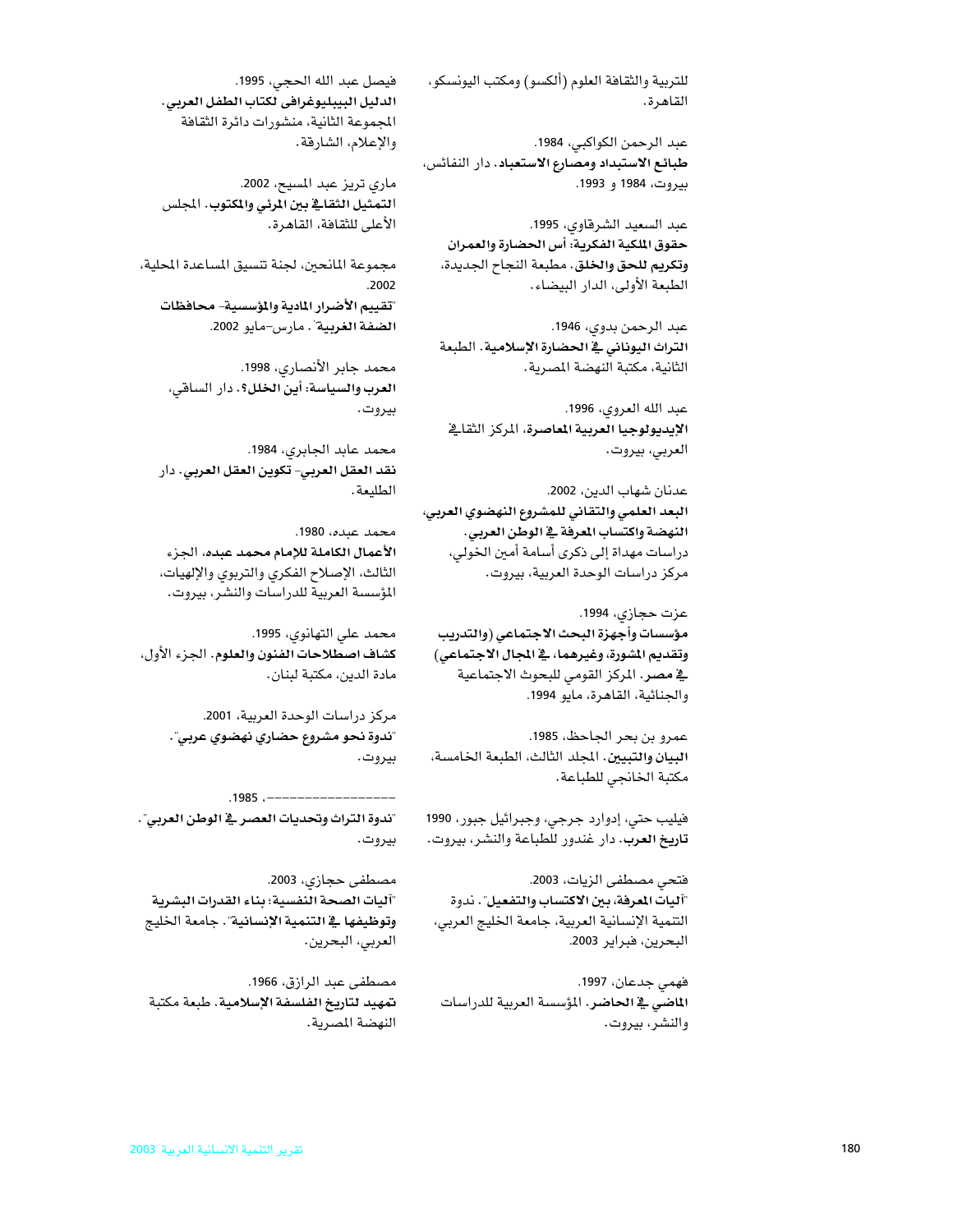للتربية والثقافة العلوم (ألكسو) ومكتب اليونسكو، القاهرة.

عبد الرحمن الكواكبي، 1984. طبائع الاستبداد ومصارع الاستعباد. دار النفائس، بيروت، 1984 و 1993.

عبد السعيد الشرقاوي، 1995. حقوق الملكية الفكرية: أس الحضارة والعمران وتكريم للحق والخلق. مطبعة النجاح الجديدة، الطبعة الأولى، الدار البيضاء.

عبد الرحمن بدوي، 1946. التراث اليوناني في الحضارة الإسلامية. الطبعة الثانية، مكتبة النهضة المصرية.

عبد الله العروى، 1996. الإيديولوجيا العربية الماصرة، المركز الثقائ العربي، بيروت.

عدنان شهاب الدين، 2002. البعد العلمي والتقاني للمشروع النهضوي العربي، النهضة واكتساب المرفة في الوطن العربي. دراسات مهداة إلى ذكرى أسامة أمين الخولي، مركز دراسات الوحدة العربية، بيروت.

عزت حجازي، 1994. مؤسسات وأجهزة البحث الاجتماعي (والتدريب وتقديم المشورة، وغيرهما، في المجال الاجتماعي) ية مصر. المركز القومي للبحوث الاجتماعية والجنائية، القاهرة، مايو 1994.

عمرو بن بحر الجاحظ، 1985. البيان والتبيين. المجلد الثالث، الطبعة الخامسة، مكتبة الخانجي للطباعة.

فيليب حتى، إدوارد جرجي، وجبرائيل جبور، 1990 تاريخ العرب. دار غندور للطباعة والنشر، بيروت.

فتحي مصطفى الزيات، 2003. "آليات المعرفة، بين الاكتساب والتفعيل". ندوة التنمية الإنسانية العربية، جامعة الخليج العربي، البحرين، فبراير 2003.

فهمي جدعان، 1997. ا**لماضي في الحاضر.** المؤسسة العربية للدراسات والنشر، بيروت.

فيصل عبد الله الحجي، 1995. الدليل البيبليوغرافي لكتاب الطفل العربي. المجموعة الثانية، منشورات دائرة الثقافة والإعلام، الشارقة.

ماري تريز عبد المسيح، 2002. التمثيل الثقافي بين المرئي والمكتوب. المجلس الأعلى للثقافة، القاهرة.

مجموعة المانحين، لجنة تتسيق المساعدة المحلية، .2002 "تقييم الأضرار المادية والمؤسسية- محافظات الضفة الغربية". مارس-مايو 2002.

> محمد جابر الأنصارى، 1998. العرب والسياسة: أين الخلل؟. دار الساقي، بيروت.

محمد عابد الجابري، 1984. نقد العقل العربي- تكوين العقل العربي. دار الطليعة.

محمد عبده، 1980. الأعمال الكاملة للإمام محمد عبده، الجزء الثالث، الإصلاح الفكري والتربوي والإلهيات، المؤسسة العربية للدراسات والنشر، بيروت.

محمد على التهانوي، 1995. كشاف اصطلاحات الفنون والعلوم. الجزء الأول، مادة الدين، مكتبة لبنان.

> مركز دراسات الوحدة العربية، 2001. "ندوة نحو مشروع حضاري نهضوي عربي". بيروت.

.1985 .-----------------"ندوة التراث وتحديات العصر في الوطن العربي". بيروت.

مصطفى حجازي، 2003. "آليات الصحة النفسية؛ بناء القدرات البشرية وتوظيفها في التنمية الإنسانية". جامعة الخليج العربي، البحرين.

مصطفى عبد الرازق، 1966. تمهيد لتاريخ الفلسفة الإسلامية. طبعة مكتبة النهضة المصرية.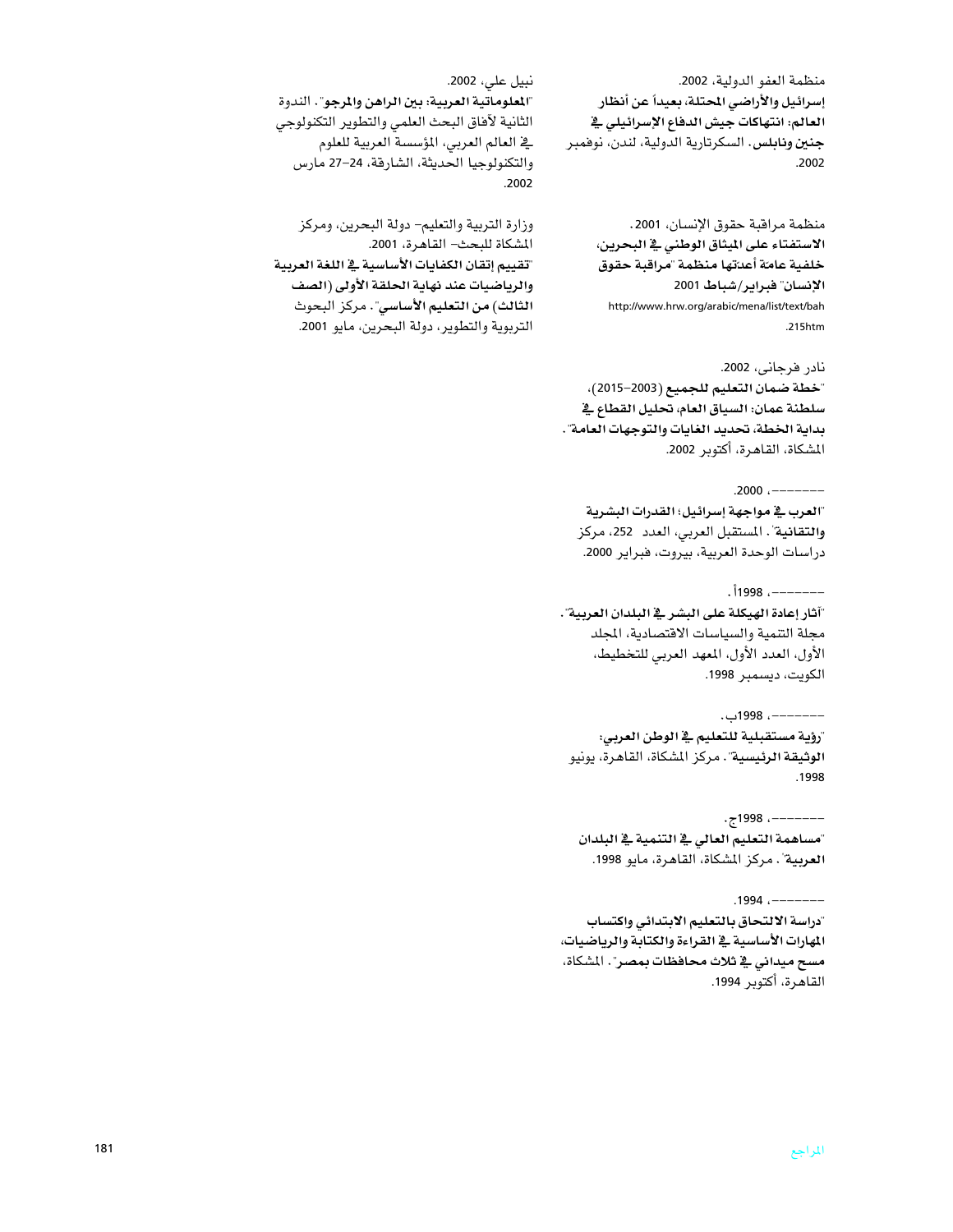منظمة العفو الدولية، 2002. إسرائيل والأراضي المحتلة، بعيداً عن أنظار العالم: انتهاكات جيش الدفاع الإسرائيلي في **جنين ونابلس.** السكرتارية الدولية، لندن، نوفمبر .2002

منظمة مراقبة حقوق الإنسان، 2001. الاستفتاء على الميثاق الوطني في البحرين، خلفية عامّة أعدّتها منظمة "مراقبة حقوق الإنسان" فبراير/شباط 2001 http://www.hrw.org/arabic/mena/list/text/bah .215htm

نادر فرجانى، 2002. "خطة ضمان التعليم للجميع (2003–2015)، سلطنة عمان: السياق العام، تحليل القطاع في بداية الخطة، تحديد الغايات والتوجهات العامة". المشكاة، القاهرة، أكتوبر 2002.

 $.2000$   $------$ 

"العرب في مواجهة إسرائيل؛ القدرات البشرية والتقانية". المستقبل العربي، العدد 252، مركز دراسات الوحدة العربية، بيروت، فبراير 2000.

 $.1998$   $------$ "آثار إعادة الهيكلة على البشر في البلدان العربية". مجلة التنمية والسياسات الافتصادية، المجلد الأول، العدد الأول، المعهد العربي للتخطيط، الكويت، ديسمبر 1998.

---------، 1998ب. "رؤية مستقبلية للتعليم في الوطن العربي: الوثيقة الرئيسية". مركز المشكاة، القاهرة، يونيو  $.1998$ 

--------- 1998ج. "مساهمة التعليم العالى في التنمية في البلدان العربية". مركز المشكاة، القاهرة، مايو 1998.

 $.1994$   $------$ "دراسة الالتحاق بالتعليم الابتدائي واكتساب المهارات الأساسية في القراءة والكتابة والرياضيات، مسح ميداني في ثلاث محافظات بمصر". المشكاة، القاهرة، أكتوبر 1994.

"المعلوماتية العربية: بين الراهن والمرجو". الندوة الثانية لآفاق البحث العلمي والتطوير التكنولوجي يخ العالم العربي، المؤسسة العربية للعلوم والتكنولوجيا الحديثة، الشارقة، 24–27 مارس 2002

نبيل عل*ى*، 2002.

وزارة التربية والتعليم– دولة البحرين، ومركز المشكاة للبحث- القاهرة، 2001. "تقييم إتقان الكفايات الأساسية في اللغة العربية والرياضيات عند نهاية الحلقة الأولى (الصف الثالث) من التعليم الأساسي". مركز البحوث التربوية والتطوير، دولة البحرين، مايو 2001.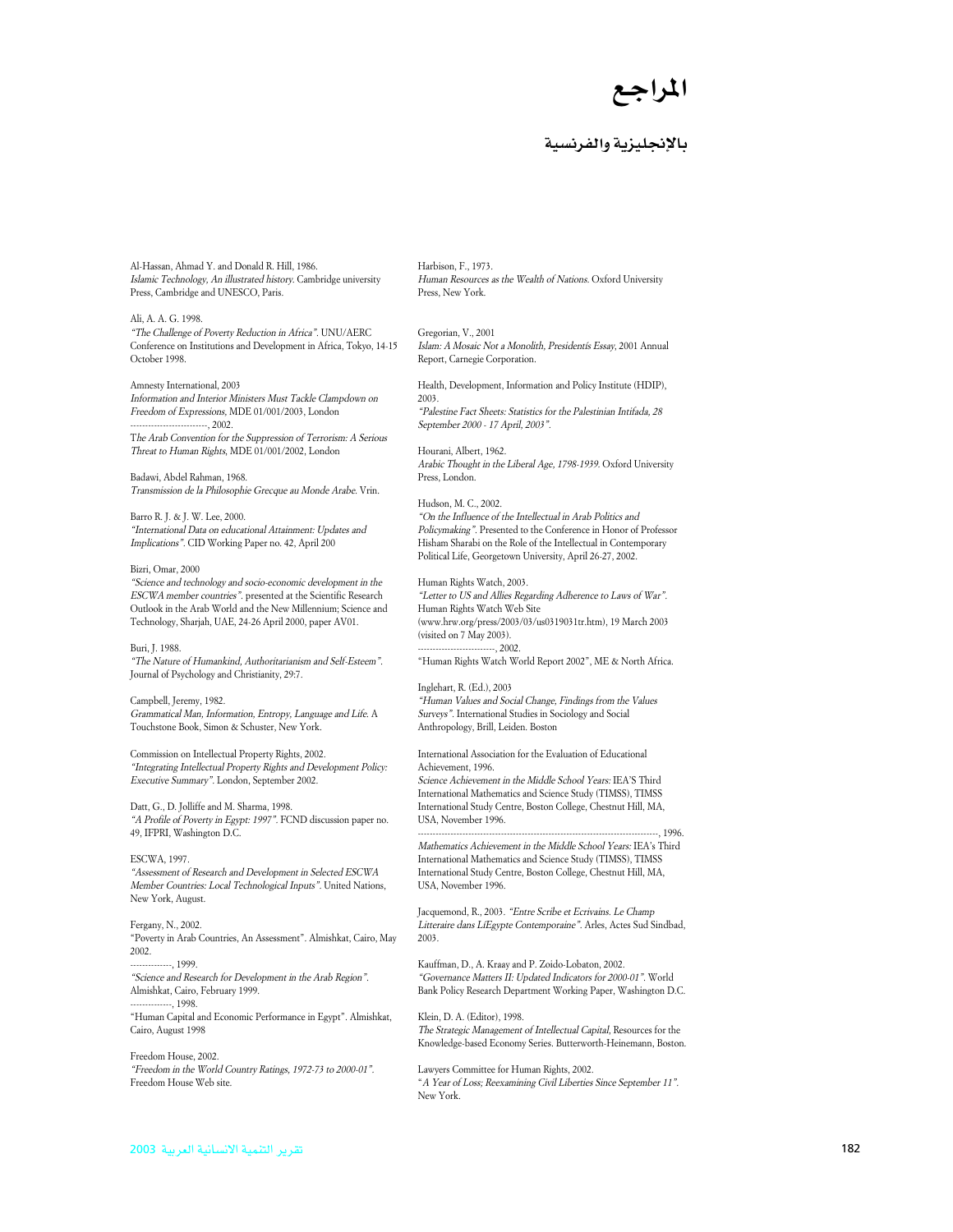

### بالانحليزية والفرنسية

Al-Hassan, Ahmad Y. and Donald R. Hill, 1986. Islamic Technology, An illustrated history. Cambridge university Press, Cambridge and UNESCO, Paris.

### Ali, A. A. G. 1998.

"The Challenge of Poverty Reduction in Africa". UNU/AERC Conference on Institutions and Development in Africa, Tokyo, 14-15 October 1998.

### Amnesty International, 2003

Information and Interior Ministers Must Tackle Clampdown on Freedom of Expressions, MDE 01/001/2003, London  $-2002$ 

The Arab Convention for the Suppression of Terrorism: A Serious Threat to Human Rights, MDE 01/001/2002, London

Badawi, Abdel Rahman, 1968. Transmission de la Philosophie Grecque au Monde Arabe. Vrin.

Barro R. J. & J. W. Lee, 2000. "International Data on educational Attainment: Updates and Implications". CID Working Paper no. 42, April 200

#### Bizri, Omar, 2000

"Science and technology and socio-economic development in the ESCWA member countries". presented at the Scientific Research Outlook in the Arab World and the New Millennium; Science and Technology, Sharjah, UAE, 24-26 April 2000, paper AV01.

### Buri, I. 1988.

"The Nature of Humankind, Authoritarianism and Self-Esteem". Journal of Psychology and Christianity, 29:7.

Campbell, Jeremy, 1982. Grammatical Man, Information, Entropy, Language and Life. A Touchstone Book, Simon & Schuster, New York.

Commission on Intellectual Property Rights, 2002. "Integrating Intellectual Property Rights and Development Policy: Executive Summary". London, September 2002.

Datt, G., D. Jolliffe and M. Sharma, 1998. "A Profile of Poverty in Egypt: 1997". FCND discussion paper no. 49, IFPRI, Washington D.C.

#### **ESCWA. 1997.**

 $\emph{``Assessment of Research and Development in Selected ESCWA}$ Member Countries: Local Technological Inputs". United Nations, New York, August.

### Fergany, N., 2002.

"Poverty in Arab Countries, An Assessment". Almishkat, Cairo, Mav 2002

 $-1999$ "Science and Research for Development in the Arab Region". Almishkat, Cairo, February 1999.

 $-1998$ "Human Capital and Economic Performance in Egypt". Almishkat, Cairo, August 1998

Freedom House, 2002. "Freedom in the World Country Ratings, 1972-73 to 2000-01". Freedom House Web site.

Harbison, F., 1973. Human Resources as the Wealth of Nations. Oxford University Press, New York.

Gregorian, V., 2001 Islam: A Mosaic Not a Monolith, Presidentís Essay, 2001 Annual Report, Carnegie Corporation.

Health, Development, Information and Policy Institute (HDIP), 2003.

"Palestine Fact Sheets: Statistics for the Palestinian Intifada, 28 September 2000 - 17 April, 2003".

Hourani, Albert, 1962. Arabic Thought in the Liberal Age, 1798-1939. Oxford University Press London

#### Hudson, M. C., 2002.

"On the Influence of the Intellectual in Arab Politics and Policymaking". Presented to the Conference in Honor of Professor Hisham Sharabi on the Role of the Intellectual in Contemporary Political Life, Georgetown University, April 26-27, 2002.

Human Rights Watch, 2003.

"Letter to US and Allies Regarding Adherence to Laws of War". Human Rights Watch Web Site (www.hrw.org/press/2003/03/us0319031tr.htm), 19 March 2003 (visited on 7 May 2003).  $-.2002.$ 

"Human Rights Watch World Report 2002", ME & North Africa.

Inglehart, R. (Ed.), 2003 "Human Values and Social Change, Findings from the Values Surveys". International Studies in Sociology and Social Anthropology, Brill, Leiden. Boston

International Association for the Evaluation of Educational Achievement. 1996.

Science Achievement in the Middle School Years: IEA'S Third International Mathematics and Science Study (TIMSS), TIMSS International Study Centre, Boston College, Chestnut Hill, MA, USA, November 1996. 1996.

Mathematics Achievement in the Middle School Years: IEA's Third International Mathematics and Science Study (TIMSS), TIMSS International Study Centre, Boston College, Chestnut Hill, MA, USA. November 1996.

Jacquemond, R., 2003. "Entre Scribe et Ecrivains. Le Champ Litteraire dans LiEgypte Contemporaine". Arles, Actes Sud Sindbad, 2003

Kauffman, D., A. Kraay and P. Zoido-Lobaton, 2002. "Governance Matters II: Updated Indicators for 2000-01". World Bank Policy Research Department Working Paper, Washington D.C.

Klein, D. A. (Editor), 1998. The Strategic Management of Intellectual Capital, Resources for the Knowledge-based Economy Series. Butterworth-Heinemann, Boston.

Lawyers Committee for Human Rights, 2002. "A Year of Loss; Reexamining Civil Liberties Since September 11". New York.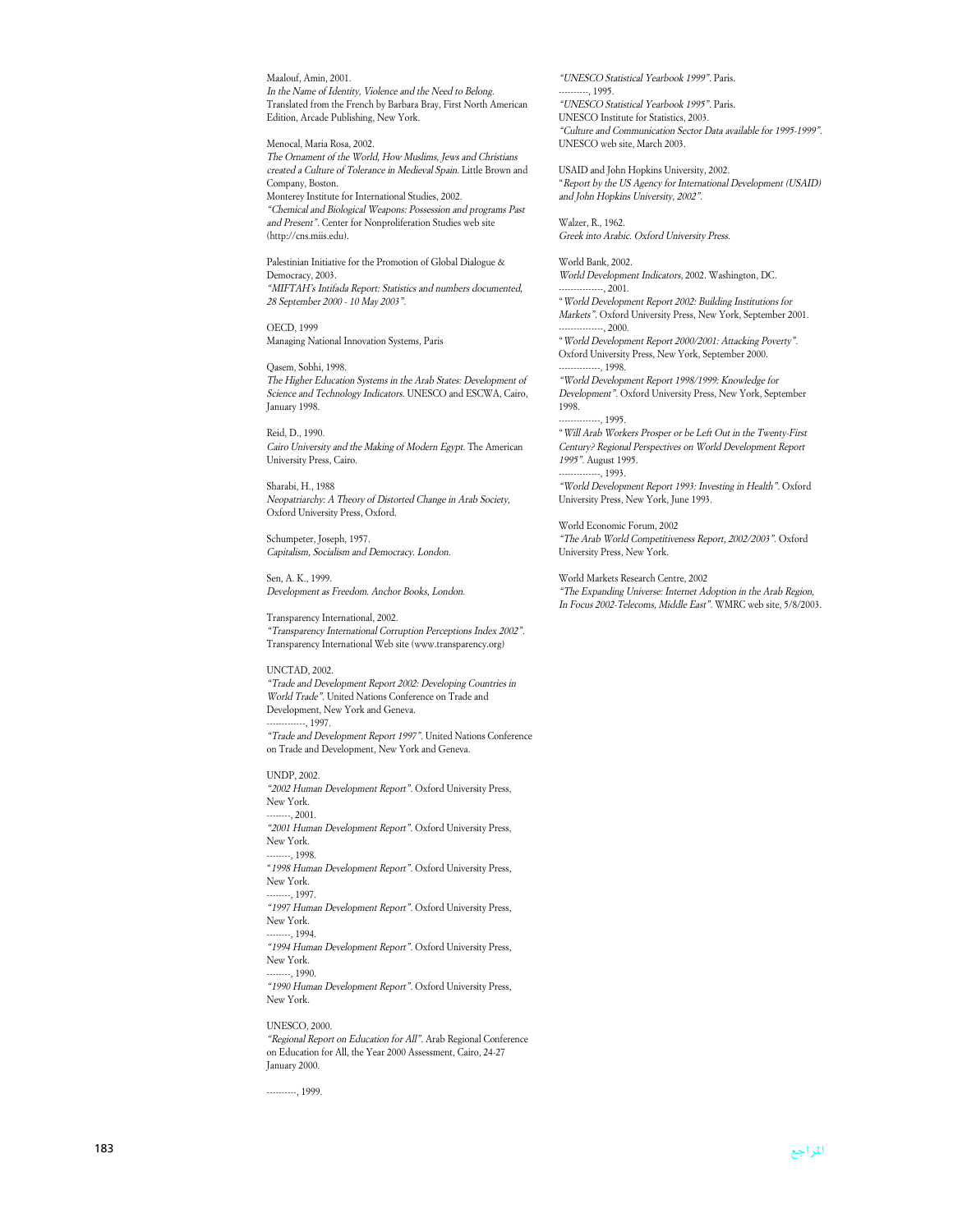Maalouf, Amin, 2001. In the Name of Identity, Violence and the Need to Belong. Translated from the French by Barbara Bray, First North American Edition, Arcade Publishing, New York.

Menocal, Maria Rosa, 2002. The Ornament of the World, How Muslims, Jews and Christians created a Culture of Tolerance in Medieval Spain. Little Brown and Company, Boston. Monterey Institute for International Studies, 2002. "Chemical and Biological Weapons: Possession and programs Past and Present". Center for Nonproliferation Studies web site (http://cns.miis.edu).

Palestinian Initiative for the Promotion of Global Dialogue & Democracy, 2003. "MIFTAH's Intifada Report: Statistics and numbers documented, 28 September 2000 - 10 May 2003".

OECD, 1999 Managing National Innovation Systems, Paris

Qasem, Sobhi, 1998. The Higher Education Systems in the Arab States: Development of Science and Technology Indicators. UNESCO and ESCWA, Cairo, January 1998.

Reid, D., 1990. Cairo University and the Making of Modern Egypt. The American University Press, Cairo.

Sharabi, H., 1988 Neopatriarchy: A Theory of Distorted Change in Arab Society, Oxford University Press, Oxford.

Schumpeter, Joseph, 1957. Capitalism, Socialism and Democracy. London.

Sen, A. K., 1999. Development as Freedom. Anchor Books, London.

Transparency International, 2002. "Transparency International Corruption Perceptions Index 2002". Transparency International Web site (www.transparency.org)

UNCTAD, 2002. "Trade and Development Report 2002: Developing Countries in World Trade". United Nations Conference on Trade and Development, New York and Geneva.  $-$ , 1997. "Trade and Development Report 1997". United Nations Conference on Trade and Development, New York and Geneva.

UNDP, 2002. "2002 Human Development Report". Oxford University Press, New York.  $-2001$ "2001 Human Development Report". Oxford University Press, New York.  $-1998.$ "1998 Human Development Report". Oxford University Press, New York. -, 1997 "1997 Human Development Report". Oxford University Press, New York. --------, 1994. "1994 Human Development Report". Oxford University Press, New York.  $-1990.$ "1990 Human Development Report". Oxford University Press, New York.

UNESCO, 2000. "Regional Report on Education for All". Arab Regional Conference on Education for All, the Year 2000 Assessment, Cairo, 24-27 January 2000.

----------, 1999.

"UNESCO Statistical Yearbook 1999". Paris.  $-1995$ "UNESCO Statistical Yearbook 1995". Paris. UNESCO Institute for Statistics, 2003. "Culture and Communication Sector Data available for 1995-1999". UNESCO web site, March 2003.

USAID and John Hopkins University, 2002. "Report by the US Agency for International Development (USAID) and John Hopkins University, 2002".

Walzer, R., 1962. Greek into Arabic. Oxford University Press.

--------------, 1995.

World Bank, 2002. World Development Indicators, 2002. Washington, DC.  $-2001$ 

"World Development Report 2002: Building Institutions for Markets". Oxford University Press, New York, September 2001.  $, 2000.$ 

"World Development Report 2000/2001: Attacking Poverty". Oxford University Press, New York, September 2000. --------------, 1998.

"World Development Report 1998/1999: Knowledge for Development". Oxford University Press, New York, September 1998.

"Will Arab Workers Prosper or be Left Out in the Twenty-First Century? Regional Perspectives on World Development Report 1995". August 1995.  $-$ , 1993.

"World Development Report 1993: Investing in Health". Oxford University Press, New York, June 1993.

World Economic Forum, 2002 "The Arab World Competitiveness Report, 2002/2003". Oxford University Press, New York.

World Markets Research Centre, 2002 "The Expanding Universe: Internet Adoption in the Arab Region, In Focus 2002-Telecoms, Middle East". WMRC web site, 5/8/2003.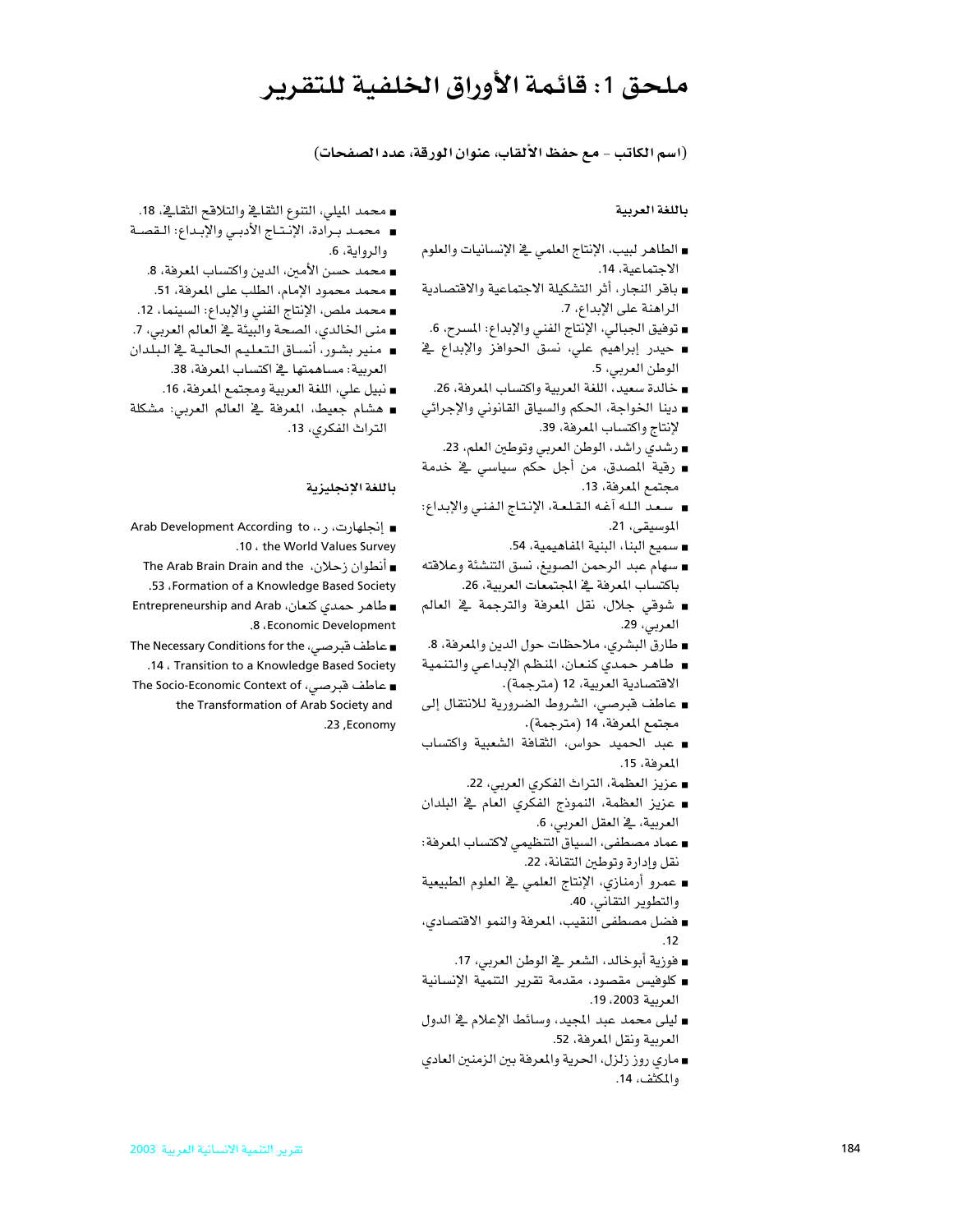## ملحق 1: قائمة الأوراق الخلفية للتقرير

(اسم الكاتب - مع حفظ الألقاب، عنوان الورقة، عدد الصفحات)

### باللغة العربية

- الطاهر لبيب، الإنتاج العلمي في الإنسانيات والعلوم الاجتماعية، 14.
- باقر النجار، أثر التشكيلة الاجتماعية والاقتصادية الراهنة على الإبداع، 7.
- توفيق الجبالي، الإنتاج الفني والإبداع: المسرح، 6.
- حيدر إبراهيم على، نسق الحوافز والإبداع في الوطن العربي، 5.
	- خالدة سعيد، اللغة العربية واكتساب المعرفة، 26.
- دينا الخواجة، الحكم والسياق القانوني والإجرائي لإنتاج واكتساب المعرفة، 39.
	- رشدي راشد، الوطن العربي وتوطين العلم، 23.
- ∎ رقية المصدق، من أجل حكم سياسي \_فے خدمة مجتمع المعرفة، 13.
- سعد الله آغه القلعة، الإنتاج الفني والإبداع: الموسيقى، 21.
	- سميع البنا، البنية المفاهيمية، 54.
- سهام عبد الرحمن الصويغ، نسق التنشئة وعلاقته باكتساب المرفة في المجتمعات العربية، 26.
- شوقي جلال، نقل المعرفة والترجمة ﴾ العالم العربي، 29.
- طارق البشري، ملاحظات حول الدين والمعرفة، 8.
- طاهـر حمدي كنـعان، المنظم الإبداعـى والتنـميـة الاقتصادية العربية، 12 (مترجمة).
- عاطف قبرصي، الشروط الضرورية للانتقال إلى مجتمع المعرفة، 14 (مترجمة).
- عبد الحميد حواس، الثقافة الشعبية واكتساب المعرفة، 15.
	- عزيز العظمة، التراث الفكري العربي، 22.
- عزيز العظمة، النموذج الفكرى العام في البلدان العربية، في العقل العربي، 6.
- عماد مصطفى، السياق التنظيمي لاكتساب المرفة: نقل وإدارة وتوطين التقانة، 22.
- عمرو أرمنازي، الإنتاج العلمي فے العلوم الطبيعية والتطوير التقاني، 40.
- فضل مصطفى النقيب، المعرفة والنمو الاقتصادي،  $.12$ 
	- فوزية أبوخالد، الشعر ﴾ الوطن العربي، 17.
- كلوفيس مقصود، مقدمة تقرير التنمية الإنسانية العربية 2003، 19.
- ليلي محمد عبد المجيد، وسائط الإعلام في الدول العربية ونقل المعرفة، 52.
- ماري روز زلزل، الحرية والمعرفة بين الزمنين العادي والمكثف، 14.
- محمد الميلي، التنوع الثقائے والتلاقح الثقائے، 18. ■ محمد بـرادة، الإنـتـاج الأدبـى والإبـداع: الـقصــة والروابة، 6.
	- محمد حسن الأمين، الدين واكتساب المعرفة، 8.
	- محمد محمود الإمام، الطلب على المعرفة، 51.
- محمد ملص، الإنتاج الفني والإبداع: السينما، 12.
- منى الخالدى، الصحة والبيئة في العالم العربي، 7.
- منير بشور، أنساق التعليم الحالية في البلدان العربية: مساهمتها في اكتساب المعرفة، 38.
	- نبيل على، اللغة العربية ومجتمع المعرفة، 16.
- هشام جعيط، المعرفة في العالم العربي: مشكلة التراث الفكري، 13.

### باللغة الإنجليزية

■ إنجلهارت، ر.، Arab Development According to .10 . the World Values Survey

∎ أنطوان زحلان، The Arab Brain Drain and the

.53 . Formation of a Knowledge Based Society

■ طاهر حمدی کنعان، Entrepreneurship and Arab .8 . Economic Development

∎ عاطف قبرصی، The Necessary Conditions for the .14. Transition to a Knowledge Based Society ∎ عاطف قبرصی، The Socio-Economic Context of

the Transformation of Arab Society and .23, Economy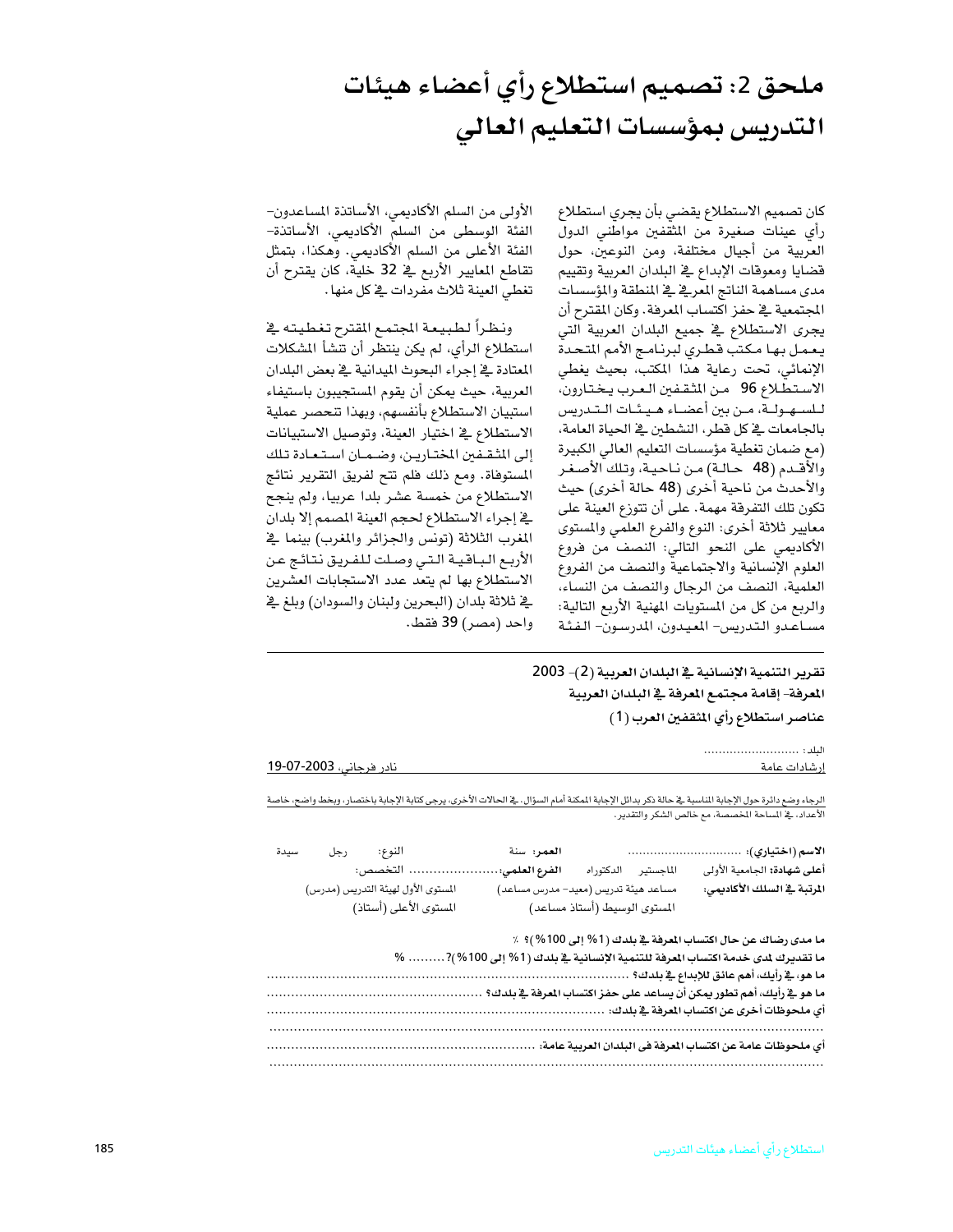# ملحق 2: تصميم استطلاع رأي أعضاء هيئات التدريس بمؤسسات التعليم العالي

كان تصميم الاستطلاع يقضى بأن يجري استطلاع رأى عينات صغيرة من المثقفين مواطني الدول العربية من أجيال مختلفة، ومن النوعين، حول قضايا ومعوقات الإبداع يخ البلدان العربية وتقييم مدى مساهمة الناتج المعرية ية المنطقة والمؤسسات المجتمعية في حفز اكتساب المعرفة. وكان المقترح أن يجرى الاستطلاع في جميع البلدان العربية التي يعمل بها مكتب قطري لبرنامج الأمم المتحدة الإنمائي، تحت رعاية هذا المكتب، بحيث يغطى الاستطلاع 96 من المثقفين العرب يختارون، للسهولة، من بين أعضاء هيئات التدريس بالجامعات في كل قطر، النشطين في الحياة العامة، (مع ضمان تغطية مؤسسات التعليم العالي الكبيرة والأقـدم (48 حـالـة) مـن نـاحيـة، وتلك الأصـغـر والأحدث من ناحية أخرى (48 حالة أخرى) حيث تكون تلك التفرقة مهمة. على أن تتوزع العينة على معايير ثلاثة أخرى: النوع والفرع العلمي والمستوى الأكاديمي على النحو التالي: النصف من فروع العلوم الإنسانية والاجتماعية والنصف من الفروع العلمية، النصف من الرجال والنصف من النساء، والربع من كل من المستويات المهنية الأربع التالية: مساعدو التدريس- المعيدون، المدرسون- الفئة

الأولى من السلم الأكاديمي، الأساتذة المساعدون– الفئة الوسطى من السلم الأكاديمي، الأساتذة– الفئة الأعلى من السلم الأكاديمي. وهكذا، بتمثل تقاطع المعايير الأربع في 32 خلية، كان يقترح أن تغطي العينة ثلاث مفردات ڤي كل منها .

ونظراً لطبيعة المجتمع المقترح تغطيته يخ استطلاع الرأي، لم يكن ينتظر أن تنشأ المشكلات المعتادة في إجراء البحوث الميدانية في بعض البلدان العربية، حيث يمكن أن يقوم المستجيبون باستيفاء استبيان الاستطلاع بأنفسهم، وبهذا تتحصر عملية الاستطلاع في اختيار العينة، وتوصيل الاستبيانات إلى المثقفين المختارين، وضمان استعادة تلك المستوفاة. ومع ذلك فلم تتح لفريق التقرير نتائج الاستطلاع من خمسة عشر بلدا عربيا، ولم ينجح يخ إجراء الاستطلاع لحجم العينة المصمم إلا بلدان المغرب الثلاثة (تونس والجزائر والمغرب) بينما يخ الأربع الباقية التى وصلت للفريق نتائج عن الاستطلاع بها لم يتعد عدد الاستجابات العشرين يخ ثلاثة بلدان (البحرين ولبنان والسودان) وبلغ يخ واحد (مصر) 39 فقط.

## تقرير التنمية الإنسانية في البلدان العربية (2)- 2003 المعرفة- إقامة مجتمع المعرفة في البلدان العربية عناصر استطلاع رأى المثقفين العرب (1)

| <u>نادر فرجانی، 2003-07-19</u> |     |                |                        | إرشادات عامة                                                                                                                                                                                              |
|--------------------------------|-----|----------------|------------------------|-----------------------------------------------------------------------------------------------------------------------------------------------------------------------------------------------------------|
|                                |     |                |                        | الرجاء وضع دائرة حول الإجابة المناسبة فے حالة ذكر بدائل الإجابة المكنة أمام السؤال. فے الحالات الأخرى، يرجى كتابة الإجابة باختصار، وبخط واضح، خاصة<br>الأعداد، ﴾ المساحة المخصصة، مع خالص الشكر والتقدير. |
| سيدة                           | رجل | النوع:<br>1.14 | العمر: سنة<br>$\cdots$ | المحاول والمساويات والمعافرة والمتحدث والمتحدث والمتحدث والمتحدث والمتحدث                                                                                                                                 |

|                                    | التخصص:                | الفرع العلمى:                       | الماجستير الدكتوراه          | أعلى شهادة: الجامعية الأولى                                                  |
|------------------------------------|------------------------|-------------------------------------|------------------------------|------------------------------------------------------------------------------|
| المستوى الأول لهيئة التدريس (مدرس) |                        | مساعد هيئة تدريس (معيد- مدرس مساعد) |                              | المرتبة في السلك الأكاديمي:                                                  |
|                                    | المستوى الأعلى (أستاذ) |                                     | المستوى الوسيط (أستاذ مساعد) |                                                                              |
|                                    |                        |                                     |                              |                                                                              |
|                                    |                        |                                     |                              | ما مدى رضاك عن حال اكتساب المعرفة في بلدك (1% إلى 100%)؟ ٪                   |
|                                    |                        |                                     |                              | ما تقديرك لمدى خدمة اكتساب العرفة للتنمية الإنسانية في بلدك (1% إلى 100%)? % |
|                                    |                        |                                     |                              |                                                                              |
|                                    |                        |                                     |                              | ما هو _2 رأيك، أهم تطور يمكن أن يساعد على حفز اكتساب المرفة _2 بلدك؟         |
|                                    |                        |                                     |                              | أي ملحوظات أخرى عن اكتساب المعرفة في بلدك:                                   |
|                                    |                        |                                     |                              |                                                                              |
|                                    |                        |                                     |                              | أي ملحوظات عامة عن اكتساب المعرفة في البلدان العربية عامة:                   |
|                                    |                        |                                     |                              |                                                                              |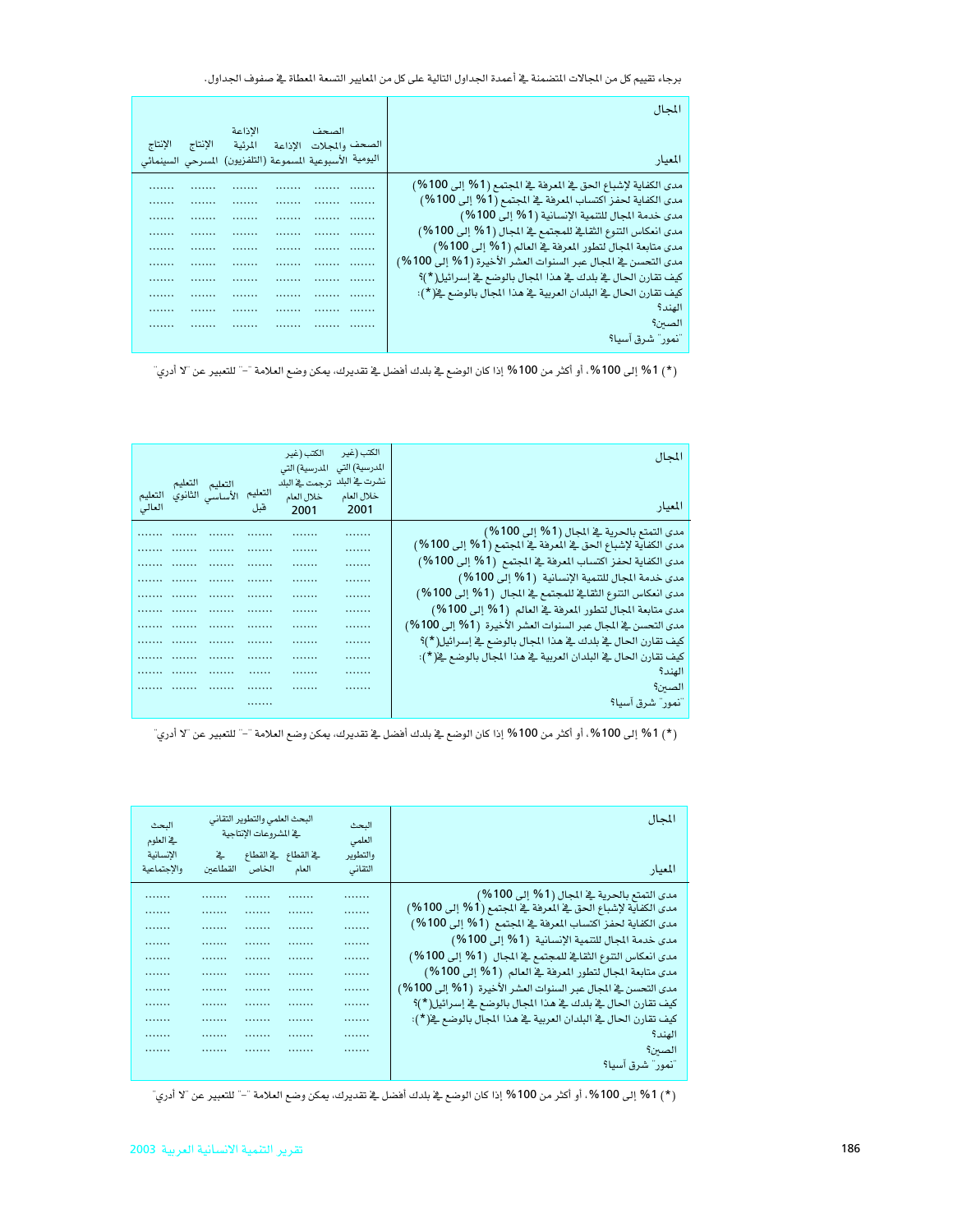برجاء تقييم كل من الجالات المضمنة في أعمدة الجداول التالية على كل من المايير التسعة المطاة في صفوف الجداول.

|         |         |                                                          |                        | المحال                                                         |
|---------|---------|----------------------------------------------------------|------------------------|----------------------------------------------------------------|
|         |         | الاذاعة                                                  | الصحف المستحدث         |                                                                |
| الإنتاج | الإنتاج | المرئية                                                  | الصحف والمحلات الإذاعة |                                                                |
|         |         | اليومية الأسبوعية المسموعة (التلفزيون) المسرحي السينمائي |                        | الميار                                                         |
|         |         |                                                          |                        | مدى الكفاية لإشباع الحق في المعرفة في المجتمع (1% إلى 100%)    |
| .       | .       |                                                          |                        | مدى الكفاية لحفز اكتساب المعرفة في المجتمع (1% إلى 100%)       |
|         | .       | .                                                        |                        | مدى خدمة المجال للتنمية الإنسانية (1% إلى 100%)                |
| .       |         |                                                          |                        | مدى انعكاس التنوع الثقائي للمجتمع في المجال (1 % إلى 100 %)    |
|         | .       | .                                                        |                        | مدى متابعة المجال لتطور المعرفة في العالم (1% إلى 100%)        |
|         | .       | .                                                        |                        | مدى التحسن في المجال عبر السنوات العشر الأخيرة (1 % إلى 100 %) |
|         | .       | .                                                        |                        | كيف تقارن الحال ﴾ بلدك ﴾ هذا المجال بالوضع ﴾ إسرائيل( * )؟     |
|         | .       | .                                                        |                        | كيف تقارن الحال ﴾ البلدان العربية ﴾ هذا المجال بالوضع ﴾( * ):  |
|         | .       |                                                          |                        | الهند؟                                                         |
| .       |         |                                                          |                        | الصئن؟                                                         |
|         |         |                                                          |                        | أنمور" شرق آسيا؟                                               |

(\*) 1% إلى 100%، أو أكثر من 100% إذا كان الوضع في بلدك أفضل في تقديرك، يمكن وضع العلامة "–" للتعبير عن "لا أدري"

|        |                         |         | الكتب (غير<br>المدرسية) التى | الكتب (غير<br>المدرسية) التي | المحال                                                        |
|--------|-------------------------|---------|------------------------------|------------------------------|---------------------------------------------------------------|
|        | التعليم التعليم         |         | نشرت ﴾ البلد  ترجمت ﴾ البلد  |                              |                                                               |
|        | الأساسى الثانوي التعليم | التعليم | خلال العام                   | خلال العام                   | المعيار                                                       |
| العالى |                         | قبل     | 2001                         | 2001                         |                                                               |
|        |                         |         |                              | .                            | مدى التمتع بالحرية في المجال (1% إلى 100%)                    |
|        |                         |         |                              | .                            | مدى الكفاية لإشباع الحق في المعرفة في المجتمع (1% إلى 100%)   |
|        |                         |         | .                            | .                            | مدى الكفاية لحفز اكتساب المرفة في المجتمع (1% إلى 100%)       |
|        |                         |         | .                            | .                            | مدى خدمة المجال للتنمية الإنسانية  (1% إلى 100%)              |
|        |                         |         |                              | .                            | مدى انعكاس التنوع الثقائے للمجتمع فے المجال (1% إلى 100%)     |
|        |                         |         |                              | .                            | مدى متابعة المجال لتطور المعرفة في العالم (1% إلى 100%)       |
|        |                         |         | .                            | .                            | مدى التحسن في المجال عبر السنوات العشر الأخيرة  (1% إلى 100%) |
|        |                         |         | .                            | .                            | كيف تقارن الحال في بلدك في هذا المجال بالوضع في إسرائيل( * )؟ |
|        |                         |         | .                            | .                            | كيف تقارن الحال ﴾ البلدان العربية ﴾ هذا المجال بالوضع ﴾( * ): |
|        |                         |         |                              | .                            | الهند؟                                                        |
|        |                         |         |                              |                              | الصئن؟                                                        |
|        |                         |         |                              |                              | أنمور" شرق آسيا؟                                              |
|        |                         |         |                              |                              |                                                               |

(\*) 1% إلى 100%، أو أكثر من 100% إذا كان الوضع في بلدك أفضل في تقديرك، يمكن وضع العلامة "–" للتعبير عن "لا أدري"

| المجال                                                           | البحث<br>العلمى |       | البحث العلمى والتطوير التقانى<br>في المشروعات الإنتاجية |   | البحث<br>فخ العلوم |
|------------------------------------------------------------------|-----------------|-------|---------------------------------------------------------|---|--------------------|
|                                                                  | والتطوير        |       | ية القطاع في القطاع في                                  |   | الإنسانية          |
| المعيار                                                          | التقانى         | العام | الخاص القطاعين                                          |   | والإجتماعية        |
| مدى التمتع بالحرية في المجال (1% إلى 100%)                       | .               | .     |                                                         | . |                    |
| مدى الكفاية لإشباع الحق في المعرفة في المجتمع (1% إلى 100%)      | .               |       |                                                         | . |                    |
| مدى الكفاية لحفز اكتساب المرهة في المجتمع (1% إلى 100%)          | .               |       |                                                         | . |                    |
| مدى خدمة المجال للتنمية الإنسانية  (1% إلى 100%)                 | .               |       |                                                         |   |                    |
| مدى انعكاس التنوع الثقائے للمجتمع فے المجال (1 % إلى 100 %)      | .               |       | .                                                       | . |                    |
| مدى متابعة المجال لتطور المعرفة في العالم (1% إلى 100%)          | .               | .     | .                                                       | . |                    |
| مدى التحسن في الجال عبر السنوات العشر الأخيرة  (1% إلى 100%)     | .               | .     |                                                         | . |                    |
| كيف تقارن الحال في بلدك في هذا المجال بالوضع في إسرائيل( * )؟    | .               |       |                                                         | . |                    |
| كيف تقارن الحال في البلدان العربية في هذا المجال بالوضع في( * ): | .               |       | .                                                       | . |                    |
| الهند؟                                                           | .               |       |                                                         |   |                    |
| الصئن؟                                                           | .               |       | .                                                       | . |                    |
| 'نمور'' شرق آسيا؟                                                |                 |       |                                                         |   |                    |
|                                                                  |                 |       |                                                         |   |                    |

(\*) 1% إلى 100%، أو أكثر من 100% إذا كان الوضع في بلدك أفضل في تقديرك، يمكن وضع العلامة "–" للتعبير عن "لا أدري"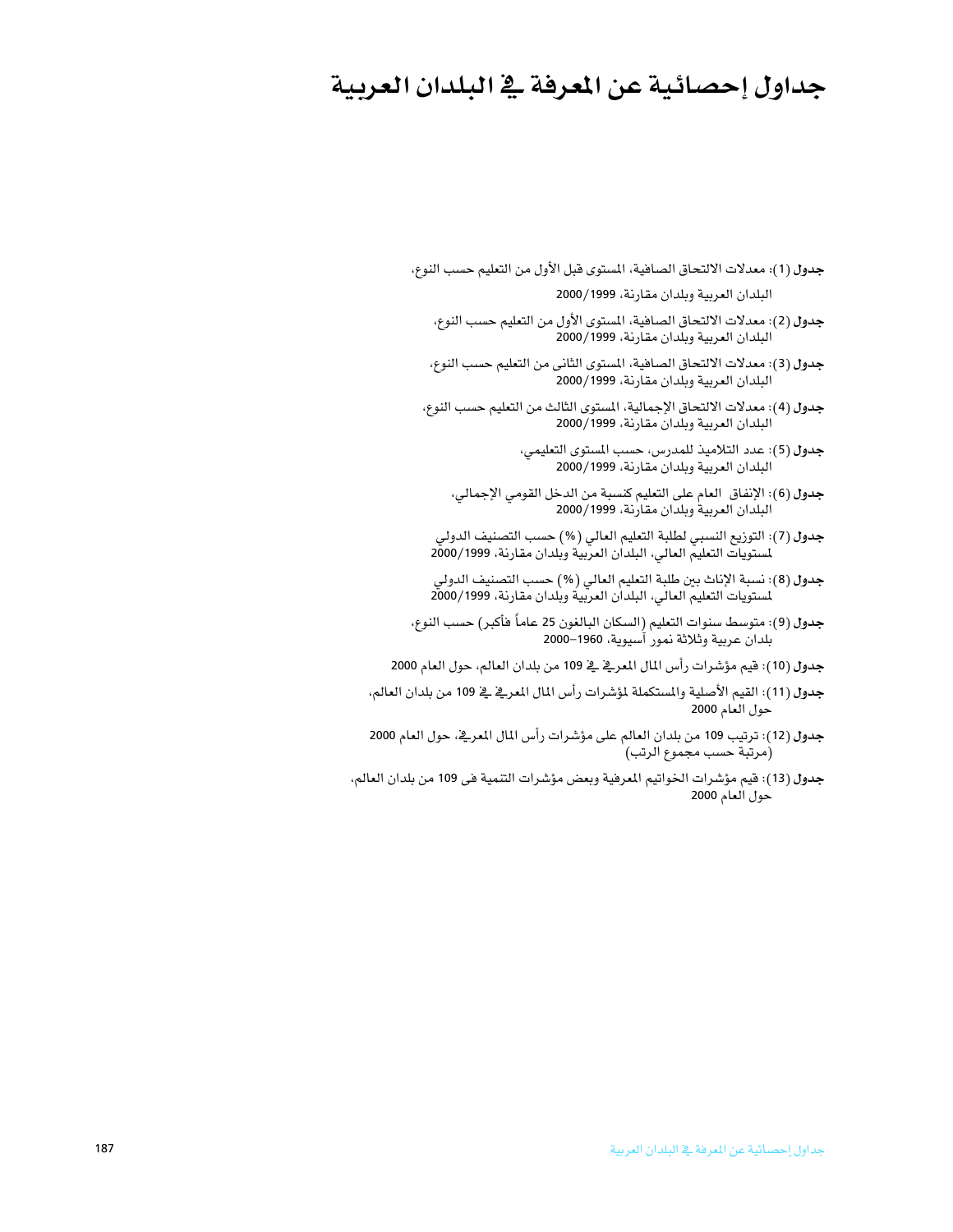## جداول إحصائية عن المعرفة في البلدان العربية

- جدول (1): معدلات الالتحاق الصافية، المستوى فبل الأول من التعليم حسب النوع، البلدان العربية وبلدان مقارنة، 2000/1999
	- جدول (2): معدلات الالتحاق الصافية، المستوى الأول من التعليم حسب النوع، البلدان العربية وبلدان مقارنة، 2000/1999
	- جدول (3): معدلات الالتحاق الصافية، المستوى الثاني من التعليم حسب النوع، البلدان العربية وبلدان مقارنة، 2000/1999
	- جدول (4): معدلات الالتحاق الإجمالية، المستوى الثالث من التعليم حسب النوع، البلدان العربية وبلدان مقارنة، 2000/1999
		- جدول (5): عدد التلاميذ للمدرس، حسب المستوى التعليمي، البلدان العربية وبلدان مقارنة، 2000/1999
		- جدول (6): الإنفاق العام على التعليم كنسبة من الدخل القومي الإجمالي، البلدان العربية وبلدان مقارنة، 2000/1999
	- جدول (7): التوزيع النسبي لطلبة التعليم العالي (%) حسب التصنيف الدولي لمستويات التعليم العالى، البلدان العربية وبلدان مقارنة، 2000/1999
	- جدول (8): نسبة الإناث بين طلبة التعليم العالي (%) حسب التصنيف الدولي لمستويات التعليم العالي، البلدان العربية وبلدان مقارنة، 2000/1999
- جدول (9): متوسط سنوات التعليم (السكان البالغون 25 عاماً هأكبر) حسب النوع، بلدان عربية وثلاثة نمور آسيوية، 1960–2000
- جدول (10): فيم مؤشرات رأس المال المعرفي في 109 من بلدان العالم، حول العام 2000
- جدول (11): القيم الأصلية والمستكملة لمؤشرات رأس المال المعرفي في 109 من بلدان العالم، حول العام 2000
- جدول (12): ترتيب 109 من بلدان العالم على مؤشرات رأس المال المعرفي، حول العام 2000 (مرتبة حسب مجموع الرتب)
- جدول (13): فيم مؤشرات الخواتيم المرهية وبعض مؤشرات التنمية في 109 من بلدان العالم، حول العام 2000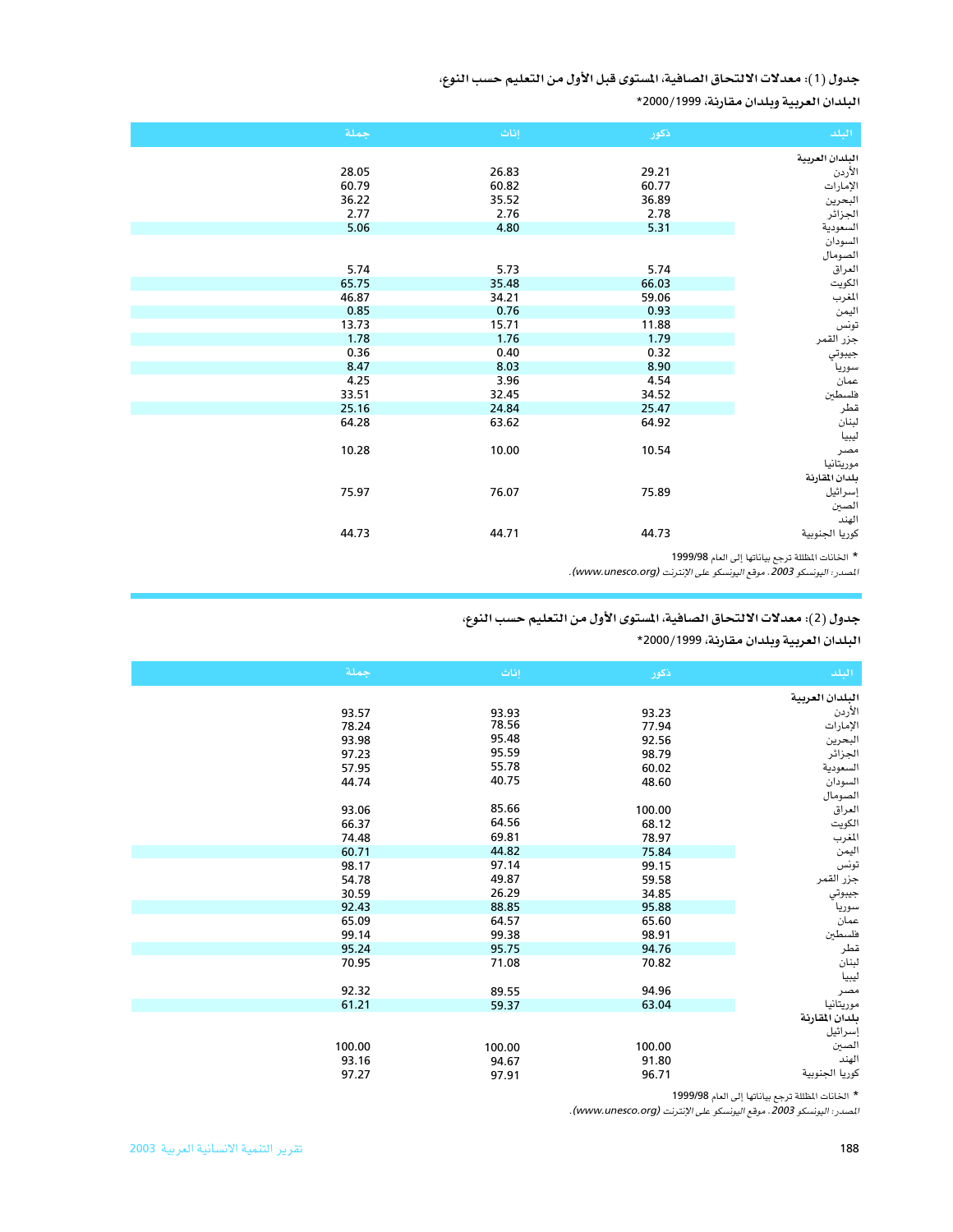## جدول (1): معدلات الالتحاق الصافية، المستوى قبل الأول من التعليم حسب النوع،

البلدان العربية وبلدان مقارنة، 2000/1999\*

| اجملة | إناث  | ذكور  | البلد           |
|-------|-------|-------|-----------------|
|       |       |       | البلدان العربية |
| 28.05 | 26.83 | 29.21 | الأردن          |
| 60.79 | 60.82 | 60.77 | الإمارات        |
| 36.22 | 35.52 | 36.89 | البحرين         |
| 2.77  | 2.76  | 2.78  | الجزائر         |
| 5.06  | 4.80  | 5.31  | السعودية        |
|       |       |       | السودان         |
|       |       |       | الصومال         |
| 5.74  | 5.73  | 5.74  | العراق          |
| 65.75 | 35.48 | 66.03 | الكويت          |
| 46.87 | 34.21 | 59.06 | المغرب          |
| 0.85  | 0.76  | 0.93  | اليمن           |
| 13.73 | 15.71 | 11.88 | تونس            |
| 1.78  | 1.76  | 1.79  | جزر القمر       |
| 0.36  | 0.40  | 0.32  | جيبوتي          |
| 8.47  | 8.03  | 8.90  | سوريا           |
| 4.25  | 3.96  | 4.54  | عمان            |
| 33.51 | 32.45 | 34.52 | فلسطن           |
| 25.16 | 24.84 | 25.47 | قطر             |
| 64.28 | 63.62 | 64.92 | لبنان           |
|       |       |       | ليبيا           |
| 10.28 | 10.00 | 10.54 | مصر             |
|       |       |       | موريتانيا       |
|       |       |       | بلدان المقارنة  |
| 75.97 | 76.07 | 75.89 | إسرائيل         |
|       |       |       | الصين           |
|       |       |       | الهند           |
| 44.73 | 44.71 | 44.73 | كوريا الجنوبية  |

\* الخانات المظللة ترجع بياناتها إلى العام 1999/98

المصدر: اليونسكو 2003 . موقع اليونسكو على الإنترنت (www.unesco.org).

## جدول (2): معدلات الالتحاق الصافية، المستوى الأول من التعليم حسب النوع،

البلدان العربية وبلدان مقارنة، 2000/1999\*

| البلد           | ذكور   | إناث   | جملة   |
|-----------------|--------|--------|--------|
| البلدان العربية |        |        |        |
| الأردن          | 93.23  | 93.93  | 93.57  |
| الإمارات        | 77.94  | 78.56  | 78.24  |
| البحرين         | 92.56  | 95.48  | 93.98  |
| الجزائر         | 98.79  | 95.59  | 97.23  |
| السعودية        | 60.02  | 55.78  | 57.95  |
| السودان         | 48.60  | 40.75  | 44.74  |
| الصومال         |        |        |        |
| العراق          | 100.00 | 85.66  | 93.06  |
| الكويت          | 68.12  | 64.56  | 66.37  |
| المغرب          | 78.97  | 69.81  | 74.48  |
| اليمن           | 75.84  | 44.82  | 60.71  |
| تونس            | 99.15  | 97.14  | 98.17  |
| جزر القمر       | 59.58  | 49.87  | 54.78  |
| جيبوتي          | 34.85  | 26.29  | 30.59  |
| سوريا           | 95.88  | 88.85  | 92.43  |
| عمان            | 65.60  | 64.57  | 65.09  |
| فلسطين          | 98.91  | 99.38  | 99.14  |
| قطر             | 94.76  | 95.75  | 95.24  |
| لبنان           | 70.82  | 71.08  | 70.95  |
| ليبيا           |        |        |        |
| مصر             | 94.96  | 89.55  | 92.32  |
| موريتانيا       | 63.04  | 59.37  | 61.21  |
| بلدان المقارنة  |        |        |        |
| إسرائيل         |        |        |        |
| الصين           | 100.00 | 100.00 | 100.00 |
| الهند           | 91.80  | 94.67  | 93.16  |
| كوريا الجنوبية  | 96.71  | 97.91  | 97.27  |
|                 |        |        |        |

\* الخانات المظللة ترجع بياناتها إلى العام 1999/98

المصدر: اليونسكو 2003. موقع اليونسكو على الإنترنت (www.unesco.org).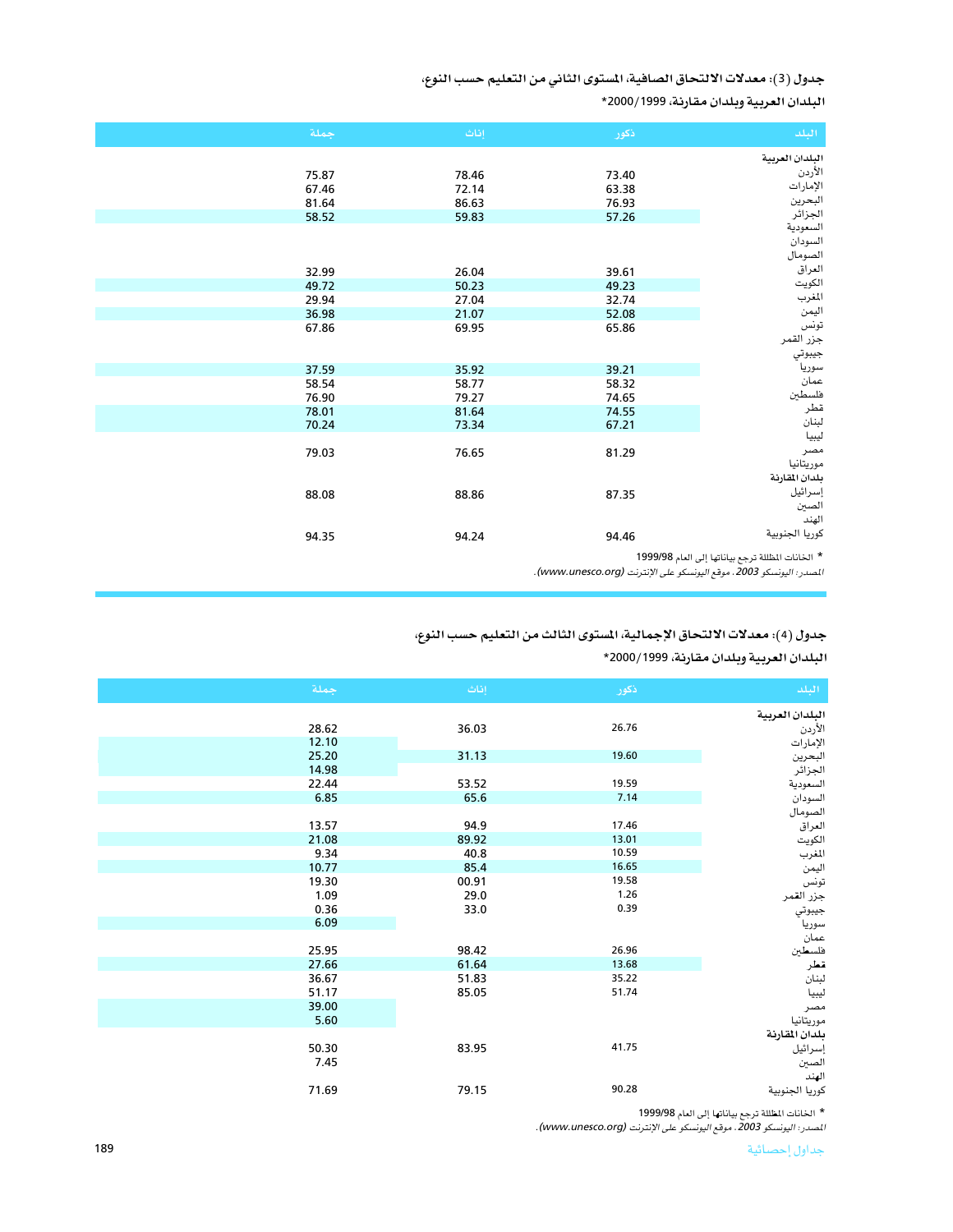جدول (3): معدلات الالتحاق الصافية، المستوى الثاني من التعليم حسب النوع،

البلدان العربية وبلدان مقارنة، 2000/1999\*

| جملة  | إناث  | ذكور  | البلد           |
|-------|-------|-------|-----------------|
|       |       |       | البلدان العربية |
| 75.87 | 78.46 | 73.40 | الأردن          |
| 67.46 | 72.14 | 63.38 | الإمارات        |
| 81.64 | 86.63 | 76.93 | البحرين         |
| 58.52 | 59.83 | 57.26 | الجزائر         |
|       |       |       | السعودية        |
|       |       |       | السودان         |
|       |       |       | الصومال         |
| 32.99 | 26.04 | 39.61 | العراق          |
| 49.72 | 50.23 | 49.23 | الكويت          |
| 29.94 | 27.04 | 32.74 | المغرب          |
| 36.98 | 21.07 | 52.08 | اليمن           |
| 67.86 | 69.95 | 65.86 | تونس            |
|       |       |       | جزر القمر       |
|       |       |       | جيبوتي          |
| 37.59 | 35.92 | 39.21 | سوريا           |
| 58.54 | 58.77 | 58.32 | عمان            |
| 76.90 | 79.27 | 74.65 | فلسطين          |
| 78.01 | 81.64 | 74.55 | قطر             |
| 70.24 | 73.34 | 67.21 | لبنان           |
|       |       |       | ليبيا           |
| 79.03 | 76.65 | 81.29 | مصر             |
|       |       |       | موريتانيا       |
|       |       |       | بلدان المقارنة  |
| 88.08 | 88.86 | 87.35 | إسرائيل         |
|       |       |       | الصين           |
|       |       |       | الهند           |
| 94.35 | 94.24 | 94.46 | كوريا الجنوبية  |

\* الخانات المظللة ترجع بياناتها إلى العام 1999/98

المصدر: اليونسكو 2003 . موقع اليونسكو على الإنترنت (www.unesco.org).

## جدول (4): معدلات الالتحاق الإجمالية، المستوى الثالث من التعليم حسب النوع،

البلدان العربية وبلدان مقارنة، 1999/2000\*

| جملة  | إناث  | ذكور  | البلد           |
|-------|-------|-------|-----------------|
|       |       |       | البلدان العربية |
| 28.62 | 36.03 | 26.76 | الأردن          |
| 12.10 |       |       | الإمارات        |
| 25.20 | 31.13 | 19.60 | البحرين         |
| 14.98 |       |       | الجزائر         |
| 22.44 | 53.52 | 19.59 | السعودية        |
| 6.85  | 65.6  | 7.14  | السودان         |
|       |       |       | الصومال         |
| 13.57 | 94.9  | 17.46 | العراق          |
| 21.08 | 89.92 | 13.01 | الكويت          |
| 9.34  | 40.8  | 10.59 | المغرب          |
| 10.77 | 85.4  | 16.65 | اليمن           |
| 19.30 | 00.91 | 19.58 | تونس            |
| 1.09  | 29.0  | 1.26  | جزر القمر       |
| 0.36  | 33.0  | 0.39  | جيبوتي          |
| 6.09  |       |       | سوريا           |
|       |       |       | عمان            |
| 25.95 | 98.42 | 26.96 | فلسطين          |
| 27.66 | 61.64 | 13.68 | قطر             |
| 36.67 | 51.83 | 35.22 | لبنان           |
| 51.17 | 85.05 | 51.74 | ليبيا           |
| 39.00 |       |       | مصر             |
| 5.60  |       |       | موريتانيا       |
|       |       |       | بلدان المقارنة  |
| 50.30 | 83.95 | 41.75 | إسرائيل         |
| 7.45  |       |       | الصين           |
|       |       |       | الهند           |
| 71.69 | 79.15 | 90.28 | كوريا الجنوبية  |

\* الخانات المظللة ترجع بياناتها إلى العام 1999/98<br>*المسدر: اليونسكو 2003، موقع اليونسكو على الإنترنت (www.unesco.org)*.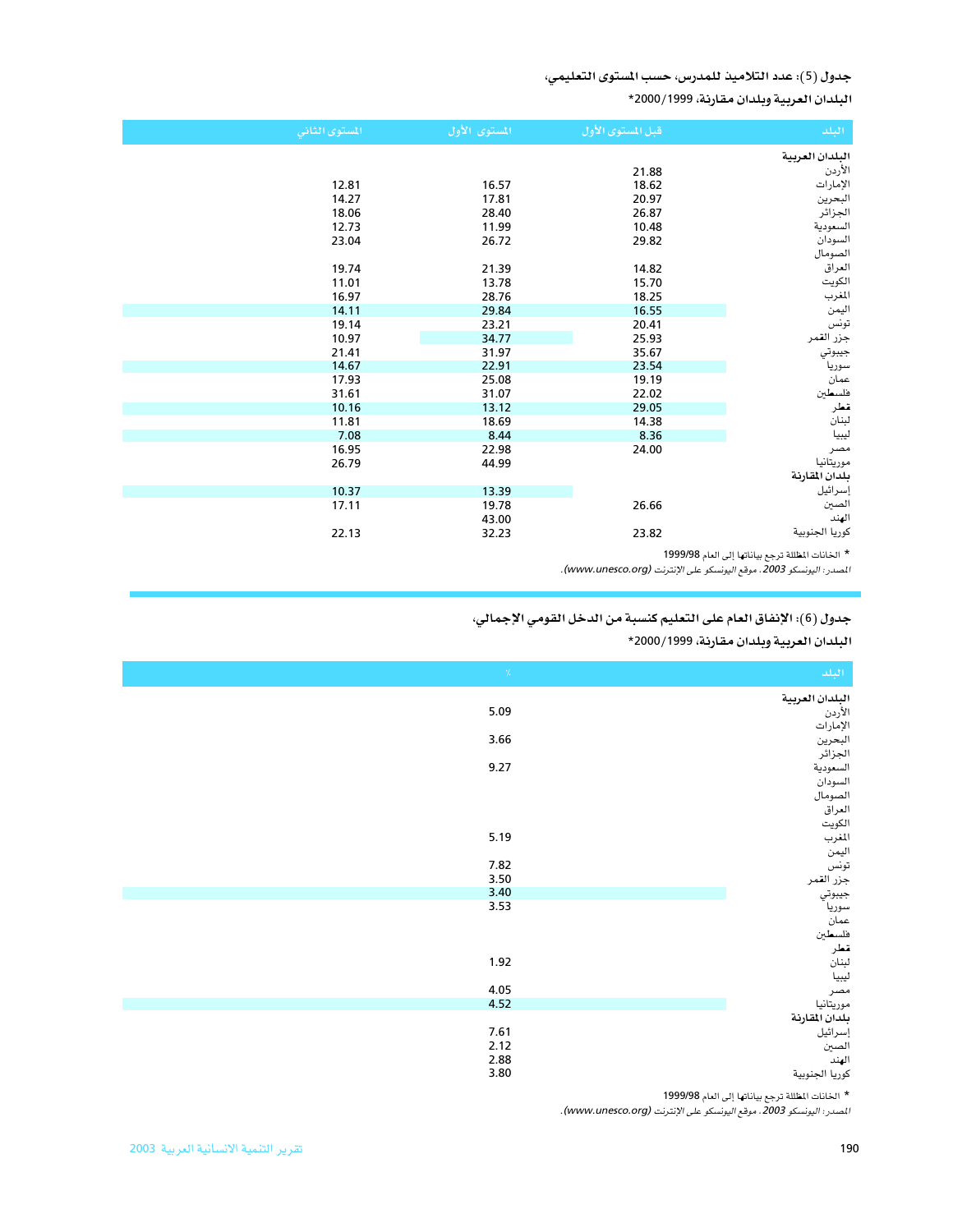### جدول (5): عدد التلاميذ للمدرس، حسب المستوى التعليمي،

البلدان العربية وبلدان مقارنة، 2000/1999\*

| المستوى الثاني | المستوى الأول | قبل المستوى الأول | البلد           |
|----------------|---------------|-------------------|-----------------|
|                |               |                   | البلدان العربية |
|                |               | 21.88             | الأردن          |
| 12.81          | 16.57         | 18.62             | الإمارات        |
| 14.27          | 17.81         | 20.97             | البحرين         |
| 18.06          | 28.40         | 26.87             | الجزائر         |
| 12.73          | 11.99         | 10.48             | السعودية        |
| 23.04          | 26.72         | 29.82             | السودان         |
|                |               |                   | الصومال         |
| 19.74          | 21.39         | 14.82             | العراق          |
| 11.01          | 13.78         | 15.70             | الكويت          |
| 16.97          | 28.76         | 18.25             | المغرب          |
| 14.11          | 29.84         | 16.55             | اليمن           |
| 19.14          | 23.21         | 20.41             | تونس            |
| 10.97          | 34.77         | 25.93             | جزر القمر       |
| 21.41          | 31.97         | 35.67             | جيبوتي          |
| 14.67          | 22.91         | 23.54             | سوريا           |
| 17.93          | 25.08         | 19.19             | عمان            |
| 31.61          | 31.07         | 22.02             | فلسطين          |
| 10.16          | 13.12         | 29.05             | قطر             |
| 11.81          | 18.69         | 14.38             | لبنان           |
| 7.08           | 8.44          | 8.36              | ليبيا           |
| 16.95          | 22.98         | 24.00             | مصر             |
| 26.79          | 44.99         |                   | موريتانيا       |
|                |               |                   | بلدان المقارنة  |
| 10.37          | 13.39         |                   | إسرائيل         |
| 17.11          | 19.78         | 26.66             | الصين           |
|                | 43.00         |                   | الهند           |
| 22.13          | 32.23         | 23.82             | كوريا الجنوبية  |

\* الخانات المظللة ترجع بياناتها إلى العام 1999/98

المصدر: اليونسكو 2003. موقع اليونسكو على الإنترنت (www.unesco.org).

### جدول (6): الإنفاق العام على التعليم كنسبة من الدخل القومي الإجمالي،

البلدان العربية وبلدان مقارنة، 1999/2000\*

| $\gamma_{\rm c}$ | البلد                                                    |
|------------------|----------------------------------------------------------|
|                  | البلدان العربية                                          |
| 5.09             |                                                          |
|                  | الأردن<br>الإمارات                                       |
| 3.66             | البحرين<br>الجزائر                                       |
|                  |                                                          |
| 9.27             | السعودية                                                 |
|                  | السودان                                                  |
|                  | الصومال                                                  |
|                  | العراقي                                                  |
|                  | الكويت                                                   |
| 5.19             | المغرب                                                   |
| 7.82             | اليمن                                                    |
| 3.50             | تونس                                                     |
| 3.40             | سوسس<br>جزر القمر<br>سوريا<br>عمان<br>قطر<br>قطر<br>نبان |
| 3.53             |                                                          |
|                  |                                                          |
|                  |                                                          |
|                  |                                                          |
| 1.92             |                                                          |
|                  | ليبيا                                                    |
| 4.05             | مصر                                                      |
| 4.52             | موريتانيا                                                |
|                  | بلدان المقارنة                                           |
| 7.61             | إسرائيل                                                  |
| 2.12             | الصبن                                                    |
| 2.88             | الهند                                                    |
| 3.80             | كوريا الجنوبية                                           |

\* الخانات المظللة ترجع بياناتها إلى العام 1999/98<br>*ا*لمس*در: اليونسكو 2003، موقع اليونسكو على الإنترنت (www.unesco.org).*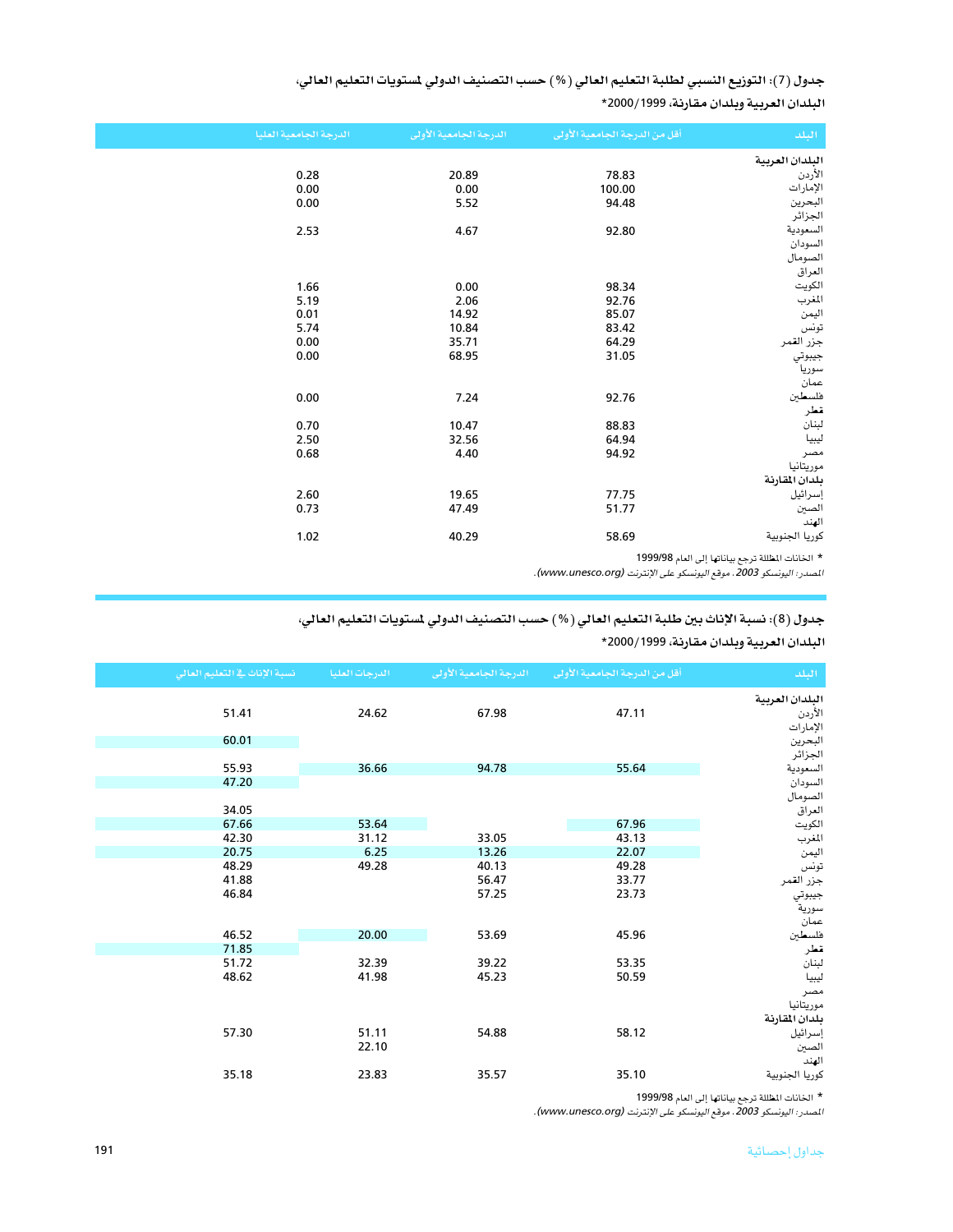جدول (7): التوزيع النسبي لطلبة التعليم العالي (%) حسب التصنيف الدولي لستويات التعليم العالي، البلدان العربية وبلدان مقارنة، 2000/1999\*

| البلدان العربية<br>الأردن<br>0.28<br>78.83<br>20.89<br>الإمارات<br>0.00<br>0.00<br>100.00<br>0.00<br>البحرين<br>94.48<br>5.52<br>الجزائر<br>السعودية<br>2.53<br>4.67<br>92.80<br>السودان<br>الصومال<br>العراق<br>الكويت<br>1.66<br>0.00<br>98.34<br>92.76<br>المغرب<br>5.19<br>2.06<br>اليمن<br>0.01<br>14.92<br>85.07<br>تونس<br>5.74<br>10.84<br>83.42<br>جزر القمر<br>0.00<br>64.29<br>35.71<br>جيبوتي<br>0.00<br>31.05<br>68.95<br>سوريا<br>عمآن |
|------------------------------------------------------------------------------------------------------------------------------------------------------------------------------------------------------------------------------------------------------------------------------------------------------------------------------------------------------------------------------------------------------------------------------------------------------|
|                                                                                                                                                                                                                                                                                                                                                                                                                                                      |
|                                                                                                                                                                                                                                                                                                                                                                                                                                                      |
|                                                                                                                                                                                                                                                                                                                                                                                                                                                      |
|                                                                                                                                                                                                                                                                                                                                                                                                                                                      |
|                                                                                                                                                                                                                                                                                                                                                                                                                                                      |
|                                                                                                                                                                                                                                                                                                                                                                                                                                                      |
|                                                                                                                                                                                                                                                                                                                                                                                                                                                      |
|                                                                                                                                                                                                                                                                                                                                                                                                                                                      |
|                                                                                                                                                                                                                                                                                                                                                                                                                                                      |
|                                                                                                                                                                                                                                                                                                                                                                                                                                                      |
|                                                                                                                                                                                                                                                                                                                                                                                                                                                      |
|                                                                                                                                                                                                                                                                                                                                                                                                                                                      |
|                                                                                                                                                                                                                                                                                                                                                                                                                                                      |
|                                                                                                                                                                                                                                                                                                                                                                                                                                                      |
|                                                                                                                                                                                                                                                                                                                                                                                                                                                      |
|                                                                                                                                                                                                                                                                                                                                                                                                                                                      |
|                                                                                                                                                                                                                                                                                                                                                                                                                                                      |
| فلسطين<br>0.00<br>7.24<br>92.76                                                                                                                                                                                                                                                                                                                                                                                                                      |
| قطر                                                                                                                                                                                                                                                                                                                                                                                                                                                  |
| لبنان<br>0.70<br>10.47<br>88.83                                                                                                                                                                                                                                                                                                                                                                                                                      |
| ليبيا<br>2.50<br>32.56<br>64.94                                                                                                                                                                                                                                                                                                                                                                                                                      |
| 0.68<br>94.92<br>4.40<br>مصر                                                                                                                                                                                                                                                                                                                                                                                                                         |
| موريتانيا                                                                                                                                                                                                                                                                                                                                                                                                                                            |
| بلدان المقارنة                                                                                                                                                                                                                                                                                                                                                                                                                                       |
| إسرائيل<br>2.60<br>19.65<br>77.75                                                                                                                                                                                                                                                                                                                                                                                                                    |
| الصين<br>0.73<br>47.49<br>51.77                                                                                                                                                                                                                                                                                                                                                                                                                      |
| الهند                                                                                                                                                                                                                                                                                                                                                                                                                                                |
| كوريا الجنوبية<br>1.02<br>40.29<br>58.69                                                                                                                                                                                                                                                                                                                                                                                                             |

\* الخانات المظللة ترجع بياناتها إلى العام 1999/98<br>*المصدر: اليونسكو 2003، موقع اليونسكو على الإنترنت (www.unesco.org).* 

### جدول (8): نسبة الإناث بين طلبة التعليم العالي (%) حسب التصنيف الدولي لستويات التعليم العالي،

البلدان العربية وبلدان مقارنة، 2000/1999\*

| نسبة الإناث في التعليم العالي | الدرجات العليا | الدرجة الجامعية الأولى | أقل من الدرجة الجامعية الأولى | الملد              |
|-------------------------------|----------------|------------------------|-------------------------------|--------------------|
|                               |                |                        |                               | البلدان العربية    |
| 51.41                         | 24.62          | 67.98                  | 47.11                         | الأردن             |
|                               |                |                        |                               | الإمارات           |
| 60.01                         |                |                        |                               | البحرين            |
|                               |                |                        |                               | الجزائر            |
| 55.93<br>47.20                | 36.66          | 94.78                  | 55.64                         | السعودية           |
|                               |                |                        |                               | السودان<br>الصومال |
| 34.05                         |                |                        |                               | العراق             |
| 67.66                         | 53.64          |                        | 67.96                         | الكويت             |
| 42.30                         | 31.12          | 33.05                  | 43.13                         | المغرب             |
| 20.75                         | 6.25           | 13.26                  | 22.07                         | اليمن              |
| 48.29                         | 49.28          | 40.13                  | 49.28                         | تونس               |
| 41.88                         |                | 56.47                  | 33.77                         | جزر القمر          |
| 46.84                         |                | 57.25                  | 23.73                         | جيبوتي             |
|                               |                |                        |                               | سورية              |
|                               |                |                        |                               | عمان               |
| 46.52                         | 20.00          | 53.69                  | 45.96                         | فلسطين             |
| 71.85<br>51.72                | 32.39          | 39.22                  | 53.35                         | قعلر               |
| 48.62                         | 41.98          | 45.23                  | 50.59                         | لبنان              |
|                               |                |                        |                               | ليبيا              |
|                               |                |                        |                               | مصر<br>موريتانيا   |
|                               |                |                        |                               | بلدان المقارنة     |
| 57.30                         | 51.11          | 54.88                  | 58.12                         | إسرائيل            |
|                               | 22.10          |                        |                               | الصين              |
|                               |                |                        |                               | الهند              |
| 35.18                         | 23.83          | 35.57                  | 35.10                         | كوريا الجنوبية     |

\* الخانات المظللة ترجع بياناتها إلى العام 1999/98

المصدر: اليونسكو 2003. موقع اليونسكو على الإنترنت (www.unesco.org).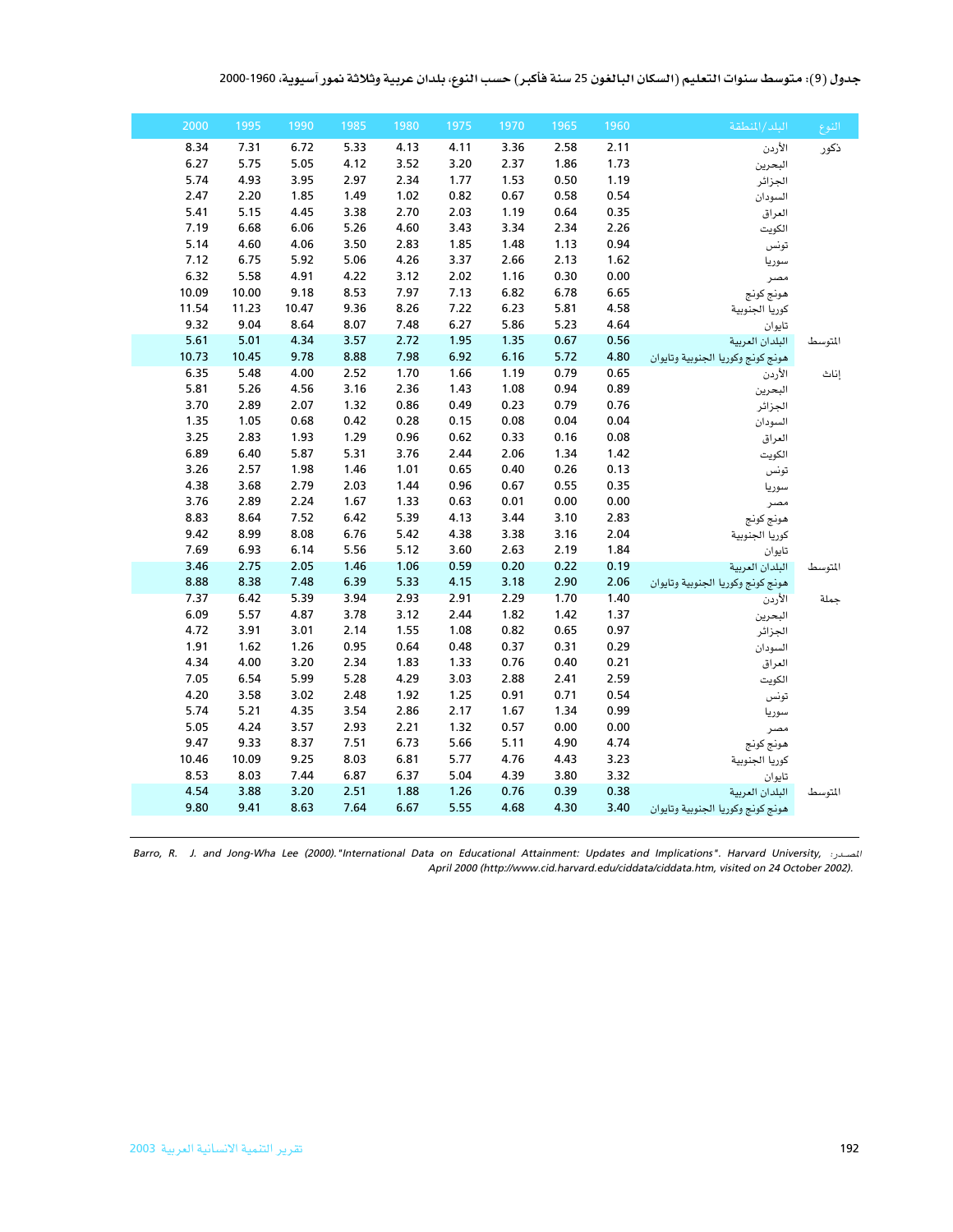| جدول (9): متوسط سنوات التعليم (السكان البالغون 25 سنة فأكبر) حسب النوع، بلدان عربية وثلاثة نمور آسيوية، 1960-2000 |  |  |
|-------------------------------------------------------------------------------------------------------------------|--|--|
|-------------------------------------------------------------------------------------------------------------------|--|--|

| النوع   | البلد/المنطقة                     | 1960 | 1965 | 1970 | 1975 | 1980 | 1985 | 1990  | 1995  | 2000  |
|---------|-----------------------------------|------|------|------|------|------|------|-------|-------|-------|
| ذكور    | الأردن                            | 2.11 | 2.58 | 3.36 | 4.11 | 4.13 | 5.33 | 6.72  | 7.31  | 8.34  |
|         | البحرين                           | 1.73 | 1.86 | 2.37 | 3.20 | 3.52 | 4.12 | 5.05  | 5.75  | 6.27  |
|         | الجزائر                           | 1.19 | 0.50 | 1.53 | 1.77 | 2.34 | 2.97 | 3.95  | 4.93  | 5.74  |
|         | السودان                           | 0.54 | 0.58 | 0.67 | 0.82 | 1.02 | 1.49 | 1.85  | 2.20  | 2.47  |
|         | العراق                            | 0.35 | 0.64 | 1.19 | 2.03 | 2.70 | 3.38 | 4.45  | 5.15  | 5.41  |
|         | الكويت                            | 2.26 | 2.34 | 3.34 | 3.43 | 4.60 | 5.26 | 6.06  | 6.68  | 7.19  |
|         | تونس                              | 0.94 | 1.13 | 1.48 | 1.85 | 2.83 | 3.50 | 4.06  | 4.60  | 5.14  |
|         | سوريا                             | 1.62 | 2.13 | 2.66 | 3.37 | 4.26 | 5.06 | 5.92  | 6.75  | 7.12  |
|         | مصر                               | 0.00 | 0.30 | 1.16 | 2.02 | 3.12 | 4.22 | 4.91  | 5.58  | 6.32  |
|         | هونج كونج                         | 6.65 | 6.78 | 6.82 | 7.13 | 7.97 | 8.53 | 9.18  | 10.00 | 10.09 |
|         | كوريا الجنوبية                    | 4.58 | 5.81 | 6.23 | 7.22 | 8.26 | 9.36 | 10.47 | 11.23 | 11.54 |
|         | تايوان                            | 4.64 | 5.23 | 5.86 | 6.27 | 7.48 | 8.07 | 8.64  | 9.04  | 9.32  |
| المتوسط | البلدان العربية                   | 0.56 | 0.67 | 1.35 | 1.95 | 2.72 | 3.57 | 4.34  | 5.01  | 5.61  |
|         | هونج كونج وكوريا الجنوبية وتايوان | 4.80 | 5.72 | 6.16 | 6.92 | 7.98 | 8.88 | 9.78  | 10.45 | 10.73 |
| إناث    | الأردن                            | 0.65 | 0.79 | 1.19 | 1.66 | 1.70 | 2.52 | 4.00  | 5.48  | 6.35  |
|         | البحرين                           | 0.89 | 0.94 | 1.08 | 1.43 | 2.36 | 3.16 | 4.56  | 5.26  | 5.81  |
|         | الجزائر                           | 0.76 | 0.79 | 0.23 | 0.49 | 0.86 | 1.32 | 2.07  | 2.89  | 3.70  |
|         | السودان                           | 0.04 | 0.04 | 0.08 | 0.15 | 0.28 | 0.42 | 0.68  | 1.05  | 1.35  |
|         | العراق                            | 0.08 | 0.16 | 0.33 | 0.62 | 0.96 | 1.29 | 1.93  | 2.83  | 3.25  |
|         | الكويت                            | 1.42 | 1.34 | 2.06 | 2.44 | 3.76 | 5.31 | 5.87  | 6.40  | 6.89  |
|         | تونس                              | 0.13 | 0.26 | 0.40 | 0.65 | 1.01 | 1.46 | 1.98  | 2.57  | 3.26  |
|         | سوريا                             | 0.35 | 0.55 | 0.67 | 0.96 | 1.44 | 2.03 | 2.79  | 3.68  | 4.38  |
|         | مصر                               | 0.00 | 0.00 | 0.01 | 0.63 | 1.33 | 1.67 | 2.24  | 2.89  | 3.76  |
|         | هونج كونج                         | 2.83 | 3.10 | 3.44 | 4.13 | 5.39 | 6.42 | 7.52  | 8.64  | 8.83  |
|         | كوريا الجنوبية                    | 2.04 | 3.16 | 3.38 | 4.38 | 5.42 | 6.76 | 8.08  | 8.99  | 9.42  |
|         | تايوان                            | 1.84 | 2.19 | 2.63 | 3.60 | 5.12 | 5.56 | 6.14  | 6.93  | 7.69  |
| المتوسط | البلدان العربية                   | 0.19 | 0.22 | 0.20 | 0.59 | 1.06 | 1.46 | 2.05  | 2.75  | 3.46  |
|         | هونج كونج وكوريا الجنوبية وتايوان | 2.06 | 2.90 | 3.18 | 4.15 | 5.33 | 6.39 | 7.48  | 8.38  | 8.88  |
| حملة    | الأردن                            | 1.40 | 1.70 | 2.29 | 2.91 | 2.93 | 3.94 | 5.39  | 6.42  | 7.37  |
|         | البحرين                           | 1.37 | 1.42 | 1.82 | 2.44 | 3.12 | 3.78 | 4.87  | 5.57  | 6.09  |
|         | الجزائر                           | 0.97 | 0.65 | 0.82 | 1.08 | 1.55 | 2.14 | 3.01  | 3.91  | 4.72  |
|         | السودان                           | 0.29 | 0.31 | 0.37 | 0.48 | 0.64 | 0.95 | 1.26  | 1.62  | 1.91  |
|         | العراق                            | 0.21 | 0.40 | 0.76 | 1.33 | 1.83 | 2.34 | 3.20  | 4.00  | 4.34  |
|         | الكويت                            | 2.59 | 2.41 | 2.88 | 3.03 | 4.29 | 5.28 | 5.99  | 6.54  | 7.05  |
|         | تونس                              | 0.54 | 0.71 | 0.91 | 1.25 | 1.92 | 2.48 | 3.02  | 3.58  | 4.20  |
|         | سوريا                             | 0.99 | 1.34 | 1.67 | 2.17 | 2.86 | 3.54 | 4.35  | 5.21  | 5.74  |
|         | مصر                               | 0.00 | 0.00 | 0.57 | 1.32 | 2.21 | 2.93 | 3.57  | 4.24  | 5.05  |
|         | هونج كونج                         | 4.74 | 4.90 | 5.11 | 5.66 | 6.73 | 7.51 | 8.37  | 9.33  | 9.47  |
|         | كوريا الجنوبية                    | 3.23 | 4.43 | 4.76 | 5.77 | 6.81 | 8.03 | 9.25  | 10.09 | 10.46 |
|         | تايوان                            | 3.32 | 3.80 | 4.39 | 5.04 | 6.37 | 6.87 | 7.44  | 8.03  | 8.53  |
| المتوسط | البلدان العربية                   | 0.38 | 0.39 | 0.76 | 1.26 | 1.88 | 2.51 | 3.20  | 3.88  | 4.54  |
|         | هونج كونج وكوريا الجنوبية وتايوان | 3.40 | 4.30 | 4.68 | 5.55 | 6.67 | 7.64 | 8.63  | 9.41  | 9.80  |
|         |                                   |      |      |      |      |      |      |       |       |       |

المصدر: ,Barro, R. J. and Jong-Wha Lee (2000)."International Data on Educational Attainment: Updates and Implications". Harvard University, الصدر: ,Barro, R. J. and Jong-Wha Lee (2000).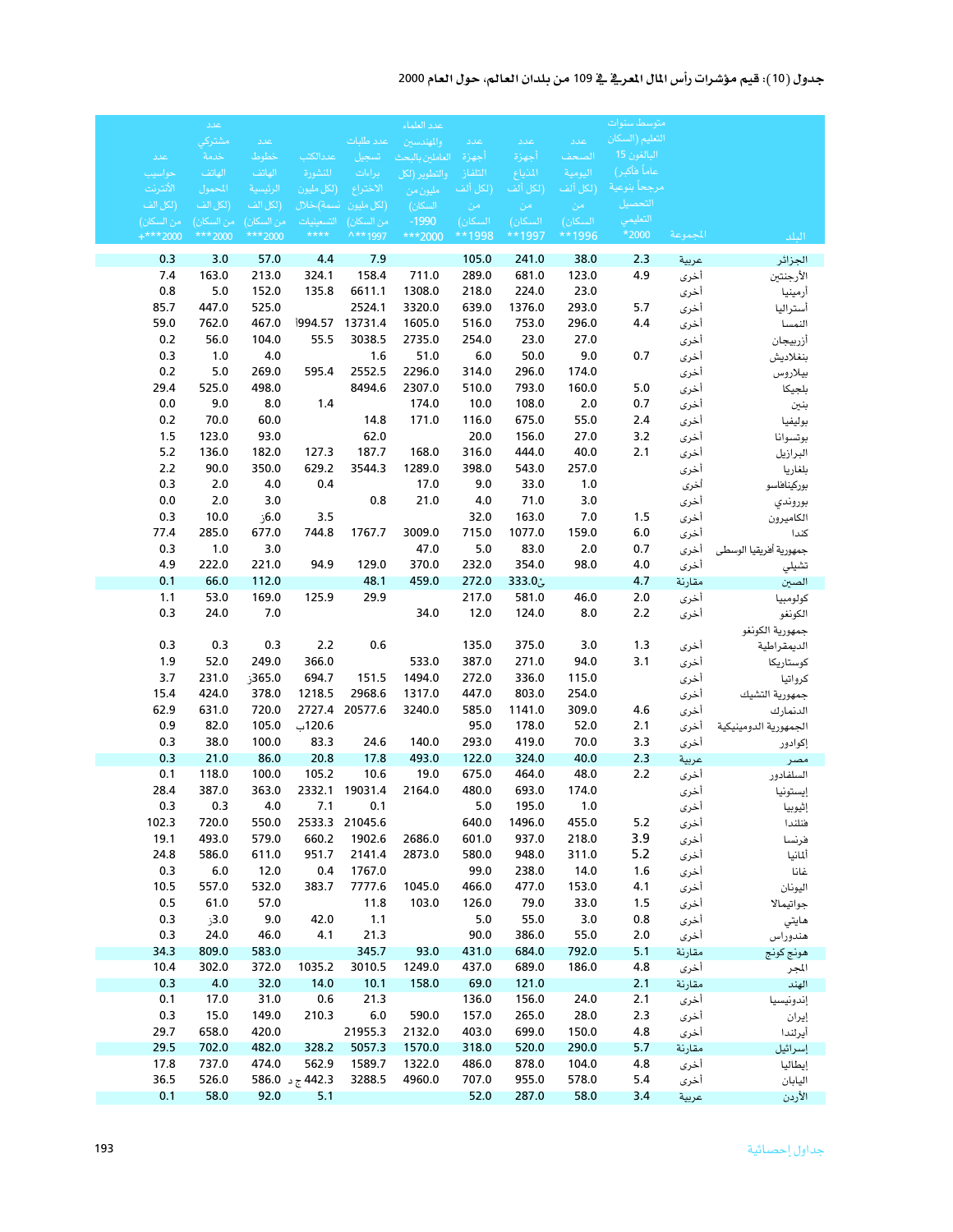## جدول (10): قيم مؤشرات رأس المال المعرية في 109 من بلدان العالم، حول العام 2000

|              | عدد            |                |                 |                   | عدد العلماء      |                |                |                       | متوسط سنوات     |                |                          |
|--------------|----------------|----------------|-----------------|-------------------|------------------|----------------|----------------|-----------------------|-----------------|----------------|--------------------------|
|              | مشتركي         | عدد            |                 | عدد طلبات         | والمهندسين       | اعدد           | اعدد           | اعددا                 | التعليم (السكان |                |                          |
| عدد          | خدمة           | خطوط           | عددالكتب        | تسجيل             | العاملين بالبحث  | أجهزة          | أجهزة          | الصحف                 | البالغون 15     |                |                          |
| حواسيب       | الهاتف         | الهاتف         | المنشورة        | براءات            | والتطوير (لكل    | التلفاز        | المذياع        | اليومية               | عاماً فأكبر)    |                |                          |
| الأنترنت     | للحمول         | الرئيسية       | (لكل مليون      | الاختراع          | مليون من         | (لكل ألف       | (لكل ألف       | .<br>(لكل أل <u>ف</u> | مرجحأ بنوعية    |                |                          |
| (لكل الف     | (لكل الف       | (لكل الف       | انسمة)،خلال     | (لكل مليون        | السكان)          | - من           | - من           | _ من                  | التحصيل         |                |                          |
| من السكان)   | من السكان)     | من السكان)     | التسعينيات      | من السكان)        | $-1990$          | السكان)        | السكان)        | السكان)               | التعليمي        |                |                          |
| $+***2000$   | *** 2000       | ***2000        | $***$           | ^**1997           | ***2000          | **1998         | **1997         | **1996                | *2000           | المجموعة       | البلد                    |
| 0.3          | 3.0            | 57.0           | 4.4             | 7.9               |                  | 105.0          | 241.0          | 38.0                  | 2.3             | عربية          | الجزائر                  |
| 7.4          | 163.0          | 213.0          | 324.1           | 158.4             | 711.0            | 289.0          | 681.0          | 123.0                 | 4.9             | أخرى           | الأرجنتين                |
| 0.8          | 5.0            | 152.0          | 135.8           | 6611.1            | 1308.0           | 218.0          | 224.0          | 23.0                  |                 | أخرى           | أرمينيا                  |
| 85.7         | 447.0          | 525.0          |                 | 2524.1            | 3320.0           | 639.0          | 1376.0         | 293.0                 | 5.7             | أخرى           | أستراليا                 |
| 59.0         | 762.0          | 467.0          |                 | 13731.4           | 1605.0           | 516.0          | 753.0          | 296.0                 | 4.4             | أخرى           | النمسا                   |
| 0.2          | 56.0           | 104.0          | 55.5            | 3038.5            | 2735.0           | 254.0          | 23.0           | 27.0                  |                 | أخرى           | أزربيجان                 |
| 0.3          | 1.0            | 4.0            |                 | 1.6               | 51.0             | $6.0$          | 50.0           | 9.0                   | 0.7             | أخرى           | بنغلاديش                 |
| 0.2          | 5.0            | 269.0          | 595.4           | 2552.5            | 2296.0           | 314.0          | 296.0          | 174.0                 |                 | أخرى           | بيلاروس                  |
| 29.4         | 525.0          | 498.0          |                 | 8494.6            | 2307.0           | 510.0          | 793.0          | 160.0                 | 5.0             | أخرى           | بلجيكا                   |
| 0.0          | 9.0            | 8.0            | 1.4             |                   | 174.0            | 10.0           | 108.0          | 2.0                   | 0.7             | أخرى           | بنين                     |
| 0.2          | 70.0           | 60.0           |                 | 14.8              | 171.0            | 116.0          | 675.0          | 55.0                  | 2.4             | أخرى           | بوليفيا                  |
| 1.5          | 123.0          | 93.0           |                 | 62.0              |                  | 20.0           | 156.0          | 27.0                  | 3.2             | أخرى           | بوتسوانا                 |
| $5.2$        | 136.0          | 182.0          | 127.3           | 187.7             | 168.0            | 316.0          | 444.0          | 40.0                  | 2.1             | أخرى           | البرازيل                 |
| 2.2          | 90.0           | 350.0          | 629.2           | 3544.3            | 1289.0           | 398.0          | 543.0          | 257.0                 |                 | أخرى           | بلغاريا                  |
| 0.3          | 2.0            | 4.0            | 0.4             |                   | 17.0             | 9.0            | 33.0           | 1.0                   |                 | أخرى           | بوركيناهاسو              |
| 0.0          | 2.0            | 3.0            |                 | 0.8               | 21.0             | 4.0            | 71.0           | 3.0                   |                 | أخرى           | بوروندي                  |
| 0.3          | 10.0           | ,6.0           | 3.5             |                   |                  | 32.0           | 163.0          | 7.0                   | 1.5             | أخرى           | الكاميرون                |
| 77.4         | 285.0          | 677.0          | 744.8           | 1767.7            | 3009.0           | 715.0          | 1077.0         | 159.0                 | 6.0             | أخرى           | كندا                     |
| 0.3          | 1.0            | 3.0            |                 |                   | 47.0             | $5.0$          | 83.0           | 2.0                   | 0.7             | أخرى           | جمهورية أفريقيا الوسطى   |
| 4.9          | 222.0          | 221.0          | 94.9            | 129.0             | 370.0            | 232.0          | 354.0          | 98.0                  | 4.0             | أخرى           | تشيلي                    |
| 0.1          | 66.0           | 112.0          |                 | 48.1              | 459.0            | 272.0          | ئ333.0         |                       | 4.7             | مقارنة         | الصين                    |
| 1.1          | 53.0           | 169.0          | 125.9           | 29.9              |                  | 217.0          | 581.0          | 46.0                  | 2.0             | أخرى           | كولومبيا                 |
| 0.3          | 24.0           | 7.0            |                 |                   | 34.0             | 12.0           | 124.0          | 8.0                   | 2.2             | أخرى           | الكونغو                  |
|              |                |                |                 | 0.6               |                  |                |                |                       |                 |                | جمهورية الكونغو          |
| 0.3<br>1.9   | 0.3<br>52.0    | 0.3<br>249.0   | 2.2<br>366.0    |                   | 533.0            | 135.0<br>387.0 | 375.0<br>271.0 | 3.0<br>94.0           | 1.3<br>3.1      | أخرى<br>أخرى   | الديمقراطية<br>كوستاريكا |
| 3.7          | 231.0          | 365.0ز         | 694.7           | 151.5             | 1494.0           | 272.0          | 336.0          | 115.0                 |                 | أخرى           | كرواتيا                  |
| 15.4         | 424.0          | 378.0          | 1218.5          | 2968.6            | 1317.0           | 447.0          | 803.0          | 254.0                 |                 | أخرى           | جمهورية التشيك           |
| 62.9         | 631.0          | 720.0          |                 | 2727.4 20577.6    | 3240.0           | 585.0          | 1141.0         | 309.0                 | 4.6             | أخرى           | الدنمارك                 |
| 0.9          | 82.0           | 105.0          | 120.6ب          |                   |                  | 95.0           | 178.0          | 52.0                  | 2.1             | أخرى           | الجمهورية الدومينيكية    |
| 0.3          | 38.0           | 100.0          | 83.3            | 24.6              | 140.0            | 293.0          | 419.0          | 70.0                  | 3.3             | أخرى           | إكوادور                  |
| 0.3          | 21.0           | 86.0           | 20.8            | 17.8              | 493.0            | 122.0          | 324.0          | 40.0                  | 2.3             | عربية          | مصر                      |
| 0.1          | 118.0          | 100.0          | 105.2           | 10.6              | 19.0             | 675.0          | 464.0          | 48.0                  | 2.2             | أخرى           | السلفادور                |
| 28.4         | 387.0          | 363.0          |                 | 2332.1 19031.4    | 2164.0           | 480.0          | 693.0          | 174.0                 |                 | أخرى           | إيستونيا                 |
| 0.3          | 0.3            | 4.0            | 7.1             | 0.1               |                  | 5.0            | 195.0          | 1.0                   |                 | أخرى           | إثيوبيا                  |
| 102.3        | 720.0          | 550.0          |                 | 2533.3 21045.6    |                  | 640.0          | 1496.0         | 455.0                 | 5.2             | أخرى           | فنلندا                   |
| 19.1         | 493.0          | 579.0          | 660.2           | 1902.6            | 2686.0           | 601.0          | 937.0          | 218.0                 | 3.9             | أخرى           | فرنسا                    |
| 24.8         | 586.0          | 611.0          | 951.7           | 2141.4            | 2873.0           | 580.0          | 948.0          | 311.0                 | $5.2$           | أخرى           | ألمانيا                  |
| 0.3          | 6.0            | 12.0           | 0.4             | 1767.0            |                  | 99.0           | 238.0          | 14.0                  | 1.6             | أخرى           | غانا                     |
| 10.5         | 557.0          | 532.0          | 383.7           | 7777.6            | 1045.0           | 466.0          | 477.0          | 153.0                 | 4.1             | أخرى           | اليونان                  |
| 0.5          | 61.0           | 57.0           |                 | 11.8              | 103.0            | 126.0          | 79.0           | 33.0                  | 1.5             | أخرى           | جواتيمالا                |
| 0.3          | 3.0ز           | 9.0            | 42.0            | 1.1               |                  | 5.0            | 55.0           | 3.0                   | 0.8             | أخرى           | هايتي                    |
| 0.3          | 24.0           | 46.0           | 4.1             | 21.3              |                  | 90.0           | 386.0          | 55.0                  | 2.0             | أخرى           | هندوراس                  |
| 34.3         | 809.0          | 583.0          |                 | 345.7             | 93.0             | 431.0          | 684.0          | 792.0                 | 5.1             | مقارنة         | هونج كونج                |
| 10.4         | 302.0          | 372.0          | 1035.2          | 3010.5            | 1249.0           | 437.0          | 689.0          | 186.0                 | 4.8             | أخرى           | المجر                    |
| 0.3          | 4.0            | 32.0           | 14.0            | 10.1              | 158.0            | 69.0           | 121.0          |                       | 2.1             | مقارنة         | الهند                    |
| 0.1          | 17.0           | 31.0           | 0.6             | 21.3              |                  | 136.0          | 156.0          | 24.0                  | 2.1             | أخرى           | إندونيسيا                |
| 0.3          | 15.0           | 149.0          | 210.3           | $6.0$             | 590.0            | 157.0          | 265.0          | 28.0                  | 2.3             | أخرى           | إيران                    |
| 29.7<br>29.5 | 658.0<br>702.0 | 420.0<br>482.0 | 328.2           | 21955.3<br>5057.3 | 2132.0<br>1570.0 | 403.0<br>318.0 | 699.0<br>520.0 | 150.0<br>290.0        | 4.8<br>5.7      | أخرى           | أيرلندا                  |
| 17.8         | 737.0          | 474.0          | 562.9           | 1589.7            | 1322.0           | 486.0          | 878.0          | 104.0                 | 4.8             | مقارنة<br>أخرى | إسرائيل                  |
| 36.5         | 526.0          |                | 586.0 ج د 586.0 | 3288.5            | 4960.0           | 707.0          | 955.0          | 578.0                 | 5.4             | أخرى           | إيطاليا<br>اليابان       |
| 0.1          | 58.0           | 92.0           | 5.1             |                   |                  | 52.0           | 287.0          | 58.0                  | 3.4             | عربية          | الأردن                   |
|              |                |                |                 |                   |                  |                |                |                       |                 |                |                          |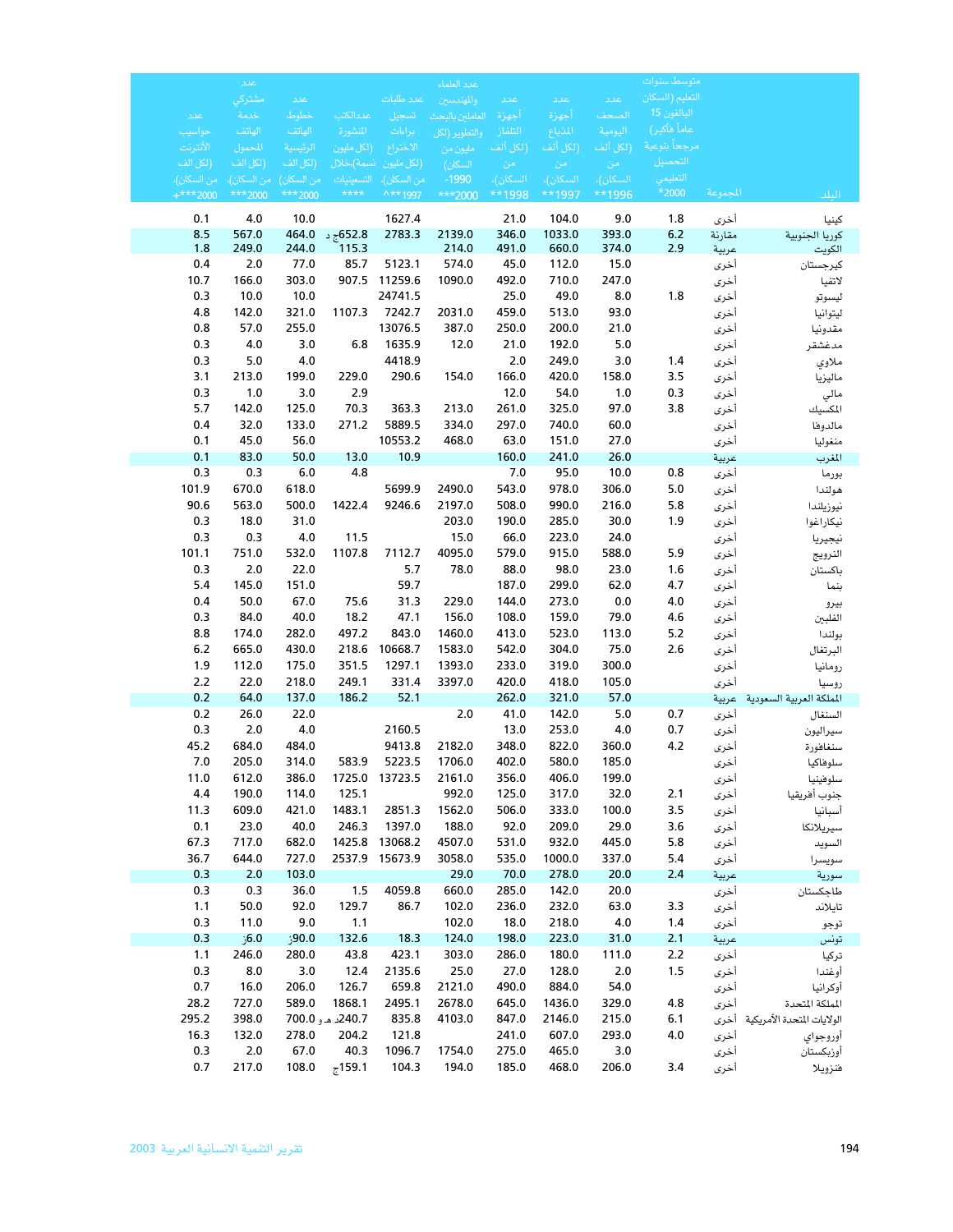|                                 | عدد                     |                |                          |                           | عدد العلماء        |                  |                         |                         | متوسط سنوات                          |               |                                 |
|---------------------------------|-------------------------|----------------|--------------------------|---------------------------|--------------------|------------------|-------------------------|-------------------------|--------------------------------------|---------------|---------------------------------|
|                                 | مشتركي                  | عدد            |                          | عدد طلبات                 | والمهندسين         | عدد              | عدد                     | عدد                     | التعليم (السكان                      |               |                                 |
| عدد                             | خدمة                    | خطوط           | عددالكت                  | تسجيل                     | العاملين بالبحث    | أجهزة            | أجهزة                   | الصحف                   | البالغون 15                          |               |                                 |
| حواسيب                          | الهاتف                  | الهاتف         | المنشورة                 | براءات                    | والتطوير (لكل      | التلفاز          | المذياع                 | اليومية                 | عاماً فأكبر)<br>مرجحا بنو <u>عية</u> |               |                                 |
| الأنترنت                        | المحمول                 | الرئيسية       | (لكل مليون               | الاختراع                  | مليون من           | (لكل ألف         | (لكل ألف                | (لكل ألف                | التحصيل                              |               |                                 |
| (لكل الف<br>من السكا <u>ن)،</u> | (لكل الف<br>من السكان)، | (لكل الف       | نسمة)،خلال<br>التسعينيات | (لكل مليون<br>من السكان)، | السكان)<br>$-1990$ | ِ من<br>السكان)، | - من<br><u>السكان)،</u> | - من<br><u>السكان)،</u> | التعليمي                             |               |                                 |
| $+***2000$                      | *** 2000                | *** 2000       | $***$                    | ^** 1997                  | ***2000            | **1998           | **1997                  | **1996                  | *2000                                | المجموعة      | الىلد                           |
| 0.1                             | 4.0                     | 10.0           |                          | 1627.4                    |                    | 21.0             | 104.0                   | 9.0                     | 1.8                                  | أخرى          | كينيا                           |
| 8.5                             | 567.0                   | 464.0          | 652.8ج د                 | 2783.3                    | 2139.0             | 346.0            | 1033.0                  | 393.0                   | 6.2                                  | مقارنة        | كوريا الجنوبية                  |
| 1.8                             | 249.0                   | 244.0          | 115.3                    |                           | 214.0              | 491.0            | 660.0                   | 374.0                   | 2.9                                  | عربية         | الكويت                          |
| 0.4                             | 2.0                     | 77.0           | 85.7                     | 5123.1                    | 574.0              | 45.0             | 112.0                   | 15.0                    |                                      | أخرى          | كيرجستان                        |
| 10.7                            | 166.0                   | 303.0          | 907.5                    | 11259.6                   | 1090.0             | 492.0            | 710.0                   | 247.0                   |                                      | أخرى          | لاتفيا                          |
| 0.3                             | 10.0                    | 10.0           |                          | 24741.5                   |                    | 25.0             | 49.0                    | 8.0                     | 1.8                                  | أخرى          | ليسوتو                          |
| 4.8                             | 142.0                   | 321.0          | 1107.3                   | 7242.7                    | 2031.0             | 459.0            | 513.0                   | 93.0                    |                                      | أخرى          | ليتوانيا                        |
| 0.8                             | 57.0                    | 255.0          |                          | 13076.5                   | 387.0              | 250.0            | 200.0                   | 21.0                    |                                      | أخرى          | مقدونيا                         |
| 0.3                             | 4.0                     | 3.0            | 6.8                      | 1635.9<br>4418.9          | 12.0               | 21.0             | 192.0                   | 5.0                     |                                      | أخرى          | مدغشقر                          |
| 0.3<br>3.1                      | 5.0<br>213.0            | 4.0<br>199.0   | 229.0                    | 290.6                     | 154.0              | 2.0<br>166.0     | 249.0<br>420.0          | 3.0<br>158.0            | 1.4<br>3.5                           | أخرى          | ملاوي                           |
| 0.3                             | 1.0                     | 3.0            | 2.9                      |                           |                    | 12.0             | 54.0                    | 1.0                     | 0.3                                  | أخرى<br>أخرى  | ماليزيا                         |
| 5.7                             | 142.0                   | 125.0          | 70.3                     | 363.3                     | 213.0              | 261.0            | 325.0                   | 97.0                    | 3.8                                  | أخرى          | مالي<br>المكسيك                 |
| 0.4                             | 32.0                    | 133.0          | 271.2                    | 5889.5                    | 334.0              | 297.0            | 740.0                   | 60.0                    |                                      | أخرى          | مالدوها                         |
| 0.1                             | 45.0                    | 56.0           |                          | 10553.2                   | 468.0              | 63.0             | 151.0                   | 27.0                    |                                      | أخرى          | منغوليا                         |
| 0.1                             | 83.0                    | 50.0           | 13.0                     | 10.9                      |                    | 160.0            | 241.0                   | 26.0                    |                                      | عربية         | المغرب                          |
| 0.3                             | 0.3                     | 6.0            | 4.8                      |                           |                    | 7.0              | 95.0                    | 10.0                    | 0.8                                  | أخرى          | بورما                           |
| 101.9                           | 670.0                   | 618.0          |                          | 5699.9                    | 2490.0             | 543.0            | 978.0                   | 306.0                   | 5.0                                  | أخرى          | هولندا                          |
| 90.6                            | 563.0                   | 500.0          | 1422.4                   | 9246.6                    | 2197.0             | 508.0            | 990.0                   | 216.0                   | 5.8                                  | أخرى          | نيوزيلندا                       |
| 0.3                             | 18.0                    | 31.0           |                          |                           | 203.0              | 190.0            | 285.0                   | 30.0                    | 1.9                                  | أخرى          | نيكاراغوا                       |
| 0.3                             | 0.3                     | $4.0$          | 11.5                     |                           | 15.0               | 66.0             | 223.0                   | 24.0                    |                                      | أخرى          | نيجيريا                         |
| 101.1                           | 751.0                   | 532.0          | 1107.8                   | 7112.7                    | 4095.0             | 579.0            | 915.0                   | 588.0                   | 5.9                                  | أخرى          | النرويج                         |
| 0.3                             | 2.0                     | 22.0           |                          | 5.7                       | 78.0               | 88.0             | 98.0                    | 23.0                    | 1.6                                  | أخرى          | باكستان                         |
| 5.4                             | 145.0                   | 151.0          |                          | 59.7                      |                    | 187.0            | 299.0                   | 62.0                    | 4.7                                  | أخرى          | بنما                            |
| 0.4<br>0.3                      | 50.0<br>84.0            | 67.0<br>40.0   | 75.6<br>18.2             | 31.3<br>47.1              | 229.0<br>156.0     | 144.0<br>108.0   | 273.0                   | 0.0<br>79.0             | 4.0                                  | أخرى          | بيرو                            |
| 8.8                             | 174.0                   | 282.0          | 497.2                    | 843.0                     | 1460.0             | 413.0            | 159.0<br>523.0          | 113.0                   | 4.6<br>5.2                           | أخرى<br>أخرى  | الفلبين<br>بولندا               |
| 6.2                             | 665.0                   | 430.0          | 218.6                    | 10668.7                   | 1583.0             | 542.0            | 304.0                   | 75.0                    | 2.6                                  | أخرى          | البرتغال                        |
| 1.9                             | 112.0                   | 175.0          | 351.5                    | 1297.1                    | 1393.0             | 233.0            | 319.0                   | 300.0                   |                                      | أخرى          | رومانيا                         |
| 2.2                             | 22.0                    | 218.0          | 249.1                    | 331.4                     | 3397.0             | 420.0            | 418.0                   | 105.0                   |                                      | أخرى          | روسيا                           |
| 0.2                             | 64.0                    | 137.0          | 186.2                    | 52.1                      |                    | 262.0            | 321.0                   | 57.0                    |                                      |               | المملكة العربية السعودية عربية  |
| 0.2                             | 26.0                    | 22.0           |                          |                           | 2.0                | 41.0             | 142.0                   | 5.0                     | 0.7                                  | أخرى          | السنغال                         |
| 0.3                             | 2.0                     | 4.0            |                          | 2160.5                    |                    | 13.0             | 253.0                   | 4.0                     | 0.7                                  | أخرى          | سيراليون                        |
| 45.2                            | 684.0                   | 484.0          |                          | 9413.8                    | 2182.0             | 348.0            | 822.0                   | 360.0                   | 4.2                                  | أخرى          | سنغافورة                        |
| 7.0                             | 205.0                   | 314.0          | 583.9                    | 5223.5                    | 1706.0             | 402.0            | 580.0                   | 185.0                   |                                      | أخرى          | سلوفاكيا                        |
| 11.0                            | 612.0                   | 386.0          |                          | 1725.0 13723.5            | 2161.0             | 356.0            | 406.0                   | 199.0                   |                                      | أخرى          | سلوفينيا                        |
| 4.4                             | 190.0                   | 114.0          | 125.1                    |                           | 992.0              | 125.0            | 317.0                   | 32.0                    | 2.1                                  | أخرى          | جنوب أفريقيا                    |
| 11.3                            | 609.0                   | 421.0          | 1483.1                   | 2851.3                    | 1562.0             | 506.0            | 333.0                   | 100.0                   | 3.5                                  | أخرى          | أسبانيا                         |
| 0.1                             | 23.0                    | 40.0           | 246.3                    | 1397.0<br>1425.8 13068.2  | 188.0              | 92.0             | 209.0                   | 29.0                    | 3.6                                  | أخرى          | سيريلانكا                       |
| 67.3<br>36.7                    | 717.0<br>644.0          | 682.0<br>727.0 |                          | 2537.9 15673.9            | 4507.0<br>3058.0   | 531.0<br>535.0   | 932.0<br>1000.0         | 445.0<br>337.0          | 5.8<br>5.4                           | أخرى          | السويد                          |
| 0.3                             | 2.0                     | 103.0          |                          |                           | 29.0               | 70.0             | 278.0                   | 20.0                    | 2.4                                  | أخرى<br>عربية | سويسرا<br>سورية                 |
| 0.3                             | 0.3                     | 36.0           | 1.5                      | 4059.8                    | 660.0              | 285.0            | 142.0                   | 20.0                    |                                      | أخرى          | طاجكستان                        |
| 1.1                             | 50.0                    | 92.0           | 129.7                    | 86.7                      | 102.0              | 236.0            | 232.0                   | 63.0                    | 3.3                                  | أخرى          | تايلاند                         |
| 0.3                             | 11.0                    | 9.0            | 1.1                      |                           | 102.0              | 18.0             | 218.0                   | 4.0                     | 1.4                                  | أخرى          | توجو                            |
| 0.3                             | 6.0ز                    | 90.0ز          | 132.6                    | 18.3                      | 124.0              | 198.0            | 223.0                   | 31.0                    | 2.1                                  | عربية         | تونس                            |
| 1.1                             | 246.0                   | 280.0          | 43.8                     | 423.1                     | 303.0              | 286.0            | 180.0                   | 111.0                   | 2.2                                  | أخرى          | تركيا                           |
| 0.3                             | 8.0                     | 3.0            | 12.4                     | 2135.6                    | 25.0               | 27.0             | 128.0                   | $2.0$                   | 1.5                                  | أخرى          | أوغندا                          |
| 0.7                             | 16.0                    | 206.0          | 126.7                    | 659.8                     | 2121.0             | 490.0            | 884.0                   | 54.0                    |                                      | أخرى          | أوكرانيا                        |
| 28.2                            | 727.0                   | 589.0          | 1868.1                   | 2495.1                    | 2678.0             | 645.0            | 1436.0                  | 329.0                   | 4.8                                  | أخرى          | المملكة المتحدة                 |
| 295.2                           | 398.0                   |                | 240.7د هـ و 700.0        | 835.8                     | 4103.0             | 847.0            | 2146.0                  | 215.0                   | 6.1                                  |               | الولايات المتحدة الأمريكية أخرى |
| 16.3                            | 132.0                   | 278.0          | 204.2                    | 121.8                     |                    | 241.0            | 607.0                   | 293.0                   | 4.0                                  | أخرى          | أوروجواي                        |
| 0.3                             | 2.0                     | 67.0           | 40.3                     | 1096.7                    | 1754.0             | 275.0            | 465.0                   | 3.0                     |                                      | أخرى          | أوزبكستان                       |
| 0.7                             | 217.0                   | 108.0          | $z$ 159.1                | 104.3                     | 194.0              | 185.0            | 468.0                   | 206.0                   | 3.4                                  | أخرى          | فنزويلا                         |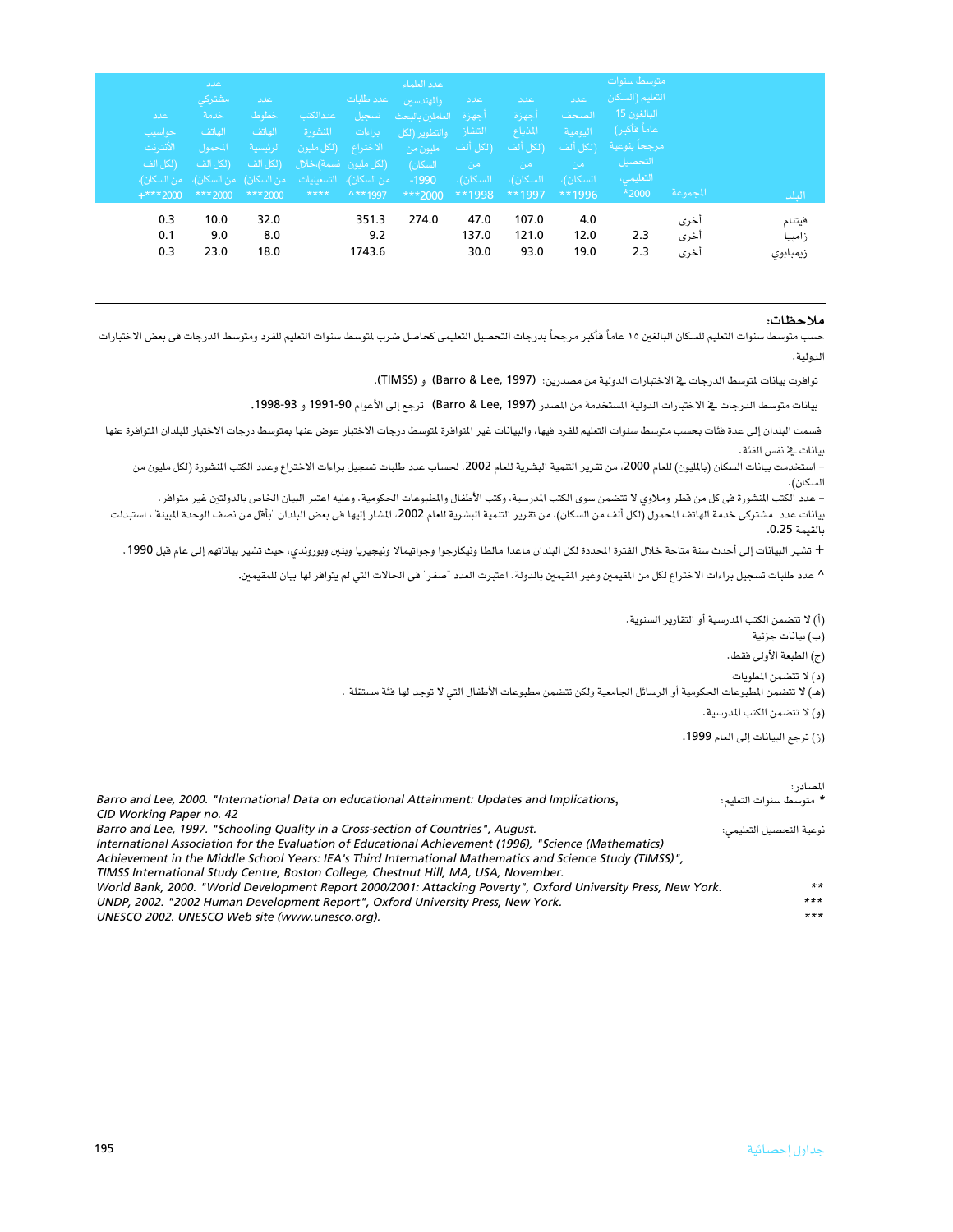| ا عدد<br>حواسيب<br>الأنترنت<br>(لكل الف<br>$+***2000$ | اعلاد<br>مشتركي<br>خدمة<br>الهاتف<br>المحمول<br>- (لكل الف<br>- من السكان)،   التسعينيات     من السكان)   من السكان)،   من السكان)،<br>$***$ 2000 | اعدد<br>خطوط<br>الهاتف<br>الرئيسية<br>(لكل الف<br>$***2000$ | عددالكتب<br>المنشورة<br>$****$ | عدد طلبات<br>تسجيل<br>۔ براءات<br>الاختراع (لكل مليون<br>(لكل مليون -نسمة)،خلال<br>$\wedge$ ** 1997 | عدد العلماء<br>والمهندسين<br>أجهزة العاملين بالبحث<br><mark>التلفاز والتطوير (لكل</mark><br>مليون من<br>السكان) -<br>$-1990$<br>$***2000$ | عدد ا<br>(لكل ألف<br>ِ من ا<br>- السكان)،<br>$***1998$ | عدد<br>أجهزة<br>المذياع<br>(لكل ألف<br>من<br>- السكان)، -<br>**1997 | اعدد<br>الصحف<br>اليومية<br>ـ (لكل ألف<br>امن<br>السكان)،<br>$**1996$ | متوسط سنوات<br>التعليم (السكان<br>البالغون 15<br>عاماً فأكبر)<br>مرجحا بنوعية<br>التحصيل<br>التعليمي،<br>*2000 | المجموعة             | البلد                        |
|-------------------------------------------------------|---------------------------------------------------------------------------------------------------------------------------------------------------|-------------------------------------------------------------|--------------------------------|-----------------------------------------------------------------------------------------------------|-------------------------------------------------------------------------------------------------------------------------------------------|--------------------------------------------------------|---------------------------------------------------------------------|-----------------------------------------------------------------------|----------------------------------------------------------------------------------------------------------------|----------------------|------------------------------|
| 0.3<br>0.1<br>0.3                                     | 10.0<br>9.0<br>23.0                                                                                                                               | 32.0<br>8.0<br>18.0                                         |                                | 351.3<br>9.2<br>1743.6                                                                              | 274.0                                                                                                                                     | 47.0<br>137.0<br>30.0                                  | 107.0<br>121.0<br>93.0                                              | 4.0<br>12.0<br>19.0                                                   | 2.3<br>2.3                                                                                                     | أخرى<br>أخرى<br>أخرى | فيتنام<br>زامبيا<br>زيمبابوى |

### ملاحظات:

حسب متوسط سنوات التعليم للسكان البالغين ١٥ عاماً فأكبر مرجحاً بدرجات التحصيل التعليمي كحاصل ضرب لتوسط سنوات التعليم للفرد ومتوسط الدرجات في بعض الاختبارات الدولية.

توافرت بيانات لتوسط الدرجات في الاختبارات الدولية من مصدرين: (Barro & Lee, 1997). و (TIMSS).

بيانات متوسط الدرجات فے الاختبارات الدولية المستخدمة من المصدر (Barro & Lee, 1997) ترجع إلى الأعوام 1990-1999 و 1993-1993.

قسمت البلدان إلى عدة فثات بحسب متوسط سنوات التعليم للفرد فيها، والبيانات غير التوافرة لتوسط لارجعن وغرم عنها بمتوسط درجات الاختبار للبلدان التوافرة عنها بيانات فخ نفس الفئة.

– استخدمت بيانات السكان (بالليون) للعام 2000، من تقرير التنمية البشرية للعام 2002، لحساب عدد طلبات تسجيل براءات الاختراع وعدد الكتب النشورة (لكل مليون من السكان).

– عدد الكتب النشورة في كل من قطر وملاوي لا تتضمن سوى الكتب الدرسية، وكتب الأطفال والطبوعات الحكومية. وعليه اعتبر البيان الخاص بالدولتين غير متوافر.

بيانات عدد مشتركي خدمة الهاتف الحمول (لكل ألف من السكان)، من تقرير التنمية البشرية للعام 2002، الشار إليها في بعض البلدان "بأقل من نصف الوحدة البينة"، استبدلت بالقيمة 0.25.

+ تشير البيانات إلى أحدث سنة متاحة خلال الفترة الحددة لكل البلدان ماعدا مالطا ونيكارجوا وجواتيمالا ونيجيريا وبنين وبوروندي، حيث تشير بياناتهم إلى عام قبل 1990.

^ عدد طلبات تسجيل براءات الاختراع لكل من المقيمين وغير المقيمين بالدولة. اعتبرت العدد "صفر" في الحالات التي لم يتوافر لها بيان للمقيمين.

(أ) لا تتضمن الكتب المدرسية أو التقارير السنوية. (ب) بيانات جزئية (ج) الطبعة الأولى فقط. (د) لا تتضمن المطويات (هـ) لا تتضمن المطبوعات الحكومية أو الرسائل الجامعية ولكن تتضمن مطبوعات الأطفال التي لا توجد لها فئة مستقلة .

(و) لا تتضمن الكتب المدرسية.

(ز) ترجع البيانات إلى العام 1999.

|                                                                                                               | المصادر :               |
|---------------------------------------------------------------------------------------------------------------|-------------------------|
| Barro and Lee, 2000. "International Data on educational Attainment: Updates and Implications,                 | * متوسط سنوات التعليم:  |
| CID Working Paper no. 42                                                                                      |                         |
| Barro and Lee, 1997. "Schooling Quality in a Cross-section of Countries", August.                             | نوعية التحصيل التعليمي: |
| International Association for the Evaluation of Educational Achievement (1996), "Science (Mathematics)        |                         |
| Achievement in the Middle School Years: IEA's Third International Mathematics and Science Study (TIMSS)",     |                         |
| TIMSS International Study Centre, Boston College, Chestnut Hill, MA, USA, November.                           |                         |
| World Bank, 2000. "World Development Report 2000/2001: Attacking Poverty", Oxford University Press, New York. | $***$                   |
| UNDP, 2002. "2002 Human Development Report", Oxford University Press, New York.                               | $***$                   |
| UNESCO 2002. UNESCO Web site (www.unesco.org).                                                                | $***$                   |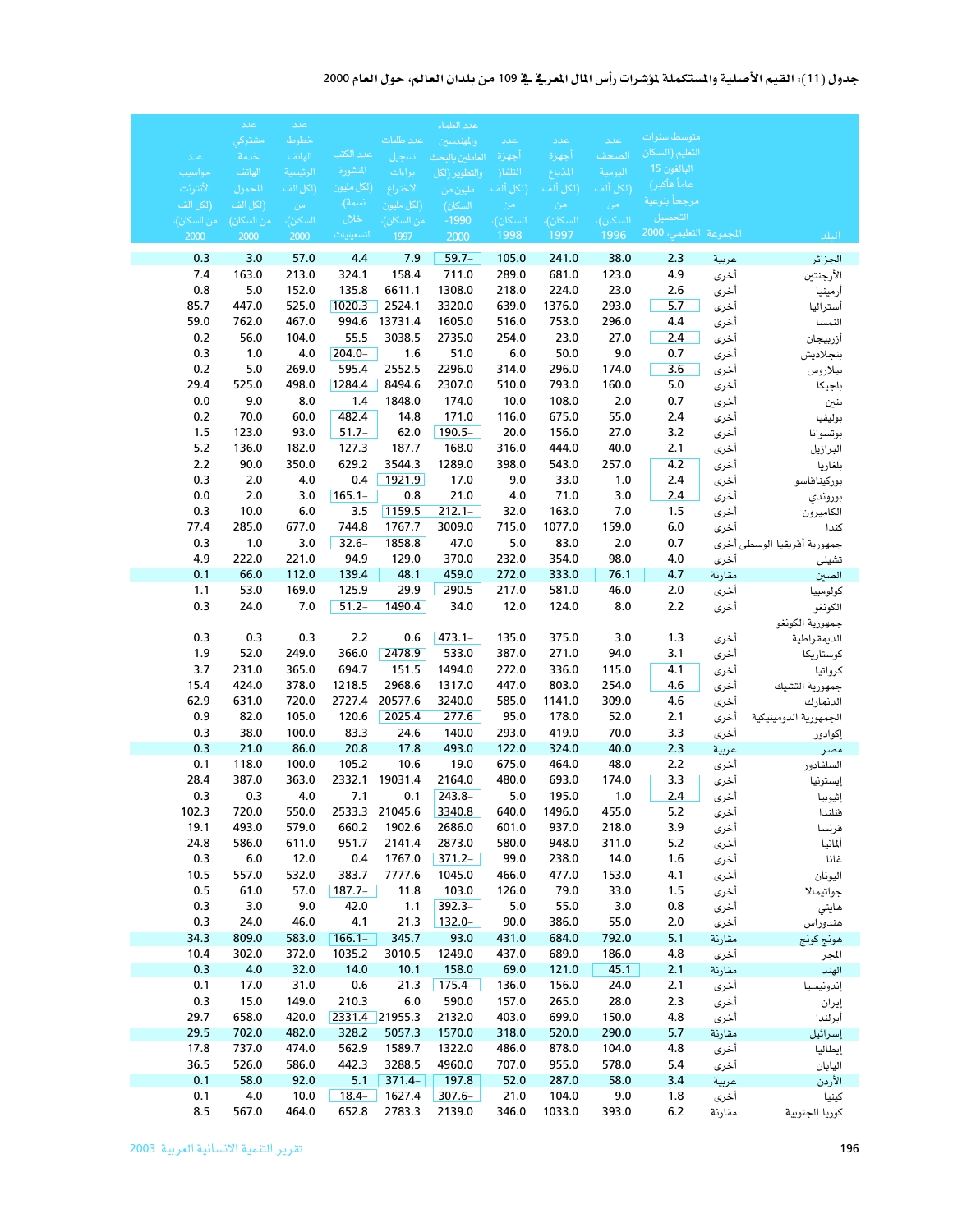### جدول (11): القيم الأصلية والمستكملة لمؤشرات رأس المال المعرفي في 109 من بلدان العالم، حول العام 2000

|               | اعلاد         | عدد            |                         |                   | عدد العلماء        |                |                 |                |                          |                |                             |
|---------------|---------------|----------------|-------------------------|-------------------|--------------------|----------------|-----------------|----------------|--------------------------|----------------|-----------------------------|
|               | مشتركي        | خطوط           |                         | عدد طلبات         | والمهندسين         | عدد            | عدد             | عدد            | متوسط سنوات              |                |                             |
| عدد           | خدمة          | الهاتف         | عدد الكتب               | تسجيل             | العاملين بالبحث    | أجهزة          | أجهزة           | الصحف          | التعليم (السكان          |                |                             |
| حواسيب        | الهاتف        | الرئيسية       | المنشورة                | براءات            | والتطوير (لكل      | التلفاز        | المذياع         | اليومية        | البالغون 15              |                |                             |
| الأنترنت      | المحمول       | (لكل الف       | (لكل مليون              | الاختراع          | مليون من           | (لكل ألف       | (لكل ألف        | (لكل ألف       | عاماً فأكبر)             |                |                             |
| (لكل الف      | (لكل الف      | - من -         | نسمة)،                  | (لكل مليون        | السكان)            | - من           | - من            | امن            | مرجحاً بنوعية<br>التحصيل |                |                             |
| ِ من السكان)، | من السكان)،   | السكان)،       | خلال                    | من السكان)،       | $-1990$            | السكان)،       | <u>السكان)،</u> | السكان)،       | المجموعة التعليمي، 2000  |                |                             |
| 2000          | 2000          | 2000           | التسعينيات              | 1997              | 2000               | 1998           | 1997            | 1996           |                          |                | البلد                       |
| 0.3           | 3.0           | 57.0           | 4.4                     | 7.9               | $59.7 -$           | 105.0          | 241.0           | 38.0           | 2.3                      | عربية          | الجزائر                     |
| 7.4           | 163.0         | 213.0          | 324.1                   | 158.4             | 711.0              | 289.0          | 681.0           | 123.0          | 4.9                      | أخرى           | الأرجنتين                   |
| 0.8           | 5.0           | 152.0          | 135.8                   | 6611.1            | 1308.0             | 218.0          | 224.0           | 23.0           | 2.6                      | أخرى           | أرمينيا                     |
| 85.7          | 447.0         | 525.0          | 1020.3                  | 2524.1            | 3320.0             | 639.0          | 1376.0          | 293.0          | 5.7                      | أخرى           | أستراليا                    |
| 59.0<br>0.2   | 762.0<br>56.0 | 467.0<br>104.0 | 994.6<br>55.5           | 13731.4<br>3038.5 | 1605.0<br>2735.0   | 516.0<br>254.0 | 753.0<br>23.0   | 296.0<br>27.0  | 4.4<br>2.4               | أخرى           | النمسا                      |
| 0.3           | 1.0           | 4.0            | $204.0 -$               | 1.6               | 51.0               | 6.0            | 50.0            | 9.0            | 0.7                      | أخرى<br>أخرى   | أزربيجان<br>بنجلاديش        |
| 0.2           | 5.0           | 269.0          | 595.4                   | 2552.5            | 2296.0             | 314.0          | 296.0           | 174.0          | 3.6                      | أخرى           | بيلاروس                     |
| 29.4          | 525.0         | 498.0          | 1284.4                  | 8494.6            | 2307.0             | 510.0          | 793.0           | 160.0          | $5.0$                    | أخرى           | بلجيكا                      |
| 0.0           | 9.0           | 8.0            | 1.4                     | 1848.0            | 174.0              | 10.0           | 108.0           | 2.0            | 0.7                      | أخرى           | بنين                        |
| 0.2           | 70.0          | 60.0           | 482.4                   | 14.8              | 171.0              | 116.0          | 675.0           | 55.0           | 2.4                      | أخرى           | بوليفيا                     |
| 1.5           | 123.0         | 93.0           | $51.7 -$                | 62.0              | $190.5 -$          | 20.0           | 156.0           | 27.0           | 3.2                      | أخرى           | بوتسوانا                    |
| 5.2           | 136.0         | 182.0          | 127.3                   | 187.7             | 168.0              | 316.0          | 444.0           | 40.0           | 2.1                      | أخرى           | البرازيل                    |
| 2.2           | 90.0          | 350.0          | 629.2                   | 3544.3            | 1289.0             | 398.0          | 543.0           | 257.0          | 4.2                      | أخرى           | بلغاريا                     |
| 0.3           | 2.0           | 4.0            | 0.4                     | 1921.9            | 17.0               | 9.0            | 33.0            | 1.0            | 2.4                      | أخرى           | بوركيناهاسو                 |
| 0.0           | 2.0           | 3.0            | $165.1 -$               | 0.8               | 21.0               | 4.0            | 71.0            | 3.0            | 2.4                      | أخرى           | بوروندي                     |
| 0.3           | 10.0          | 6.0            | 3.5                     | 1159.5            | $212.1 -$          | 32.0           | 163.0           | 7.0            | 1.5                      | أخرى           | الكاميرون                   |
| 77.4          | 285.0         | 677.0          | 744.8                   | 1767.7            | 3009.0             | 715.0          | 1077.0          | 159.0          | $6.0\,$                  | أخرى           | كندا                        |
| 0.3           | 1.0           | 3.0            | $32.6-$                 | 1858.8            | 47.0               | 5.0            | 83.0            | 2.0            | 0.7                      |                | جمهورية أفريقيا الوسطى أخرى |
| 4.9<br>0.1    | 222.0<br>66.0 | 221.0<br>112.0 | 94.9<br>139.4           | 129.0<br>48.1     | 370.0<br>459.0     | 232.0<br>272.0 | 354.0<br>333.0  | 98.0<br>76.1   | 4.0<br>4.7               | أخرى           | تشيلي                       |
| 1.1           | 53.0          | 169.0          | 125.9                   | 29.9              | 290.5              | 217.0          | 581.0           | 46.0           | 2.0                      | مقارنة<br>أخرى | الصين<br>كولومبيا           |
| 0.3           | 24.0          | 7.0            | $51.2 -$                | 1490.4            | 34.0               | 12.0           | 124.0           | 8.0            | 2.2                      | أخرى           | الكونغو                     |
|               |               |                |                         |                   |                    |                |                 |                |                          |                | جمهورية الكونغو             |
| 0.3           | 0.3           | 0.3            | 2.2                     | 0.6               | $473.1 -$          | 135.0          | 375.0           | 3.0            | 1.3                      | أخرى           | الديمقراطية                 |
| 1.9           | 52.0          | 249.0          | 366.0                   | 2478.9            | 533.0              | 387.0          | 271.0           | 94.0           | 3.1                      | أخرى           | كوستاريكا                   |
| 3.7           | 231.0         | 365.0          | 694.7                   | 151.5             | 1494.0             | 272.0          | 336.0           | 115.0          | 4.1                      | أخرى           | كرواتيا                     |
| 15.4          | 424.0         | 378.0          | 1218.5                  | 2968.6            | 1317.0             | 447.0          | 803.0           | 254.0          | 4.6                      | أخرى           | جمهورية التشيك              |
| 62.9          | 631.0         | 720.0          | 2727.4                  | 20577.6           | 3240.0             | 585.0          | 1141.0          | 309.0          | 4.6                      | أخرى           | الدنمارك                    |
| 0.9           | 82.0          | 105.0          | 120.6                   | 2025.4            | 277.6              | 95.0           | 178.0           | 52.0           | 2.1                      | أخرى           | الجمهورية الدومينيكية       |
| 0.3           | 38.0          | 100.0          | 83.3                    | 24.6              | 140.0              | 293.0          | 419.0           | 70.0           | 3.3                      | أخرى           | إكوادور                     |
| 0.3           | 21.0          | 86.0           | 20.8                    | 17.8              | 493.0              | 122.0          | 324.0           | 40.0           | 2.3                      | عربية          | مصر                         |
| 0.1           | 118.0         | 100.0          | 105.2<br>2332.1         | 10.6              | 19.0               | 675.0          | 464.0           | 48.0           | 2.2                      | أخرى           | السلفادور                   |
| 28.4<br>0.3   | 387.0<br>0.3  | 363.0<br>4.0   | 7.1                     | 19031.4<br>0.1    | 2164.0<br>$243.8-$ | 480.0<br>5.0   | 693.0<br>195.0  | 174.0<br>1.0   | 3.3<br>2.4               | أخرى<br>أخرى   | إيستونيا                    |
| 102.3         | 720.0         | 550.0          |                         | 2533.3 21045.6    | 3340.8             | 640.0          | 1496.0          | 455.0          | $5.2$                    | أخرى           | إثيوبيا<br>فنلندا           |
| 19.1          | 493.0         | 579.0          | 660.2                   | 1902.6            | 2686.0             | 601.0          | 937.0           | 218.0          | 3.9                      | أخرى           | فرنسا                       |
| 24.8          | 586.0         | 611.0          | 951.7                   | 2141.4            | 2873.0             | 580.0          | 948.0           | 311.0          | 5.2                      | أخرى           | ألمانيا                     |
| 0.3           | 6.0           | 12.0           | 0.4                     | 1767.0            | $371.2 -$          | 99.0           | 238.0           | 14.0           | 1.6                      | أخرى           | غانا                        |
| 10.5          | 557.0         | 532.0          | 383.7                   | 7777.6            | 1045.0             | 466.0          | 477.0           | 153.0          | 4.1                      | أخرى           | اليونان                     |
| 0.5           | 61.0          | 57.0           | $187.7 -$               | 11.8              | 103.0              | 126.0          | 79.0            | 33.0           | 1.5                      | أخرى           | جواتيمالا                   |
| 0.3           | 3.0           | 9.0            | 42.0                    | 1.1               | $392.3-$           | 5.0            | 55.0            | 3.0            | 0.8                      | أخرى           | هايتي                       |
| 0.3           | 24.0          | 46.0           | 4.1                     | 21.3              | $132.0 -$          | 90.0           | 386.0           | 55.0           | 2.0                      | أخرى           | هندوراس                     |
| 34.3          | 809.0         | 583.0          | $166.1 -$               | 345.7             | 93.0               | 431.0          | 684.0           | 792.0          | 5.1                      | مقارنة         | هونج كونج                   |
| 10.4          | 302.0         | 372.0          | 1035.2                  | 3010.5            | 1249.0             | 437.0          | 689.0           | 186.0          | 4.8                      | أخرى           | المجر                       |
| 0.3           | 4.0           | 32.0           | 14.0                    | 10.1              | 158.0              | 69.0           | 121.0           | 45.1           | 2.1                      | مقارنة         | الهند                       |
| 0.1           | 17.0          | 31.0           | 0.6                     | 21.3              | $175.4 -$          | 136.0          | 156.0           | 24.0           | 2.1                      | أخرى           | إندونيسيا                   |
| 0.3<br>29.7   | 15.0<br>658.0 | 149.0<br>420.0 | 210.3<br>2331.4 21955.3 | 6.0               | 590.0              | 157.0<br>403.0 | 265.0<br>699.0  | 28.0           | 2.3                      | أخرى           | إيران                       |
| 29.5          | 702.0         | 482.0          | 328.2                   | 5057.3            | 2132.0<br>1570.0   | 318.0          | 520.0           | 150.0<br>290.0 | 4.8<br>5.7               | أخرى           | أيرلندا                     |
| 17.8          | 737.0         | 474.0          | 562.9                   | 1589.7            | 1322.0             | 486.0          | 878.0           | 104.0          | 4.8                      | مقارنة<br>أخرى | إسرائيل<br>إيطاليا          |
| 36.5          | 526.0         | 586.0          | 442.3                   | 3288.5            | 4960.0             | 707.0          | 955.0           | 578.0          | 5.4                      | أخرى           | اليابان                     |
| 0.1           | 58.0          | 92.0           | 5.1                     | $371.4-$          | 197.8              | 52.0           | 287.0           | 58.0           | 3.4                      | عربية          | الأردن                      |
| 0.1           | 4.0           | 10.0           | $18.4 -$                | 1627.4            | $307.6 -$          | 21.0           | 104.0           | 9.0            | 1.8                      | أخرى           | كينيا                       |
| 8.5           | 567.0         | 464.0          | 652.8                   | 2783.3            | 2139.0             | 346.0          | 1033.0          | 393.0          | 6.2                      | مقارنة         | كوريا الجنوبية              |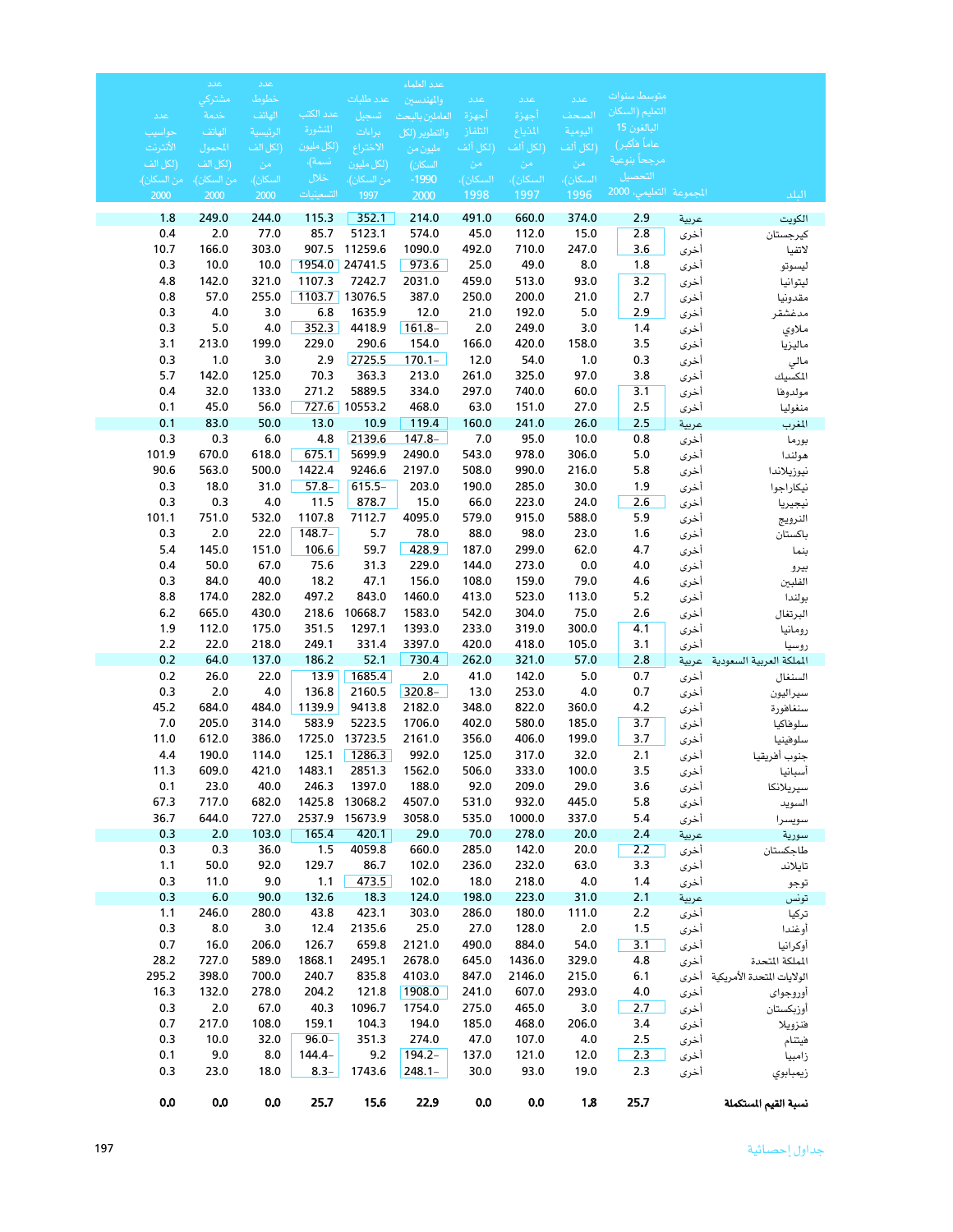|                     | عدد                 | عدد              |                |                     | عدد العلماء      |                  |                |                       |                                             |               |                                         |
|---------------------|---------------------|------------------|----------------|---------------------|------------------|------------------|----------------|-----------------------|---------------------------------------------|---------------|-----------------------------------------|
|                     | مشتركي              | خطوط             |                | عدد طلبات           | والمهندسين       | عدد              | عدد            | عدد                   | متوسط سنوات                                 |               |                                         |
| عدد                 | خدمة                | الهاتف           | عدد الكتب      | تسجيل               | العاملين بالبحث  | أجهزة            | أجهزة          | الصحف                 | التعليم (السكان<br>البالغون 15 <sub>.</sub> |               |                                         |
| حواسيب              | الهاتف              | الرئيسية         | المنشورة       | براءات              | والتطوير (لكل    | التلفاز          | المذياع        |                       | <u>عاماً فأكبر)</u> ،                       |               |                                         |
| الأنترنت            | المحمول             | (لكل الف         | (لكل مليون     | الاختراع            | مليون من         | (لكل ألف         | (لكل ألف       | .<br>(لكل أل <u>ف</u> | مرجحاً بنوعية                               |               |                                         |
| (لكل الف            | (لكل الف            | من               | نسمة)،<br>خلال | (لكل مليون          | السكان)          | ِ من             | من<br>السكان)، | ِ من<br>السكان)،      | التحصيل                                     |               |                                         |
| من السكان)،<br>2000 | من السكان)،<br>2000 | السكان)،<br>2000 | التسعينيات     | من السكان)،<br>1997 | $-1990$<br>2000  | السكان)،<br>1998 | 1997           | 1996                  | المجموعة التعليمي، 2000                     |               | البلد                                   |
| 1.8                 | 249.0               | 244.0            | 115.3          | 352.1               | 214.0            | 491.0            | 660.0          | 374.0                 | 2.9                                         | عربية         | الكويت                                  |
| 0.4                 | 2.0                 | 77.0             | 85.7           | 5123.1              | 574.0            | 45.0             | 112.0          | 15.0                  | 2.8                                         | أخرى          | كيرجستان                                |
| 10.7                | 166.0               | 303.0            | 907.5          | 11259.6             | 1090.0           | 492.0            | 710.0          | 247.0                 | 3.6                                         | أخرى          | لاتفيا                                  |
| 0.3                 | 10.0                | 10.0             |                | 1954.0 24741.5      | 973.6            | 25.0             | 49.0           | 8.0                   | 1.8                                         | أخرى          | ليسوتو                                  |
| 4.8                 | 142.0               | 321.0            | 1107.3         | 7242.7              | 2031.0           | 459.0            | 513.0          | 93.0                  | 3.2                                         | أخرى          | ليتوانيا                                |
| 0.8                 | 57.0                | 255.0            |                | 1103.7 13076.5      | 387.0            | 250.0            | 200.0          | 21.0                  | 2.7                                         | أخرى          | مقدونيا                                 |
| 0.3                 | 4.0                 | 3.0              | 6.8            | 1635.9              | 12.0             | 21.0             | 192.0          | $5.0$                 | 2.9                                         | أخرى          | مدغشقر                                  |
| 0.3                 | $5.0$               | 4.0              | 352.3          | 4418.9              | $161.8 -$        | 2.0              | 249.0          | 3.0                   | 1.4                                         | أخرى          | ملاوي                                   |
| 3.1                 | 213.0               | 199.0            | 229.0          | 290.6               | 154.0            | 166.0            | 420.0          | 158.0                 | 3.5                                         | أخرى          | ماليزيا                                 |
| 0.3                 | $1.0$               | 3.0              | 2.9            | 2725.5              | $170.1 -$        | 12.0             | 54.0           | 1.0                   | 0.3                                         | أخرى          | مالي                                    |
| 5.7<br>0.4          | 142.0<br>32.0       | 125.0<br>133.0   | 70.3<br>271.2  | 363.3<br>5889.5     | 213.0<br>334.0   | 261.0<br>297.0   | 325.0<br>740.0 | 97.0<br>60.0          | 3.8                                         | أخرى          | المكسيك                                 |
| 0.1                 | 45.0                | 56.0             | 727.6          | 10553.2             | 468.0            | 63.0             | 151.0          | 27.0                  | 3.1<br>2.5                                  | أخرى          | مولدوها                                 |
| 0.1                 | 83.0                | 50.0             | 13.0           | 10.9                | 119.4            | 160.0            | 241.0          | 26.0                  | 2.5                                         | أخرى<br>عربية | منغوليا<br>المغرب                       |
| 0.3                 | 0.3                 | 6.0              | 4.8            | 2139.6              | $147.8 -$        | 7.0              | 95.0           | 10.0                  | 0.8                                         | أخرى          | بورما                                   |
| 101.9               | 670.0               | 618.0            | 675.1          | 5699.9              | 2490.0           | 543.0            | 978.0          | 306.0                 | 5.0                                         | أخرى          | هولندا                                  |
| 90.6                | 563.0               | 500.0            | 1422.4         | 9246.6              | 2197.0           | 508.0            | 990.0          | 216.0                 | 5.8                                         | أخرى          | نيوزيلاندا                              |
| 0.3                 | 18.0                | 31.0             | $57.8-$        | $615.5-$            | 203.0            | 190.0            | 285.0          | 30.0                  | 1.9                                         | أخرى          | نيكاراجوا                               |
| 0.3                 | 0.3                 | 4.0              | 11.5           | 878.7               | 15.0             | 66.0             | 223.0          | 24.0                  | 2.6                                         | أخرى          | نيجيريا                                 |
| 101.1               | 751.0               | 532.0            | 1107.8         | 7112.7              | 4095.0           | 579.0            | 915.0          | 588.0                 | 5.9                                         | أخرى          | النرويج                                 |
| 0.3                 | 2.0                 | 22.0             | $148.7-$       | 5.7                 | 78.0             | 88.0             | 98.0           | 23.0                  | 1.6                                         | أخرى          | باكستان                                 |
| 5.4                 | 145.0               | 151.0            | 106.6          | 59.7                | 428.9            | 187.0            | 299.0          | 62.0                  | 4.7                                         | أخرى          | بنما                                    |
| 0.4                 | 50.0                | 67.0             | 75.6           | 31.3                | 229.0            | 144.0            | 273.0          | 0.0                   | 4.0                                         | أخرى          | بيرو                                    |
| 0.3                 | 84.0                | 40.0             | 18.2           | 47.1                | 156.0            | 108.0            | 159.0          | 79.0                  | 4.6                                         | أخرى          | الفلبين                                 |
| 8.8                 | 174.0               | 282.0            | 497.2          | 843.0               | 1460.0           | 413.0            | 523.0          | 113.0                 | 5.2                                         | أخرى          | بولندا                                  |
| $6.2$               | 665.0               | 430.0            | 218.6          | 10668.7             | 1583.0           | 542.0            | 304.0          | 75.0                  | 2.6                                         | أخرى          | البرتغال                                |
| 1.9<br>2.2          | 112.0<br>22.0       | 175.0<br>218.0   | 351.5<br>249.1 | 1297.1              | 1393.0<br>3397.0 | 233.0<br>420.0   | 319.0<br>418.0 | 300.0                 | 4.1                                         | أخرى          | رومانيا                                 |
| 0.2                 | 64.0                | 137.0            | 186.2          | 331.4<br>52.1       | 730.4            | 262.0            | 321.0          | 105.0<br>57.0         | 3.1<br>2.8                                  | أخرى          | روسيا<br>المملكة العربية السعودية عربية |
| 0.2                 | 26.0                | 22.0             | 13.9           | 1685.4              | $2.0\,$          | 41.0             | 142.0          | $5.0$                 | 0.7                                         | أخرى          | السنغال                                 |
| 0.3                 | 2.0                 | 4.0              | 136.8          | 2160.5              | $320.8 -$        | 13.0             | 253.0          | 4.0                   | 0.7                                         | أخرى          | سيراليون                                |
| 45.2                | 684.0               | 484.0            | 1139.9         | 9413.8              | 2182.0           | 348.0            | 822.0          | 360.0                 | 4.2                                         | أخرى          | سنغافورة                                |
| 7.0                 | 205.0               | 314.0            | 583.9          | 5223.5              | 1706.0           | 402.0            | 580.0          | 185.0                 | 3.7                                         | أخرى          | سلوهاكيا                                |
| 11.0                | 612.0               | 386.0            | 1725.0         | 13723.5             | 2161.0           | 356.0            | 406.0          | 199.0                 | 3.7                                         | أخرى          | سلوفينيا                                |
| 4.4                 | 190.0               | 114.0            | 125.1          | 1286.3              | 992.0            | 125.0            | 317.0          | 32.0                  | 2.1                                         | أخرى          | جنوب أفريقيا                            |
| 11.3                | 609.0               | 421.0            | 1483.1         | 2851.3              | 1562.0           | 506.0            | 333.0          | 100.0                 | 3.5                                         | اخرى          | اسبانيا                                 |
| 0.1                 | 23.0                | 40.0             | 246.3          | 1397.0              | 188.0            | 92.0             | 209.0          | 29.0                  | 3.6                                         | أخرى          | سيريلانكا                               |
| 67.3                | 717.0               | 682.0            | 1425.8         | 13068.2             | 4507.0           | 531.0            | 932.0          | 445.0                 | 5.8                                         | أخرى          | السويد                                  |
| 36.7                | 644.0               | 727.0            | 2537.9         | 15673.9             | 3058.0           | 535.0            | 1000.0         | 337.0                 | 5.4                                         | أخرى          | سويسرا                                  |
| 0.3                 | 2.0                 | 103.0            | 165.4          | 420.1               | 29.0             | 70.0             | 278.0          | 20.0                  | 2.4                                         | عربية         | سورية                                   |
| 0.3                 | 0.3                 | 36.0             | 1.5            | 4059.8              | 660.0            | 285.0            | 142.0          | 20.0                  | 2.2                                         | أخرى          | طاجكستان                                |
| 1.1<br>0.3          | 50.0<br>11.0        | 92.0<br>9.0      | 129.7<br>1.1   | 86.7<br>473.5       | 102.0<br>102.0   | 236.0<br>18.0    | 232.0<br>218.0 | 63.0<br>4.0           | 3.3<br>1.4                                  | أخرى          | تايلاند                                 |
| 0.3                 | 6.0                 | 90.0             | 132.6          | 18.3                | 124.0            | 198.0            | 223.0          | 31.0                  | 2.1                                         | أخرى<br>عربية | توجو<br>تونس                            |
| 1.1                 | 246.0               | 280.0            | 43.8           | 423.1               | 303.0            | 286.0            | 180.0          | 111.0                 | 2.2                                         | أخرى          | تركيا                                   |
| 0.3                 | 8.0                 | 3.0              | 12.4           | 2135.6              | 25.0             | 27.0             | 128.0          | 2.0                   | 1.5                                         | أخرى          | أوغندا                                  |
| 0.7                 | 16.0                | 206.0            | 126.7          | 659.8               | 2121.0           | 490.0            | 884.0          | 54.0                  | 3.1                                         | أخرى          | أوكرانيا                                |
| 28.2                | 727.0               | 589.0            | 1868.1         | 2495.1              | 2678.0           | 645.0            | 1436.0         | 329.0                 | 4.8                                         | أخرى          | المملكة المتحدة                         |
| 295.2               | 398.0               | 700.0            | 240.7          | 835.8               | 4103.0           | 847.0            | 2146.0         | 215.0                 | $6.1$                                       |               | الولايات المتحدة الأمريكية أخرى         |
| 16.3                | 132.0               | 278.0            | 204.2          | 121.8               | 1908.0           | 241.0            | 607.0          | 293.0                 | 4.0                                         | أخرى          | أوروجواي                                |
| 0.3                 | 2.0                 | 67.0             | 40.3           | 1096.7              | 1754.0           | 275.0            | 465.0          | 3.0                   | <u>2.7</u>                                  | أخرى          | أوزبكستان                               |
| 0.7                 | 217.0               | 108.0            | 159.1          | 104.3               | 194.0            | 185.0            | 468.0          | 206.0                 | 3.4                                         | أخرى          | فنزويلا                                 |
| 0.3                 | 10.0                | 32.0             | $96.0 -$       | 351.3               | 274.0            | 47.0             | 107.0          | 4.0                   | 2.5                                         | أخرى          | فيتنام                                  |
| 0.1                 | 9.0                 | 8.0              | 144.4-         | 9.2                 | $194.2 -$        | 137.0            | 121.0          | 12.0                  | 2.3                                         | أخرى          | زامبيا                                  |
| 0.3                 | 23.0                | 18.0             | $8.3 -$        | 1743.6              | $248.1 -$        | 30.0             | 93.0           | 19.0                  | 2.3                                         | أخرى          | زيمبابوي                                |
| $0.0\,$             | $0.0\,$             | $0.0\,$          | 25.7           | 15.6                | 22.9             | $0.0\,$          | $0.0\,$        | $1.8$                 | 25.7                                        |               | نسبة القيم الستكملة                     |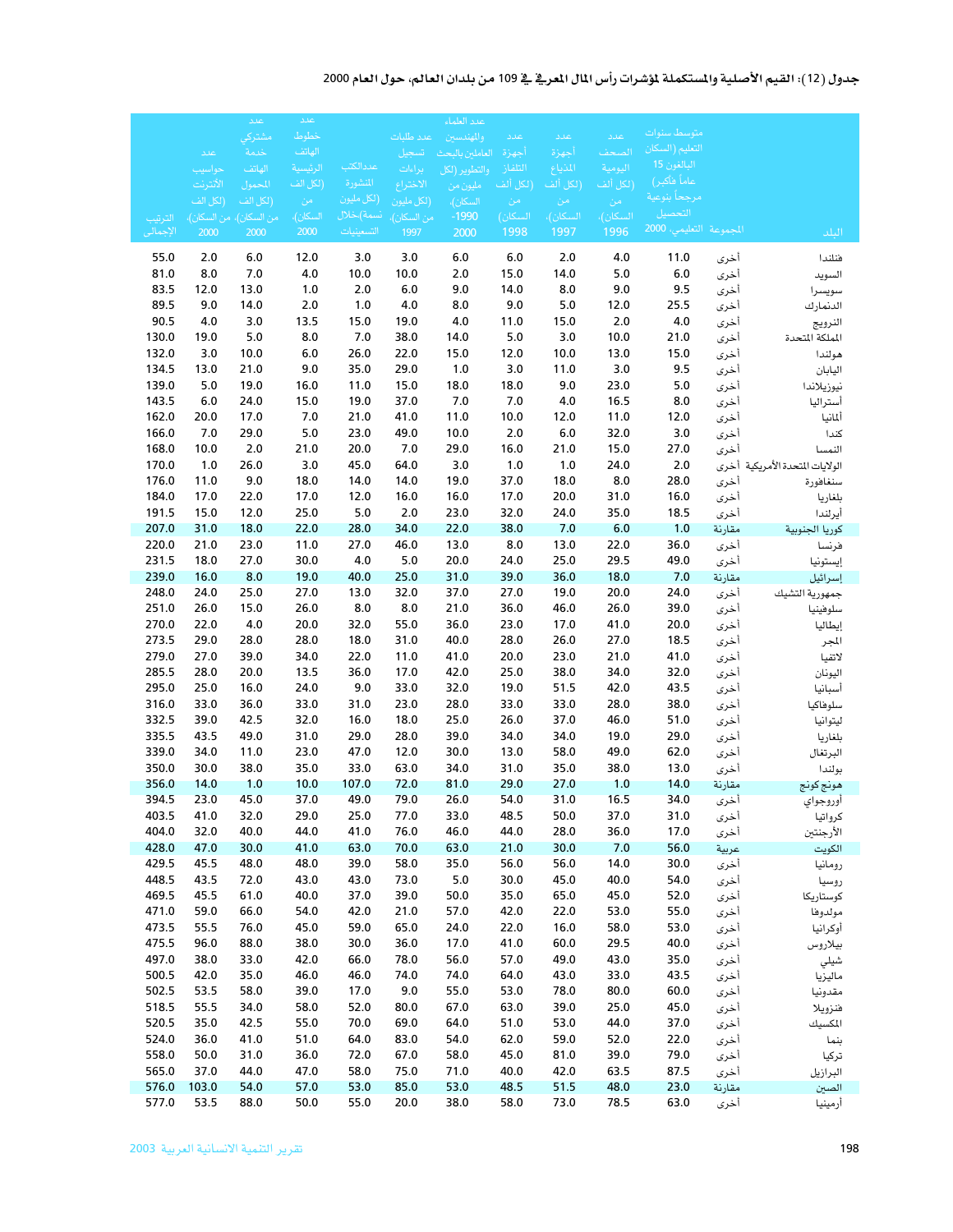### جدول (12): القيم الأصلية والمستكملة لمؤشرات رأس المال المعرفي في 109 من بلدان العالم، حول العام 2000

|                |                    | اعلد                    | عدد                  |               |                    | عدد العلماء               |                      |                     |                     |                                |                |                            |
|----------------|--------------------|-------------------------|----------------------|---------------|--------------------|---------------------------|----------------------|---------------------|---------------------|--------------------------------|----------------|----------------------------|
|                |                    | مشتركى                  | خطوط                 |               | عدد طلبات          | والمهندسين                | عدد                  | عدد                 | عدد                 | متوسط سنوات                    |                |                            |
|                | عدد                | خدمة                    | الهاتف               | عددالكتب      | تسجيل              | العاملين بالبحث           | أجهزة                | أجهزة               | الصحف               | التعليم (السكان<br>البالغون 15 |                |                            |
|                | حواسيب<br>الأنترنت | الهاتف<br>المحمول       | الرئيسية<br>(لكل الف | المنشورة      | براءات<br>الاختراع | والتطوير (لكل<br>مليون من | التلفاز<br>ِّلكل ألف | المذياع<br>(لكل ألف | اليومية<br>(لكل ألف | عاماً فأكبر)                   |                |                            |
|                | (لكل الف           | (لكل الف                | - من                 | (لكل مليون    | (لكل مليون         | السكان)،                  | من                   | - من                | من                  | مرجحاً بنوعية                  |                |                            |
| الترتيب        |                    | من السكان)، من السكان). | السكان)،             | نسمة)،خلال    | من السكان)،        | $-1990$                   | السكان)              | السكان)،            | السكان)،            | التحصيل                        |                |                            |
| الإجمالى       | 2000               | 2000                    | 2000                 | التسعينيات    | 1997               | 2000                      | 1998                 | 1997                | 1996                | المجموعة التعليمي، 2000        |                | البلد                      |
| 55.0           | 2.0                | 6.0                     | 12.0                 | 3.0           | 3.0                | 6.0                       | 6.0                  | 2.0                 | 4.0                 | 11.0                           | أخرى           | فنلندا                     |
| 81.0           | 8.0                | 7.0                     | 4.0                  | 10.0          | 10.0               | 2.0                       | 15.0                 | 14.0                | 5.0                 | 6.0                            | أخرى           | السويد                     |
| 83.5           | 12.0               | 13.0                    | 1.0                  | 2.0           | 6.0                | 9.0                       | 14.0                 | 8.0                 | 9.0                 | 9.5                            | أخرى           | سويسرا                     |
| 89.5           | 9.0                | 14.0                    | $2.0$                | 1.0           | 4.0                | 8.0                       | 9.0                  | 5.0                 | 12.0                | 25.5                           | أخرى           | الدنمارك                   |
| 90.5           | 4.0                | 3.0                     | 13.5                 | 15.0          | 19.0               | 4.0                       | 11.0                 | 15.0                | $2.0$               | 4.0                            | أخرى           | النرويج                    |
| 130.0          | 19.0               | 5.0                     | 8.0                  | 7.0           | 38.0               | 14.0                      | 5.0                  | 3.0                 | 10.0                | 21.0                           | أخرى           | الملكة المتحدة             |
| 132.0<br>134.5 | 3.0<br>13.0        | 10.0<br>21.0            | 6.0<br>9.0           | 26.0<br>35.0  | 22.0<br>29.0       | 15.0<br>1.0               | 12.0<br>3.0          | 10.0<br>11.0        | 13.0<br>3.0         | 15.0<br>9.5                    | أخرى<br>أخرى   | هولندا<br>اليابان          |
| 139.0          | 5.0                | 19.0                    | 16.0                 | 11.0          | 15.0               | 18.0                      | 18.0                 | 9.0                 | 23.0                | 5.0                            | أخرى           | نيوزيلاندا                 |
| 143.5          | 6.0                | 24.0                    | 15.0                 | 19.0          | 37.0               | 7.0                       | 7.0                  | 4.0                 | 16.5                | 8.0                            | أخرى           | أستراليا                   |
| 162.0          | 20.0               | 17.0                    | 7.0                  | 21.0          | 41.0               | 11.0                      | 10.0                 | 12.0                | 11.0                | 12.0                           | أخرى           | ألمانيا                    |
| 166.0          | 7.0                | 29.0                    | $5.0$                | 23.0          | 49.0               | 10.0                      | 2.0                  | 6.0                 | 32.0                | 3.0                            | أخرى           | كندا                       |
| 168.0          | 10.0               | 2.0                     | 21.0                 | 20.0          | 7.0                | 29.0                      | 16.0                 | 21.0                | 15.0                | 27.0                           | أخرى           | النمسا                     |
| 170.0          | 1.0                | 26.0                    | 3.0                  | 45.0          | 64.0               | 3.0                       | 1.0                  | 1.0                 | 24.0                | $2.0$                          | أخرى           | الولايات المتحدة الأمريكية |
| 176.0          | 11.0               | 9.0                     | 18.0                 | 14.0          | 14.0               | 19.0                      | 37.0                 | 18.0                | 8.0                 | 28.0                           | أخرى           | سنغافورة                   |
| 184.0<br>191.5 | 17.0<br>15.0       | 22.0<br>12.0            | 17.0<br>25.0         | 12.0<br>5.0   | 16.0<br>2.0        | 16.0<br>23.0              | 17.0<br>32.0         | 20.0<br>24.0        | 31.0<br>35.0        | 16.0<br>18.5                   | أخرى<br>أخرى   | بلغاريا<br>أيرلندا         |
| 207.0          | 31.0               | 18.0                    | 22.0                 | 28.0          | 34.0               | 22.0                      | 38.0                 | 7.0                 | 6.0                 | 1.0                            | مقارنة         | كوريا الجنوبية             |
| 220.0          | 21.0               | 23.0                    | 11.0                 | 27.0          | 46.0               | 13.0                      | 8.0                  | 13.0                | 22.0                | 36.0                           | أخرى           | فرنسا                      |
| 231.5          | 18.0               | 27.0                    | 30.0                 | 4.0           | 5.0                | 20.0                      | 24.0                 | 25.0                | 29.5                | 49.0                           | أخرى           | إيستونيا                   |
| 239.0          | 16.0               | 8.0                     | 19.0                 | 40.0          | 25.0               | 31.0                      | 39.0                 | 36.0                | 18.0                | 7.0                            | مقارنة         | إسرائيل                    |
| 248.0          | 24.0               | 25.0                    | 27.0                 | 13.0          | 32.0               | 37.0                      | 27.0                 | 19.0                | 20.0                | 24.0                           | أخرى           | جمهورية التشيك             |
| 251.0          | 26.0               | 15.0                    | 26.0                 | 8.0           | 8.0                | 21.0                      | 36.0                 | 46.0                | 26.0                | 39.0                           | أخرى           | سلوفينيا                   |
| 270.0          | 22.0               | 4.0                     | 20.0                 | 32.0          | 55.0               | 36.0                      | 23.0                 | 17.0                | 41.0                | 20.0                           | أخرى           | إيطاليا                    |
| 273.5<br>279.0 | 29.0<br>27.0       | 28.0<br>39.0            | 28.0<br>34.0         | 18.0<br>22.0  | 31.0<br>11.0       | 40.0<br>41.0              | 28.0<br>20.0         | 26.0<br>23.0        | 27.0<br>21.0        | 18.5<br>41.0                   | أخرى<br>أخرى   | المجر<br>لاتفيا            |
| 285.5          | 28.0               | 20.0                    | 13.5                 | 36.0          | 17.0               | 42.0                      | 25.0                 | 38.0                | 34.0                | 32.0                           | أخرى           | اليونان                    |
| 295.0          | 25.0               | 16.0                    | 24.0                 | 9.0           | 33.0               | 32.0                      | 19.0                 | 51.5                | 42.0                | 43.5                           | أخرى           | أسبانيا                    |
| 316.0          | 33.0               | 36.0                    | 33.0                 | 31.0          | 23.0               | 28.0                      | 33.0                 | 33.0                | 28.0                | 38.0                           | أخرى           | سلوفاكيا                   |
| 332.5          | 39.0               | 42.5                    | 32.0                 | 16.0          | 18.0               | 25.0                      | 26.0                 | 37.0                | 46.0                | 51.0                           | أخرى           | ليتوانيا                   |
| 335.5          | 43.5               | 49.0                    | 31.0                 | 29.0          | 28.0               | 39.0                      | 34.0                 | 34.0                | 19.0                | 29.0                           | أخرى           | بلغاريا                    |
| 339.0          | 34.0               | 11.0                    | 23.0                 | 47.0          | 12.0               | 30.0                      | 13.0                 | 58.0                | 49.0                | 62.0                           | أخرى           | البرتغال                   |
| 350.0<br>356.0 | 30.0               | 38.0<br>1.0             | 35.0<br>10.0         | 33.0<br>107.0 | 63.0               | 34.0                      | 31.0<br>29.0         | 35.0<br>27.0        | 38.0                | 13.0                           | أخرى           | بولندا                     |
| 394.5          | 14.0<br>23.0       | 45.0                    | 37.0                 | 49.0          | 72.0<br>79.0       | 81.0<br>26.0              | 54.0                 | 31.0                | 1.0<br>16.5         | 14.0<br>34.0                   | مقارنة<br>أخرى | هونج كونج<br>أوروجواي      |
| 403.5          | 41.0               | 32.0                    | 29.0                 | 25.0          | 77.0               | 33.0                      | 48.5                 | 50.0                | 37.0                | 31.0                           | أخرى           | كرواتيا                    |
| 404.0          | 32.0               | 40.0                    | 44.0                 | 41.0          | 76.0               | 46.0                      | 44.0                 | 28.0                | 36.0                | 17.0                           | أخرى           | الأرجنتين                  |
| 428.0          | 47.0               | 30.0                    | 41.0                 | 63.0          | 70.0               | 63.0                      | 21.0                 | 30.0                | 7.0                 | 56.0                           | عربية          | الكويت                     |
| 429.5          | 45.5               | 48.0                    | 48.0                 | 39.0          | 58.0               | 35.0                      | 56.0                 | 56.0                | 14.0                | 30.0                           | أخرى           | رومانيا                    |
| 448.5          | 43.5               | 72.0                    | 43.0                 | 43.0          | 73.0               | 5.0                       | 30.0                 | 45.0                | 40.0                | 54.0                           | أخرى           | روسيا                      |
| 469.5          | 45.5               | 61.0                    | 40.0                 | 37.0          | 39.0               | 50.0                      | 35.0                 | 65.0                | 45.0                | 52.0                           | أخرى           | كوستاريكا                  |
| 471.0<br>473.5 | 59.0<br>55.5       | 66.0<br>76.0            | 54.0<br>45.0         | 42.0<br>59.0  | 21.0<br>65.0       | 57.0<br>24.0              | 42.0<br>22.0         | 22.0<br>16.0        | 53.0<br>58.0        | 55.0<br>53.0                   | أخرى           | مولدوها<br>أوكرانيا        |
| 475.5          | 96.0               | 88.0                    | 38.0                 | 30.0          | 36.0               | 17.0                      | 41.0                 | 60.0                | 29.5                | 40.0                           | أخرى<br>أخرى   | بيلاروس                    |
| 497.0          | 38.0               | 33.0                    | 42.0                 | 66.0          | 78.0               | 56.0                      | 57.0                 | 49.0                | 43.0                | 35.0                           | أخرى           | شيلي                       |
| 500.5          | 42.0               | 35.0                    | 46.0                 | 46.0          | 74.0               | 74.0                      | 64.0                 | 43.0                | 33.0                | 43.5                           | أخرى           | ماليزيا                    |
| 502.5          | 53.5               | 58.0                    | 39.0                 | 17.0          | 9.0                | 55.0                      | 53.0                 | 78.0                | 80.0                | 60.0                           | أخرى           | مقدونيا                    |
| 518.5          | 55.5               | 34.0                    | 58.0                 | 52.0          | 80.0               | 67.0                      | 63.0                 | 39.0                | 25.0                | 45.0                           | أخرى           | فنزويلا                    |
| 520.5          | 35.0               | 42.5                    | 55.0                 | 70.0          | 69.0               | 64.0                      | 51.0                 | 53.0                | 44.0                | 37.0                           | أخرى           | المكسيك                    |
| 524.0          | 36.0               | 41.0                    | 51.0                 | 64.0          | 83.0               | 54.0                      | 62.0                 | 59.0                | 52.0                | 22.0                           | أخرى           | بنما                       |
| 558.0<br>565.0 | 50.0<br>37.0       | 31.0<br>44.0            | 36.0<br>47.0         | 72.0<br>58.0  | 67.0<br>75.0       | 58.0<br>71.0              | 45.0<br>40.0         | 81.0<br>42.0        | 39.0<br>63.5        | 79.0<br>87.5                   | أخرى           | تركيا                      |
| 576.0          | 103.0              | 54.0                    | 57.0                 | 53.0          | 85.0               | 53.0                      | 48.5                 | 51.5                | 48.0                | 23.0                           | أخرى<br>مقارنة | البرازيل<br>الصين          |
| 577.0          | 53.5               | 88.0                    | 50.0                 | 55.0          | 20.0               | 38.0                      | 58.0                 | 73.0                | 78.5                | 63.0                           | أخرى           | أرمينيا                    |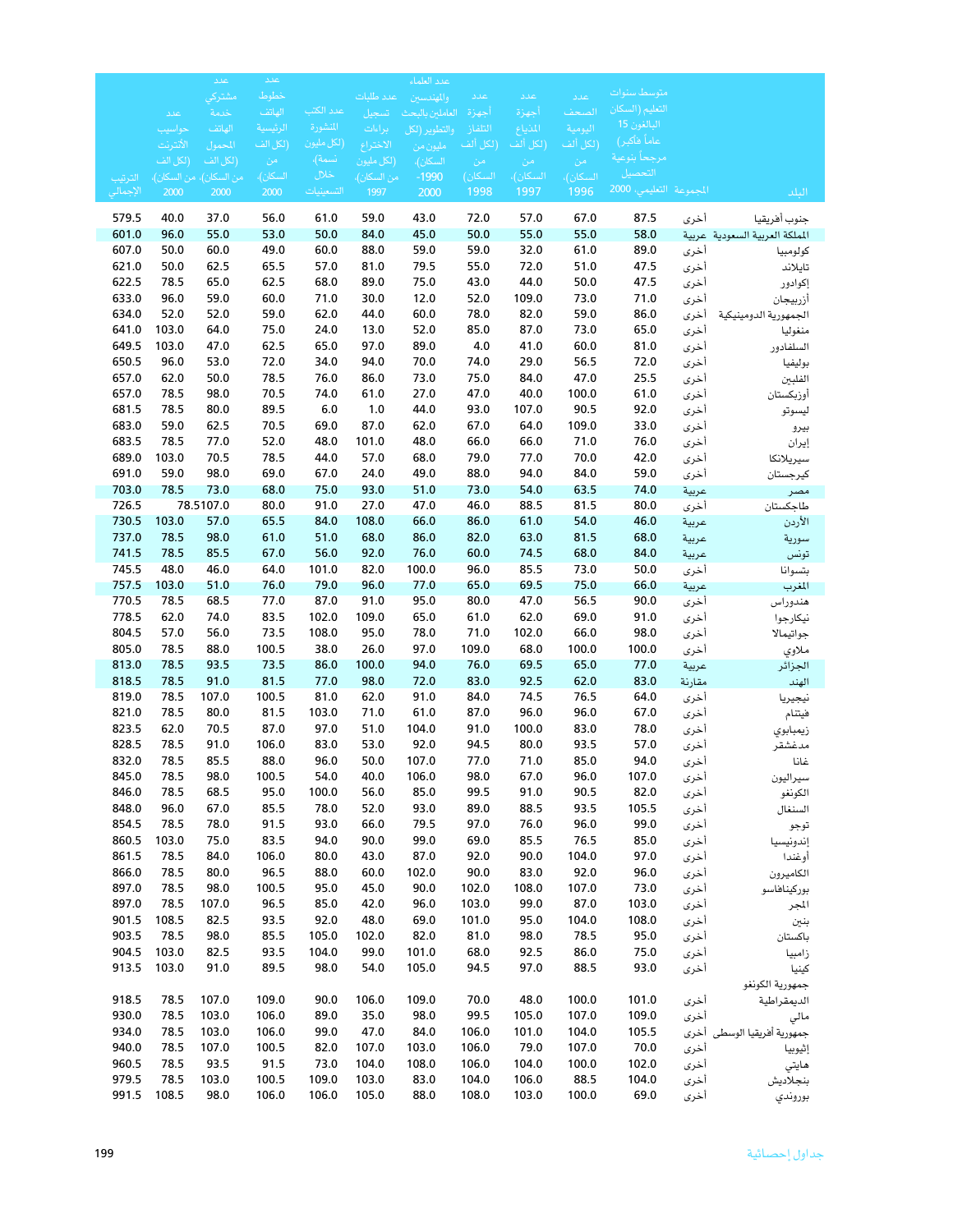|                |                    | عدد                     | عدد               |                       |                    | عدد العلماء               |                     |                     |                     |                                |               |                                |
|----------------|--------------------|-------------------------|-------------------|-----------------------|--------------------|---------------------------|---------------------|---------------------|---------------------|--------------------------------|---------------|--------------------------------|
|                |                    | مشتركى                  | خطوط              |                       | عدد طلبات          | والمهندسين                | عدد                 | عدد                 | عدد                 | متوسط سنوات<br>التعليم (السكان |               |                                |
|                | عدد                | خدمة<br>الهاتف          | الهاتف<br>الرئسية | عدد الكتب<br>المنشورة | تسجيل              | العاملين بالبحث           | أجهزة               | أجهزة               | الصحف               | البالغون 15                    |               |                                |
|                | حواسيب<br>الأنترنت | المحمول                 | (لكل الف          | (لكل مليون            | براءات<br>الاختراع | والتطوير (لكل<br>مليون من | التلفاز<br>إلكل ألف | المذياع<br>(لكل ألف | اليومية<br>(لكل ألف | عاماً فأكبر)                   |               |                                |
|                | (لكل الف           | (لكل الف                | - من              | نسمة)،                | (لكل مليون         | السكان)،                  | من                  | ِ من                | - من                | مرجحاً بنوعية                  |               |                                |
| الترتيب        |                    | من السكان)، من السكان)، | السكان)،          | خلال                  | من السكان)،        | $-1990$                   | السكان)             | السكان)،            | السكان)،            | التحصيل                        |               |                                |
| الإجمالى       | 2000               | 2000                    | 2000              | التسعينيات            | 1997               | 2000                      | 1998                | 1997                | 1996                | المجموعة التعليمي 2000         |               | الىلد                          |
| 579.5          | 40.0               | 37.0                    | 56.0              | 61.0                  | 59.0               | 43.0                      | 72.0                | 57.0                | 67.0                | 87.5                           | أخرى          | جنوب أفريقيا                   |
| 601.0          | 96.0               | 55.0                    | 53.0              | 50.0                  | 84.0               | 45.0                      | 50.0                | 55.0                | 55.0                | 58.0                           |               | المملكة العربية السعودية عربية |
| 607.0          | 50.0               | 60.0                    | 49.0              | 60.0                  | 88.0               | 59.0                      | 59.0                | 32.0                | 61.0                | 89.0                           | أخرى          | كولومبيا                       |
| 621.0          | 50.0               | 62.5                    | 65.5              | 57.0                  | 81.0               | 79.5                      | 55.0                | 72.0                | 51.0                | 47.5                           | أخرى          | تايلاند                        |
| 622.5          | 78.5               | 65.0                    | 62.5              | 68.0                  | 89.0               | 75.0                      | 43.0                | 44.0                | 50.0                | 47.5                           | أخرى          | إكوادور                        |
| 633.0          | 96.0               | 59.0                    | 60.0              | 71.0                  | 30.0               | 12.0                      | 52.0                | 109.0               | 73.0                | 71.0                           | أخرى          | أزربيجان                       |
| 634.0          | 52.0               | 52.0                    | 59.0              | 62.0                  | 44.0               | 60.0                      | 78.0                | 82.0                | 59.0                | 86.0                           | أخرى          | الجمهورية الدومينيكية          |
| 641.0<br>649.5 | 103.0<br>103.0     | 64.0<br>47.0            | 75.0<br>62.5      | 24.0<br>65.0          | 13.0<br>97.0       | 52.0<br>89.0              | 85.0<br>4.0         | 87.0<br>41.0        | 73.0<br>60.0        | 65.0<br>81.0                   | أخرى          | منغوليا                        |
| 650.5          | 96.0               | 53.0                    | 72.0              | 34.0                  | 94.0               | 70.0                      | 74.0                | 29.0                | 56.5                | 72.0                           | أخرى<br>أخرى  | السلفادور<br>بوليفيا           |
| 657.0          | 62.0               | 50.0                    | 78.5              | 76.0                  | 86.0               | 73.0                      | 75.0                | 84.0                | 47.0                | 25.5                           | أخرى          | الفلبين                        |
| 657.0          | 78.5               | 98.0                    | 70.5              | 74.0                  | 61.0               | 27.0                      | 47.0                | 40.0                | 100.0               | 61.0                           | أخرى          | أوزبكستان                      |
| 681.5          | 78.5               | 80.0                    | 89.5              | 6.0                   | 1.0                | 44.0                      | 93.0                | 107.0               | 90.5                | 92.0                           | أخرى          | ليسوتو                         |
| 683.0          | 59.0               | 62.5                    | 70.5              | 69.0                  | 87.0               | 62.0                      | 67.0                | 64.0                | 109.0               | 33.0                           | أخرى          | بيرو                           |
| 683.5          | 78.5               | 77.0                    | 52.0              | 48.0                  | 101.0              | 48.0                      | 66.0                | 66.0                | 71.0                | 76.0                           | أخرى          | إيران                          |
| 689.0          | 103.0              | 70.5                    | 78.5              | 44.0                  | 57.0               | 68.0                      | 79.0                | 77.0                | 70.0                | 42.0                           | أخرى          | سيريلانكا                      |
| 691.0          | 59.0               | 98.0                    | 69.0              | 67.0                  | 24.0               | 49.0                      | 88.0                | 94.0                | 84.0                | 59.0                           | أخرى          | كيرجستان                       |
| 703.0          | 78.5               | 73.0                    | 68.0              | 75.0                  | 93.0               | 51.0                      | 73.0                | 54.0                | 63.5                | 74.0                           | عربية         | مصر                            |
| 726.5          |                    | 78.5107.0               | 80.0              | 91.0                  | 27.0               | 47.0                      | 46.0                | 88.5                | 81.5                | 80.0                           | أخرى          | طاجكستان                       |
| 730.5          | 103.0              | 57.0                    | 65.5              | 84.0                  | 108.0              | 66.0                      | 86.0                | 61.0                | 54.0                | 46.0                           | عربية         | الأردن                         |
| 737.0<br>741.5 | 78.5               | 98.0                    | 61.0              | 51.0                  | 68.0               | 86.0                      | 82.0                | 63.0                | 81.5                | 68.0                           | عربية         | سورية                          |
| 745.5          | 78.5<br>48.0       | 85.5<br>46.0            | 67.0<br>64.0      | 56.0<br>101.0         | 92.0<br>82.0       | 76.0<br>100.0             | 60.0<br>96.0        | 74.5<br>85.5        | 68.0<br>73.0        | 84.0<br>50.0                   | عربية         | تونس                           |
| 757.5          | 103.0              | 51.0                    | 76.0              | 79.0                  | 96.0               | 77.0                      | 65.0                | 69.5                | 75.0                | 66.0                           | أخرى<br>عربية | بتسوانا<br>المغرب              |
| 770.5          | 78.5               | 68.5                    | 77.0              | 87.0                  | 91.0               | 95.0                      | 80.0                | 47.0                | 56.5                | 90.0                           | أخرى          | هندوراس                        |
| 778.5          | 62.0               | 74.0                    | 83.5              | 102.0                 | 109.0              | 65.0                      | 61.0                | 62.0                | 69.0                | 91.0                           | أخرى          | نيكارجوا                       |
| 804.5          | 57.0               | 56.0                    | 73.5              | 108.0                 | 95.0               | 78.0                      | 71.0                | 102.0               | 66.0                | 98.0                           | أخرى          | جواتيمالا                      |
| 805.0          | 78.5               | 88.0                    | 100.5             | 38.0                  | 26.0               | 97.0                      | 109.0               | 68.0                | 100.0               | 100.0                          | أخرى          | ملاوي                          |
| 813.0          | 78.5               | 93.5                    | 73.5              | 86.0                  | 100.0              | 94.0                      | 76.0                | 69.5                | 65.0                | 77.0                           | عربية         | الجزائر                        |
| 818.5          | 78.5               | 91.0                    | 81.5              | 77.0                  | 98.0               | 72.0                      | 83.0                | 92.5                | 62.0                | 83.0                           | مقارنة        | الهند                          |
| 819.0          | 78.5               | 107.0                   | 100.5             | 81.0                  | 62.0               | 91.0                      | 84.0                | 74.5                | 76.5                | 64.0                           | أخرى          | نيجيريا                        |
| 821.0          | 78.5               | 80.0                    | 81.5              | 103.0                 | 71.0               | 61.0                      | 87.0                | 96.0                | 96.0                | 67.0                           | أخرى          | فيتنام                         |
| 823.5          | 62.0               | 70.5                    | 87.0              | 97.0                  | 51.0               | 104.0                     | 91.0                | 100.0               | 83.0                | 78.0                           | أخرى          | زيمبابوي                       |
| 828.5<br>832.0 | 78.5<br>78.5       | 91.0<br>85.5            | 106.0<br>88.0     | 83.0<br>96.0          | 53.0<br>50.0       | 92.0<br>107.0             | 94.5<br>77.0        | 80.0<br>71.0        | 93.5<br>85.0        | 57.0<br>94.0                   | أخرى          | مدغشقر                         |
| 845.0          | 78.5               | 98.0                    | 100.5             | 54.0                  | 40.0               | 106.0                     | 98.0                | 67.0                | 96.0                | 107.0                          | أخرى<br>أخرى  | غانا                           |
| 846.0          | 78.5               | 68.5                    | 95.0              | 100.0                 | 56.0               | 85.0                      | 99.5                | 91.0                | 90.5                | 82.0                           | أخرى          | سيراليون<br>الكونغو            |
| 848.0          | 96.0               | 67.0                    | 85.5              | 78.0                  | 52.0               | 93.0                      | 89.0                | 88.5                | 93.5                | 105.5                          | أخرى          | السنغال                        |
| 854.5          | 78.5               | 78.0                    | 91.5              | 93.0                  | 66.0               | 79.5                      | 97.0                | 76.0                | 96.0                | 99.0                           | أخرى          | توجو                           |
| 860.5          | 103.0              | 75.0                    | 83.5              | 94.0                  | 90.0               | 99.0                      | 69.0                | 85.5                | 76.5                | 85.0                           | أخرى          | إندونيسيا                      |
| 861.5          | 78.5               | 84.0                    | 106.0             | 80.0                  | 43.0               | 87.0                      | 92.0                | 90.0                | 104.0               | 97.0                           | أخرى          | أوغندا                         |
| 866.0          | 78.5               | 80.0                    | 96.5              | 88.0                  | 60.0               | 102.0                     | 90.0                | 83.0                | 92.0                | 96.0                           | أخرى          | الكاميرون                      |
| 897.0          | 78.5               | 98.0                    | 100.5             | 95.0                  | 45.0               | 90.0                      | 102.0               | 108.0               | 107.0               | 73.0                           | أخرى          | بوركيناهاسو                    |
| 897.0          | 78.5               | 107.0                   | 96.5              | 85.0                  | 42.0               | 96.0                      | 103.0               | 99.0                | 87.0                | 103.0                          | أخرى          | المجر                          |
| 901.5          | 108.5              | 82.5                    | 93.5              | 92.0                  | 48.0               | 69.0                      | 101.0               | 95.0                | 104.0               | 108.0                          | أخرى          | بنين                           |
| 903.5          | 78.5               | 98.0                    | 85.5              | 105.0                 | 102.0              | 82.0                      | 81.0                | 98.0                | 78.5                | 95.0                           | أخرى          | باكستان                        |
| 904.5          | 103.0              | 82.5                    | 93.5              | 104.0                 | 99.0               | 101.0                     | 68.0                | 92.5                | 86.0                | 75.0                           | أخرى          | زامبيا                         |
| 913.5          | 103.0              | 91.0                    | 89.5              | 98.0                  | 54.0               | 105.0                     | 94.5                | 97.0                | 88.5                | 93.0                           | أخرى          | كينيا<br>جمهورية الكونغو       |
| 918.5          | 78.5               | 107.0                   | 109.0             | 90.0                  | 106.0              | 109.0                     | 70.0                | 48.0                | 100.0               | 101.0                          | أخرى          | الديمقراطية                    |
| 930.0          | 78.5               | 103.0                   | 106.0             | 89.0                  | 35.0               | 98.0                      | 99.5                | 105.0               | 107.0               | 109.0                          | أخرى          | مالي                           |
| 934.0          | 78.5               | 103.0                   | 106.0             | 99.0                  | 47.0               | 84.0                      | 106.0               | 101.0               | 104.0               | 105.5                          | أخرى          | جمهورية أفريقيا الوسطى         |
| 940.0          | 78.5               | 107.0                   | 100.5             | 82.0                  | 107.0              | 103.0                     | 106.0               | 79.0                | 107.0               | 70.0                           | أخرى          | إثيوييا                        |
| 960.5          | 78.5               | 93.5                    | 91.5              | 73.0                  | 104.0              | 108.0                     | 106.0               | 104.0               | 100.0               | 102.0                          | أخرى          | هايتي                          |
| 979.5          | 78.5               | 103.0                   | 100.5             | 109.0                 | 103.0              | 83.0                      | 104.0               | 106.0               | 88.5                | 104.0                          | أخرى          | بنجلاديش                       |
| 991.5          | 108.5              | 98.0                    | 106.0             | 106.0                 | 105.0              | 88.0                      | 108.0               | 103.0               | 100.0               | 69.0                           | أخرى          | بوروندي                        |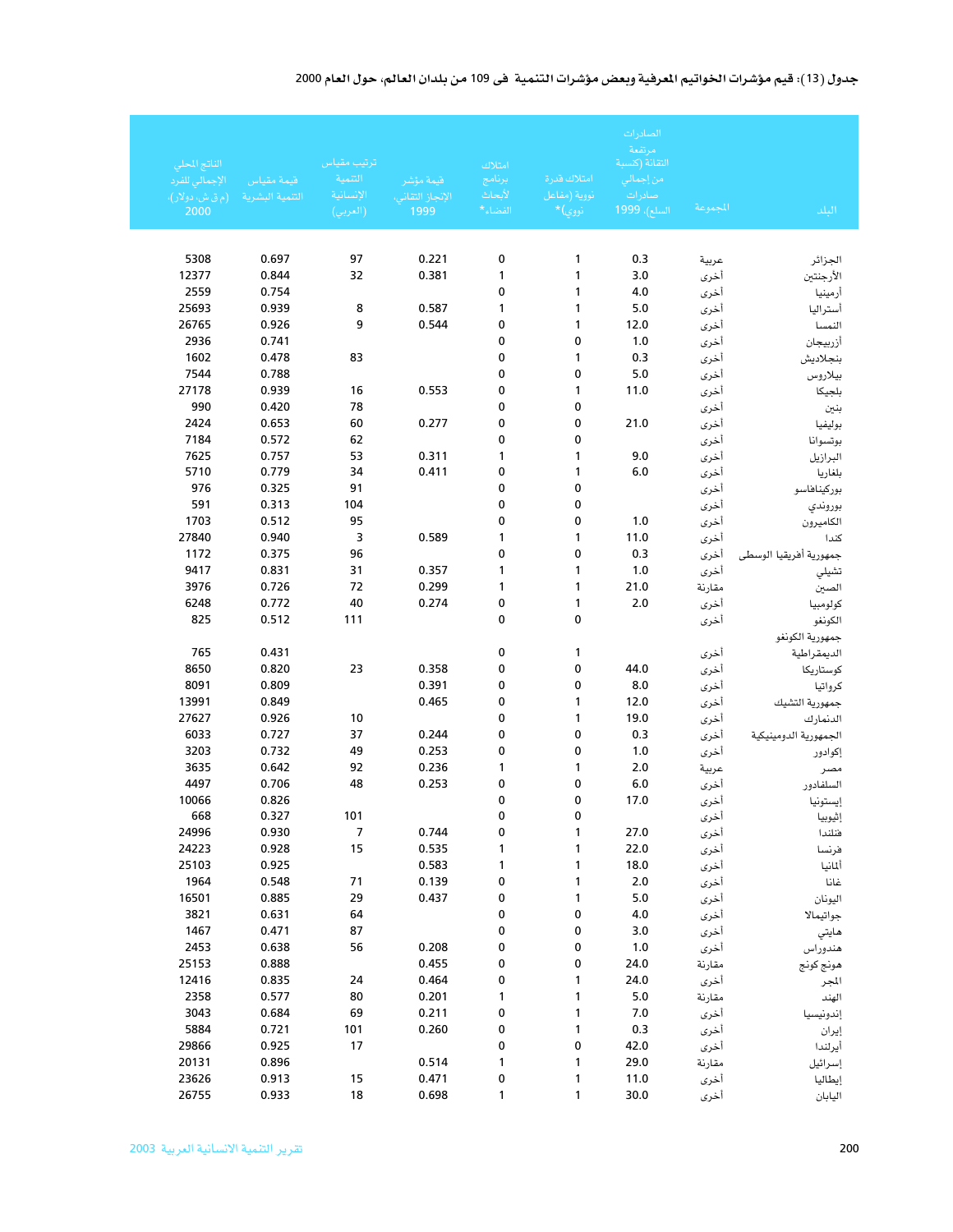### جدول (13): قيم مؤشرات الخواتيم المرفية وبعض مؤشرات التنمية ً في 109 من بلدان العالم، حول العام 2000

|                                 |                 |                        |                  |                   |                              | الصادرات<br>مرتفعة         |                |                        |
|---------------------------------|-----------------|------------------------|------------------|-------------------|------------------------------|----------------------------|----------------|------------------------|
| الناتج المحلي<br>الإجمالي للفرد | قيمة مقياس      | ترتيب مقياس<br>التتمية | قيمة مؤشر        | امتلاك<br>يرنامج  | امتلاك قدرة                  | التقانة (كسبة<br>من إجمالي |                |                        |
| (م ق ش، دولار)،                 | التنمية البشرية | الإنسانية              | الإنجاز التقانى، | لأبحاث            | نووية (مفاعل                 | صادرات                     |                |                        |
| 2000                            |                 | (العربي)               | 1999             | الفضاء*           | $\ast$ نووي)                 | السلع)، 1999 <sup>.</sup>  | المجموعة       | الىلد                  |
|                                 |                 |                        |                  |                   |                              |                            |                |                        |
| 5308                            | 0.697           | 97                     | 0.221            | 0                 | 1                            | 0.3                        |                |                        |
| 12377                           | 0.844           | 32                     | 0.381            | 1                 | 1                            | 3.0                        | عربية<br>أخرى  | الجزائر<br>الأرجنتين   |
| 2559                            | 0.754           |                        |                  | 0                 | 1                            | 4.0                        | أخرى           | أرمينيا                |
| 25693                           | 0.939           | 8                      | 0.587            | 1                 | 1                            | 5.0                        | أخرى           | أستراليا               |
| 26765                           | 0.926           | 9                      | 0.544            | 0                 | 1                            | 12.0                       | أخرى           | النمسا                 |
| 2936                            | 0.741           |                        |                  | 0                 | 0                            | 1.0                        | أخرى           | أزربيجان               |
| 1602                            | 0.478           | 83                     |                  | 0                 | 1                            | 0.3                        | أخرى           | بنجلاديش               |
| 7544                            | 0.788           |                        |                  | 0                 | 0                            | 5.0                        | أخرى           | بيلاروس                |
| 27178                           | 0.939           | 16                     | 0.553            | 0                 | 1                            | 11.0                       | أخرى           | بلجيكا                 |
| 990                             | 0.420           | 78                     |                  | 0                 | 0                            |                            | أخرى           | بنين                   |
| 2424                            | 0.653           | 60                     | 0.277            | 0                 | 0                            | 21.0                       | أخرى           | بوليفيا                |
| 7184                            | 0.572           | 62                     |                  | 0                 | 0                            |                            | أخرى           | بوتسوانا               |
| 7625<br>5710                    | 0.757<br>0.779  | 53                     | 0.311            | 1                 | 1                            | 9.0                        | أخرى           | البرازيل               |
| 976                             | 0.325           | 34<br>91               | 0.411            | 0<br>0            | 1<br>$\pmb{0}$               | 6.0                        | أخرى           | بلغاريا                |
| 591                             | 0.313           | 104                    |                  | 0                 | 0                            |                            | أخرى<br>أخرى   | بوركيناهاسو            |
| 1703                            | 0.512           | 95                     |                  | 0                 | 0                            | 1.0                        | أخرى           | بوروندي<br>الكاميرون   |
| 27840                           | 0.940           | 3                      | 0.589            | 1                 | 1                            | 11.0                       | أخرى           | كندا                   |
| 1172                            | 0.375           | 96                     |                  | 0                 | 0                            | 0.3                        | أخرى           | جمهورية أفريقيا الوسطى |
| 9417                            | 0.831           | 31                     | 0.357            | 1                 | 1                            | 1.0                        | أخرى           | تشيلي                  |
| 3976                            | 0.726           | 72                     | 0.299            | 1                 | 1                            | 21.0                       | مقارنة         | الصين                  |
| 6248                            | 0.772           | 40                     | 0.274            | 0                 | 1                            | 2.0                        | أخرى           | كولومبيا               |
| 825                             | 0.512           | 111                    |                  | 0                 | $\mathbf 0$                  |                            | أخرى           | الكونغو                |
|                                 |                 |                        |                  |                   |                              |                            |                | جمهورية الكونغو        |
| 765                             | 0.431           |                        |                  | 0                 | 1                            |                            | أخرى           | الديمقراطية            |
| 8650                            | 0.820           | 23                     | 0.358            | 0                 | 0                            | 44.0                       | أخرى           | كوستاريكا              |
| 8091                            | 0.809           |                        | 0.391            | 0                 | 0                            | 8.0                        | أخرى           | كرواتيا                |
| 13991                           | 0.849           |                        | 0.465            | 0                 | 1                            | 12.0                       | أخرى           | جمهورية التشيك         |
| 27627<br>6033                   | 0.926<br>0.727  | 10<br>37               | 0.244            | 0<br>0            | 1<br>0                       | 19.0<br>0.3                | أخرى           | الدنمارك               |
| 3203                            | 0.732           | 49                     | 0.253            | 0                 | 0                            | 1.0                        | أخرى           | الجمهورية الدومينيكية  |
| 3635                            | 0.642           | 92                     | 0.236            | 1                 | 1                            | 2.0                        | أخرى<br>عربية  | إكوادور<br>مصر         |
| 4497                            | 0.706           | 48                     | 0.253            | 0                 | 0                            | 6.0                        | أخرى           | السلفادور              |
| 10066                           | 0.826           |                        |                  | 0                 | 0                            | 17.0                       | أخرى           | إيستونيا               |
| 668                             | 0.327           | 101                    |                  | $\pmb{0}$         | $\pmb{0}$                    |                            | أخرى           | إثيوبيا                |
| 24996                           | 0.930           | $\overline{7}$         | 0.744            | 0                 | $\mathbf{1}$                 | 27.0                       | أخرى           | فنلندا                 |
| 24223                           | 0.928           | 15                     | 0.535            | 1                 | $\mathbf{1}$                 | 22.0                       | أخرى           | فرنسا                  |
| 25103                           | 0.925           |                        | 0.583            | $\mathbf{1}$      | $\mathbf{1}$                 | 18.0                       | أخرى           | ألمانيا                |
| 1964                            | 0.548           | 71                     | 0.139            | 0                 | $\mathbf{1}$                 | $2.0$                      | أخرى           | غانا                   |
| 16501                           | 0.885           | 29                     | 0.437            | 0                 | $\mathbf{1}$                 | $5.0$                      | أخرى           | اليونان                |
| 3821                            | 0.631           | 64                     |                  | 0                 | $\pmb{0}$                    | $4.0\,$                    | أخرى           | جواتيمالا              |
| 1467                            | 0.471           | 87                     |                  | 0                 | 0                            | 3.0                        | أخرى           | هايتي                  |
| 2453                            | 0.638           | 56                     | 0.208            | 0                 | 0                            | 1.0                        | أخرى           | هندوراس                |
| 25153                           | 0.888           |                        | 0.455            | 0                 | 0                            | 24.0                       | مقارنة         | هونج كونج              |
| 12416<br>2358                   | 0.835<br>0.577  | 24<br>80               | 0.464<br>0.201   | 0<br>$\mathbf{1}$ | $\mathbf{1}$<br>$\mathbf{1}$ | 24.0<br>$5.0$              | أخرى           | المجر                  |
| 3043                            | 0.684           | 69                     | 0.211            | 0                 | $\mathbf{1}$                 | $7.0\,$                    | مقارنة<br>أخرى | الهند                  |
| 5884                            | 0.721           | 101                    | 0.260            | 0                 | $\mathbf{1}$                 | 0.3                        | أخرى           | إندونيسيا<br>إيران     |
| 29866                           | 0.925           | 17                     |                  | 0                 | $\pmb{0}$                    | 42.0                       | أخرى           | أيرلندا                |
| 20131                           | 0.896           |                        | 0.514            | $\mathbf{1}$      | $\mathbf{1}$                 | 29.0                       | مقارنة         | إسرائيل                |
| 23626                           | 0.913           | 15                     | 0.471            | 0                 | $\mathbf{1}$                 | 11.0                       | أخرى           | إيطاليا                |
| 26755                           | 0.933           | 18                     | 0.698            | 1                 | 1                            | 30.0                       | أخرى           | اليابان                |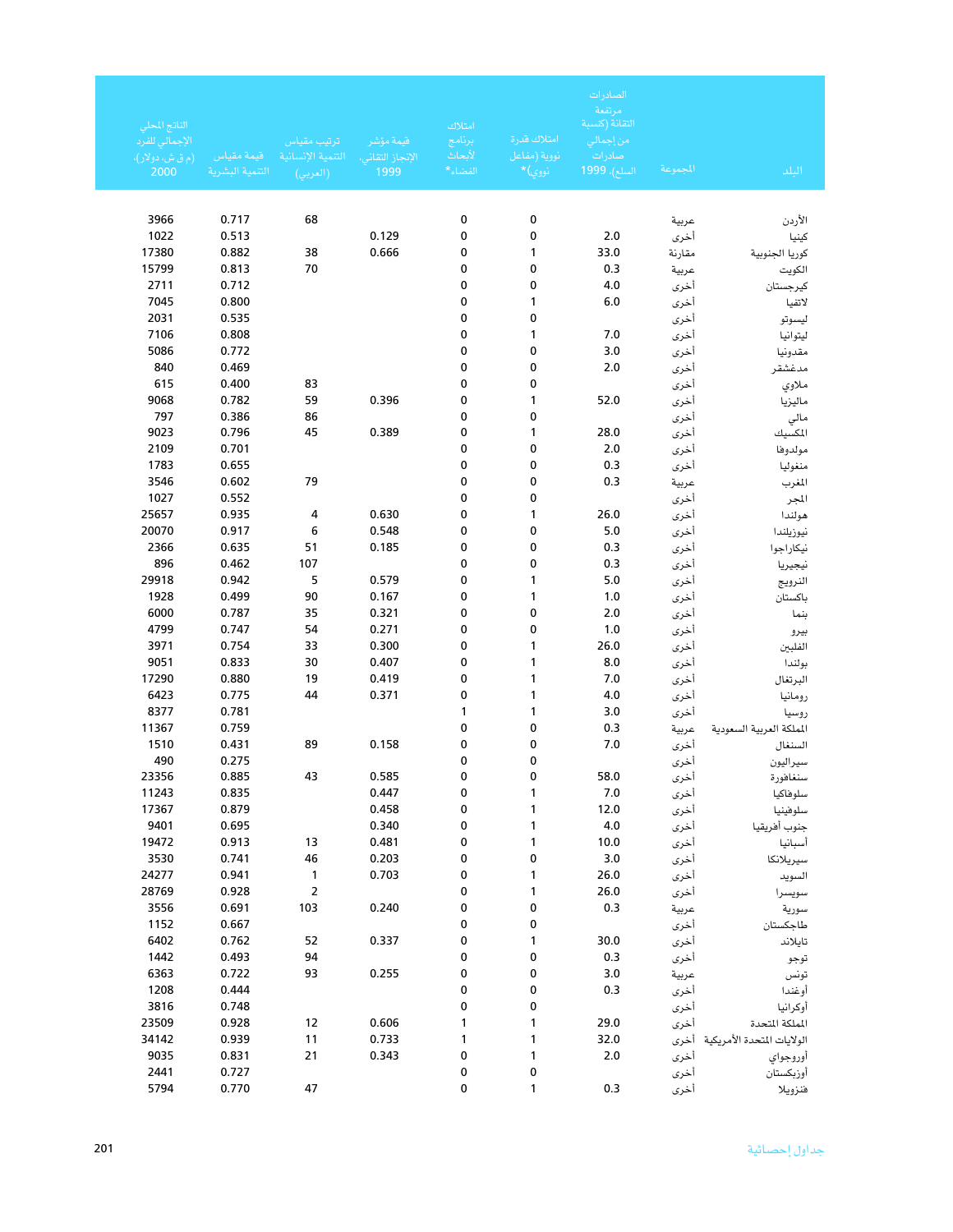| الناتج المحلي<br>الإجمالي للفرد<br>(م ق ش، دولار)، | قيمة مقياس      | ترتيب مقياس<br>التنمية الإنسانية | قيمة مؤشر<br>الإنجاز التقاني، | امتلاك<br>يرنامج<br>لأبحاث | امتلاك قدرة<br>نووية (مفاعل | الصادرات<br>مرتفعة<br>التقانة (كنسبة<br>من إجمال <i>ى</i><br>صادرات |              |                                 |
|----------------------------------------------------|-----------------|----------------------------------|-------------------------------|----------------------------|-----------------------------|---------------------------------------------------------------------|--------------|---------------------------------|
| 2000                                               | التتمية البشرية | (العربي)                         | 1999                          | الفضاء*                    | َ نووي)*                    | السلع)، <mark>1999</mark>                                           | للجموعة      | البلد                           |
|                                                    |                 |                                  |                               |                            |                             |                                                                     |              |                                 |
| 3966                                               | 0.717           | 68                               |                               | 0                          | 0                           |                                                                     | عربية        | الأردن                          |
| 1022                                               | 0.513           |                                  | 0.129                         | 0                          | 0                           | 2.0                                                                 | أخرى         | كينيا                           |
| 17380                                              | 0.882           | 38                               | 0.666                         | 0                          | 1                           | 33.0                                                                | مقارنة       | كوريا الجنوبية                  |
| 15799                                              | 0.813           | 70                               |                               | 0                          | 0                           | 0.3                                                                 | عربية        | الكويت                          |
| 2711                                               | 0.712           |                                  |                               | 0                          | 0                           | 4.0                                                                 | أخرى         | كيرجستان                        |
| 7045                                               | 0.800           |                                  |                               | 0                          | 1                           | 6.0                                                                 | أخرى         | لاتفيا                          |
| 2031                                               | 0.535           |                                  |                               | 0                          | 0                           |                                                                     | أخرى         | ليسوتو                          |
| 7106                                               | 0.808           |                                  |                               | 0                          | 1                           | 7.0                                                                 | أخرى         | ليتوانيا                        |
| 5086                                               | 0.772           |                                  |                               | 0                          | 0                           | 3.0                                                                 | أخرى         | مقدونيا                         |
| 840                                                | 0.469           |                                  |                               | 0                          | 0                           | 2.0                                                                 | أخرى         | مدغشقر                          |
| 615                                                | 0.400           | 83                               |                               | 0                          | 0                           |                                                                     | أخرى         | ملاوي                           |
| 9068                                               | 0.782           | 59                               | 0.396                         | 0                          | 1                           | 52.0                                                                | أخرى         | ماليزيا                         |
| 797                                                | 0.386           | 86                               |                               | 0                          | 0                           |                                                                     | أخرى         | مالي                            |
| 9023                                               | 0.796           | 45                               | 0.389                         | 0                          | 1                           | 28.0                                                                | أخرى         | المكسيك                         |
| 2109                                               | 0.701           |                                  |                               | 0                          | 0                           | 2.0                                                                 | أخرى         | مولدوها                         |
| 1783                                               | 0.655           |                                  |                               | 0                          | 0                           | 0.3                                                                 | أخرى         | منغوليا                         |
| 3546                                               | 0.602           | 79                               |                               | 0                          | 0                           | 0.3                                                                 | عربية        | المغرب                          |
| 1027                                               | 0.552           |                                  |                               | 0                          | 0                           |                                                                     | أخرى         | المجر                           |
| 25657                                              | 0.935           | 4                                | 0.630                         | 0                          | 1                           | 26.0                                                                | أخرى         | هولندا                          |
| 20070                                              | 0.917           | 6                                | 0.548                         | 0                          | 0                           | 5.0                                                                 | أخرى         | نيوزيلندا                       |
| 2366<br>896                                        | 0.635<br>0.462  | 51<br>107                        | 0.185                         | 0<br>0                     | 0<br>0                      | 0.3                                                                 | أخرى         | نيكاراجوا                       |
| 29918                                              | 0.942           | 5                                | 0.579                         | 0                          | 1                           | 0.3<br>5.0                                                          | أخرى         | نيجيريا                         |
| 1928                                               | 0.499           | 90                               | 0.167                         | 0                          | 1                           | 1.0                                                                 | أخرى         | النرويج<br>باكستان              |
| 6000                                               | 0.787           | 35                               | 0.321                         | 0                          | 0                           | 2.0                                                                 | أخرى<br>أخرى | بنما                            |
| 4799                                               | 0.747           | 54                               | 0.271                         | 0                          | 0                           | 1.0                                                                 | أخرى         |                                 |
| 3971                                               | 0.754           | 33                               | 0.300                         | 0                          | 1                           | 26.0                                                                | أخرى         | بيرو<br>الفلبين                 |
| 9051                                               | 0.833           | 30                               | 0.407                         | 0                          | 1                           | 8.0                                                                 | أخرى         | بولندا                          |
| 17290                                              | 0.880           | 19                               | 0.419                         | 0                          | 1                           | 7.0                                                                 | أخرى         | البرتغال                        |
| 6423                                               | 0.775           | 44                               | 0.371                         | 0                          | 1                           | 4.0                                                                 | أخرى         | رومانيا                         |
| 8377                                               | 0.781           |                                  |                               | 1                          | 1                           | 3.0                                                                 | أخرى         | روسيا                           |
| 11367                                              | 0.759           |                                  |                               | 0                          | 0                           | 0.3                                                                 | عربية        | الملكة العربية السعودية         |
| 1510                                               | 0.431           | 89                               | 0.158                         | 0                          | 0                           | 7.0                                                                 | أخرى         | السنغال                         |
| 490                                                | 0.275           |                                  |                               | 0                          | 0                           |                                                                     | أخرى         | سيراليون                        |
| 23356                                              | 0.885           | 43                               | 0.585                         | 0                          | 0                           | 58.0                                                                | أخرى         | سنغافورة                        |
| 11243                                              | 0.835           |                                  | 0.447                         | 0                          | 1                           | 7.0                                                                 | أخرى         | سلوفاكيا                        |
| 17367                                              | 0.879           |                                  | 0.458                         | 0                          | 1                           | 12.0                                                                | أخرى         | سلوفينيا                        |
| 9401                                               | 0.695           |                                  | 0.340                         | 0                          | 1                           | $4.0\,$                                                             | أخرى         | جنوب أفريقيا                    |
| 19472                                              | 0.913           | 13                               | 0.481                         | 0                          | 1                           | 10.0                                                                | أخرى         | أسبانيا                         |
| 3530                                               | 0.741           | 46                               | 0.203                         | 0                          | 0                           | 3.0                                                                 | أخرى         | سيريلانكا                       |
| 24277                                              | 0.941           | $\mathbf{1}$                     | 0.703                         | 0                          | 1                           | 26.0                                                                | أخرى         | السويد                          |
| 28769                                              | 0.928           |                                  |                               | 0                          | 1                           | 26.0                                                                | أخرى         | سويسرا                          |
| 3556                                               | 0.691           | 103                              | 0.240                         | 0                          | 0                           | 0.3                                                                 | عربية        | سورية                           |
| 1152                                               | 0.667           |                                  |                               | 0                          | 0                           |                                                                     | أخرى         | طاجكستان                        |
| 6402                                               | 0.762           | 52                               | 0.337                         | 0                          | 1                           | 30.0                                                                | أخرى         | تايلاند                         |
| 1442                                               | 0.493           | 94                               |                               | 0                          | 0                           | 0.3                                                                 | أخرى         | توجو                            |
| 6363                                               | 0.722           | 93                               | 0.255                         | 0                          | 0                           | 3.0                                                                 | عربية        | تونس                            |
| 1208                                               | 0.444           |                                  |                               | 0                          | 0                           | 0.3                                                                 | أخرى         | أوغندا                          |
| 3816<br>23509                                      | 0.748<br>0.928  | 12                               | 0.606                         | 0<br>1                     | 0<br>1                      | 29.0                                                                | أخرى         | أوكرانيا<br>المملكة المتحدة     |
| 34142                                              | 0.939           | 11                               | 0.733                         | 1                          | 1                           | 32.0                                                                | أخرى         | الولايات المتحدة الأمريكية أخرى |
| 9035                                               | 0.831           | 21                               | 0.343                         | 0                          | 1                           | 2.0                                                                 |              |                                 |
| 2441                                               | 0.727           |                                  |                               | 0                          | 0                           |                                                                     | أخرى         | أوروجواي<br>أوزبكستان           |
| 5794                                               | 0.770           | 47                               |                               | 0                          | 1                           | 0.3                                                                 | أخرى<br>أخرى | فنزويلا                         |
|                                                    |                 |                                  |                               |                            |                             |                                                                     |              |                                 |